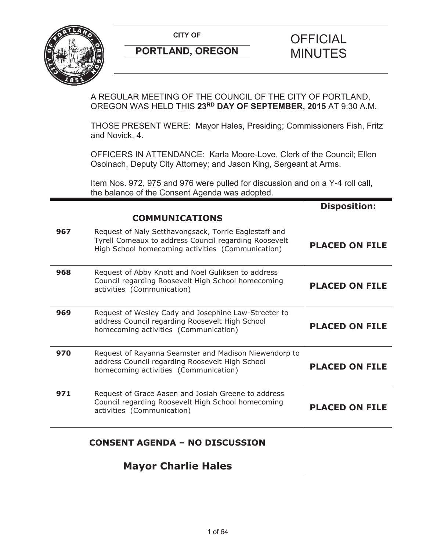

A REGULAR MEETING OF THE COUNCIL OF THE CITY OF PORTLAND, OREGON WAS HELD THIS **23RD DAY OF SEPTEMBER, 2015** AT 9:30 A.M.

THOSE PRESENT WERE: Mayor Hales, Presiding; Commissioners Fish, Fritz and Novick, 4.

OFFICERS IN ATTENDANCE: Karla Moore-Love, Clerk of the Council; Ellen Osoinach, Deputy City Attorney; and Jason King, Sergeant at Arms.

Item Nos. 972, 975 and 976 were pulled for discussion and on a Y-4 roll call, the balance of the Consent Agenda was adopted.

|     | <b>COMMUNICATIONS</b>                                                                                                                                               | <b>Disposition:</b>   |
|-----|---------------------------------------------------------------------------------------------------------------------------------------------------------------------|-----------------------|
| 967 | Request of Naly Setthavongsack, Torrie Eaglestaff and<br>Tyrell Comeaux to address Council regarding Roosevelt<br>High School homecoming activities (Communication) | <b>PLACED ON FILE</b> |
| 968 | Request of Abby Knott and Noel Guliksen to address<br>Council regarding Roosevelt High School homecoming<br>activities (Communication)                              | <b>PLACED ON FILE</b> |
| 969 | Request of Wesley Cady and Josephine Law-Streeter to<br>address Council regarding Roosevelt High School<br>homecoming activities (Communication)                    | <b>PLACED ON FILE</b> |
| 970 | Request of Rayanna Seamster and Madison Niewendorp to<br>address Council regarding Roosevelt High School<br>homecoming activities (Communication)                   | <b>PLACED ON FILE</b> |
| 971 | Request of Grace Aasen and Josiah Greene to address<br>Council regarding Roosevelt High School homecoming<br>activities (Communication)                             | <b>PLACED ON FILE</b> |
|     | <b>CONSENT AGENDA - NO DISCUSSION</b>                                                                                                                               |                       |
|     | <b>Mayor Charlie Hales</b>                                                                                                                                          |                       |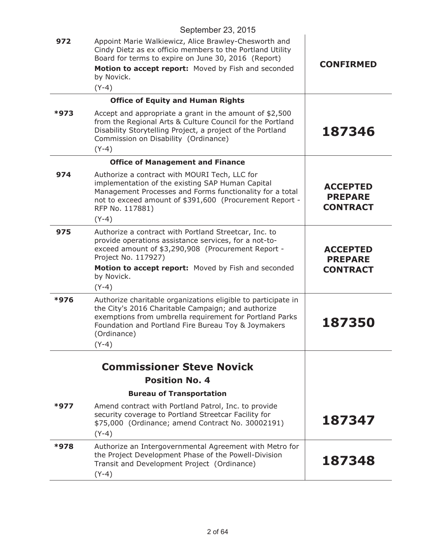|      | September 23, 2015                                                                                                                                                                                                                                                          |                                                      |
|------|-----------------------------------------------------------------------------------------------------------------------------------------------------------------------------------------------------------------------------------------------------------------------------|------------------------------------------------------|
| 972  | Appoint Marie Walkiewicz, Alice Brawley-Chesworth and<br>Cindy Dietz as ex officio members to the Portland Utility<br>Board for terms to expire on June 30, 2016 (Report)<br>Motion to accept report: Moved by Fish and seconded<br>by Novick.<br>$(Y-4)$                   | <b>CONFIRMED</b>                                     |
|      | <b>Office of Equity and Human Rights</b>                                                                                                                                                                                                                                    |                                                      |
| *973 | Accept and appropriate a grant in the amount of \$2,500<br>from the Regional Arts & Culture Council for the Portland<br>Disability Storytelling Project, a project of the Portland<br>Commission on Disability (Ordinance)<br>$(Y-4)$                                       | 187346                                               |
|      | <b>Office of Management and Finance</b>                                                                                                                                                                                                                                     |                                                      |
| 974  | Authorize a contract with MOURI Tech, LLC for<br>implementation of the existing SAP Human Capital<br>Management Processes and Forms functionality for a total<br>not to exceed amount of \$391,600 (Procurement Report -<br>RFP No. 117881)                                 | <b>ACCEPTED</b><br><b>PREPARE</b><br><b>CONTRACT</b> |
| 975  | $(Y-4)$                                                                                                                                                                                                                                                                     |                                                      |
|      | Authorize a contract with Portland Streetcar, Inc. to<br>provide operations assistance services, for a not-to-<br>exceed amount of \$3,290,908 (Procurement Report -<br>Project No. 117927)<br>Motion to accept report: Moved by Fish and seconded<br>by Novick.<br>$(Y-4)$ | <b>ACCEPTED</b><br><b>PREPARE</b><br><b>CONTRACT</b> |
| *976 | Authorize charitable organizations eligible to participate in<br>the City's 2016 Charitable Campaign; and authorize<br>exemptions from umbrella requirement for Portland Parks<br>Foundation and Portland Fire Bureau Toy & Joymakers<br>(Ordinance)<br>$(Y-4)$             | 187350                                               |
|      |                                                                                                                                                                                                                                                                             |                                                      |
|      | <b>Commissioner Steve Novick</b><br><b>Position No. 4</b>                                                                                                                                                                                                                   |                                                      |
|      | <b>Bureau of Transportation</b>                                                                                                                                                                                                                                             |                                                      |
| *977 | Amend contract with Portland Patrol, Inc. to provide<br>security coverage to Portland Streetcar Facility for<br>\$75,000 (Ordinance; amend Contract No. 30002191)<br>$(Y-4)$                                                                                                | 187347                                               |
| *978 | Authorize an Intergovernmental Agreement with Metro for<br>the Project Development Phase of the Powell-Division<br>Transit and Development Project (Ordinance)<br>$(Y-4)$                                                                                                   | 187348                                               |
|      |                                                                                                                                                                                                                                                                             |                                                      |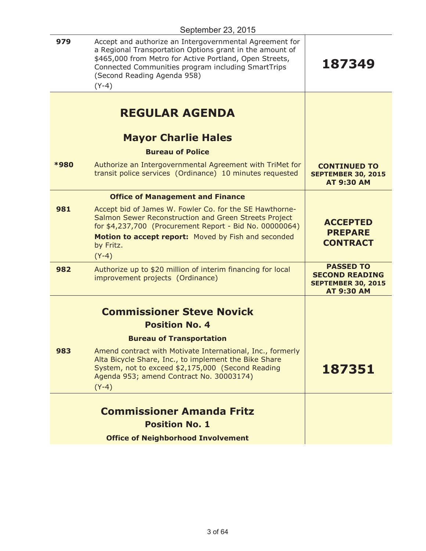| 979         | Accept and authorize an Intergovernmental Agreement for<br>a Regional Transportation Options grant in the amount of<br>\$465,000 from Metro for Active Portland, Open Streets,<br>Connected Communities program including SmartTrips<br>(Second Reading Agenda 958)<br>$(Y-4)$ | 187349                                                                                      |
|-------------|--------------------------------------------------------------------------------------------------------------------------------------------------------------------------------------------------------------------------------------------------------------------------------|---------------------------------------------------------------------------------------------|
|             | <b>REGULAR AGENDA</b>                                                                                                                                                                                                                                                          |                                                                                             |
|             | <b>Mayor Charlie Hales</b>                                                                                                                                                                                                                                                     |                                                                                             |
|             | <b>Bureau of Police</b>                                                                                                                                                                                                                                                        |                                                                                             |
| <b>*980</b> | Authorize an Intergovernmental Agreement with TriMet for<br>transit police services (Ordinance) 10 minutes requested                                                                                                                                                           | <b>CONTINUED TO</b><br><b>SEPTEMBER 30, 2015</b><br><b>AT 9:30 AM</b>                       |
|             | <b>Office of Management and Finance</b>                                                                                                                                                                                                                                        |                                                                                             |
| 981         | Accept bid of James W. Fowler Co. for the SE Hawthorne-<br>Salmon Sewer Reconstruction and Green Streets Project<br>for \$4,237,700 (Procurement Report - Bid No. 00000064)<br>Motion to accept report: Moved by Fish and seconded<br>by Fritz.<br>$(Y-4)$                     | <b>ACCEPTED</b><br><b>PREPARE</b><br><b>CONTRACT</b>                                        |
| 982         | Authorize up to \$20 million of interim financing for local<br>improvement projects (Ordinance)                                                                                                                                                                                | <b>PASSED TO</b><br><b>SECOND READING</b><br><b>SEPTEMBER 30, 2015</b><br><b>AT 9:30 AM</b> |
|             | <b>Commissioner Steve Novick</b>                                                                                                                                                                                                                                               |                                                                                             |
|             | <b>Position No. 4</b>                                                                                                                                                                                                                                                          |                                                                                             |
|             | <b>Bureau of Transportation</b>                                                                                                                                                                                                                                                |                                                                                             |
| 983         | Amend contract with Motivate International, Inc., formerly<br>Alta Bicycle Share, Inc., to implement the Bike Share<br>System, not to exceed \$2,175,000 (Second Reading<br>Agenda 953; amend Contract No. 30003174)<br>$(Y-4)$                                                | 187351                                                                                      |
|             |                                                                                                                                                                                                                                                                                |                                                                                             |
|             | <b>Commissioner Amanda Fritz</b><br><b>Position No. 1</b>                                                                                                                                                                                                                      |                                                                                             |
|             | <b>Office of Neighborhood Involvement</b>                                                                                                                                                                                                                                      |                                                                                             |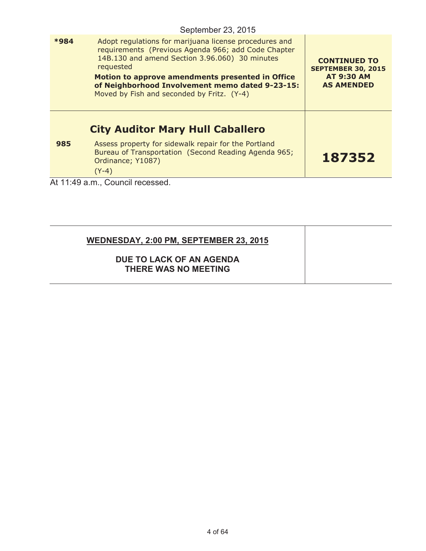|      | September 23, 2015                                                                                                                                                                                                                                                                                                                |                                                                                            |
|------|-----------------------------------------------------------------------------------------------------------------------------------------------------------------------------------------------------------------------------------------------------------------------------------------------------------------------------------|--------------------------------------------------------------------------------------------|
| *984 | Adopt regulations for marijuana license procedures and<br>requirements (Previous Agenda 966; add Code Chapter<br>14B.130 and amend Section 3.96.060) 30 minutes<br>requested<br>Motion to approve amendments presented in Office<br>of Neighborhood Involvement memo dated 9-23-15:<br>Moved by Fish and seconded by Fritz. (Y-4) | <b>CONTINUED TO</b><br><b>SEPTEMBER 30, 2015</b><br><b>AT 9:30 AM</b><br><b>AS AMENDED</b> |
| 985  | <b>City Auditor Mary Hull Caballero</b><br>Assess property for sidewalk repair for the Portland                                                                                                                                                                                                                                   |                                                                                            |
|      | Bureau of Transportation (Second Reading Agenda 965;<br>Ordinance; Y1087)<br>$(Y-4)$                                                                                                                                                                                                                                              | 187352                                                                                     |
|      | At 11:49 a.m., Council recessed.                                                                                                                                                                                                                                                                                                  |                                                                                            |

| <b>WEDNESDAY, 2:00 PM, SEPTEMBER 23, 2015</b>    |  |
|--------------------------------------------------|--|
| DUE TO LACK OF AN AGENDA<br>THERE WAS NO MEETING |  |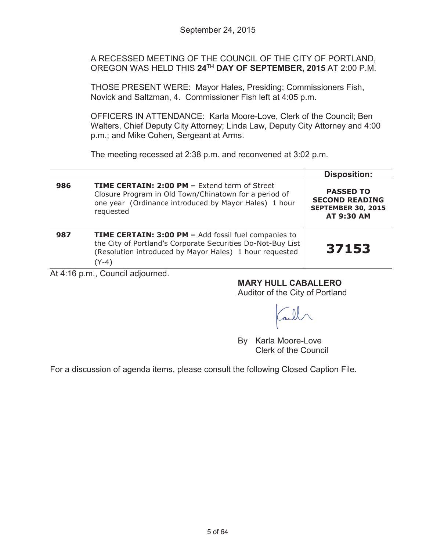A RECESSED MEETING OF THE COUNCIL OF THE CITY OF PORTLAND, OREGON WAS HELD THIS **24TH DAY OF SEPTEMBER, 2015** AT 2:00 P.M.

THOSE PRESENT WERE: Mayor Hales, Presiding; Commissioners Fish, Novick and Saltzman, 4. Commissioner Fish left at 4:05 p.m.

OFFICERS IN ATTENDANCE: Karla Moore-Love, Clerk of the Council; Ben Walters, Chief Deputy City Attorney; Linda Law, Deputy City Attorney and 4:00 p.m.; and Mike Cohen, Sergeant at Arms.

The meeting recessed at 2:38 p.m. and reconvened at 3:02 p.m.

|     |                                                                                                                                                                                                | <b>Disposition:</b>                                                                         |
|-----|------------------------------------------------------------------------------------------------------------------------------------------------------------------------------------------------|---------------------------------------------------------------------------------------------|
| 986 | <b>TIME CERTAIN: 2:00 PM - Extend term of Street</b><br>Closure Program in Old Town/Chinatown for a period of<br>one year (Ordinance introduced by Mayor Hales) 1 hour<br>requested            | <b>PASSED TO</b><br><b>SECOND READING</b><br><b>SEPTEMBER 30, 2015</b><br><b>AT 9:30 AM</b> |
| 987 | <b>TIME CERTAIN: 3:00 PM - Add fossil fuel companies to</b><br>the City of Portland's Corporate Securities Do-Not-Buy List<br>(Resolution introduced by Mayor Hales) 1 hour requested<br>(Y-4) | 37153                                                                                       |

At 4:16 p.m., Council adjourned.

**MARY HULL CABALLERO**

Auditor of the City of Portland

By Karla Moore-Love Clerk of the Council

For a discussion of agenda items, please consult the following Closed Caption File.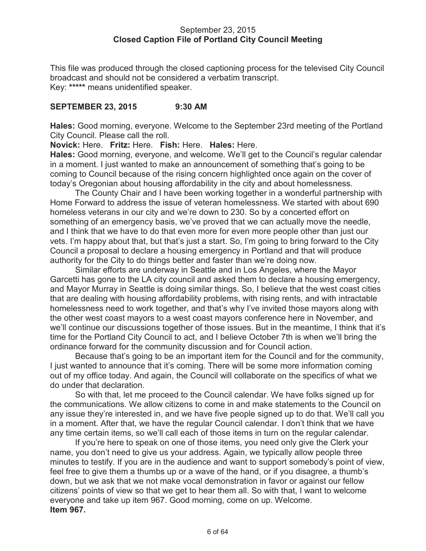### September 23, 2015 **Closed Caption File of Portland City Council Meeting**

This file was produced through the closed captioning process for the televised City Council broadcast and should not be considered a verbatim transcript. Key: **\*\*\*\*\*** means unidentified speaker.

## **SEPTEMBER 23, 2015 9:30 AM**

**Hales:** Good morning, everyone. Welcome to the September 23rd meeting of the Portland City Council. Please call the roll.

**Novick:** Here. **Fritz:** Here. **Fish:** Here. **Hales:** Here.

**Hales:** Good morning, everyone, and welcome. We'll get to the Council's regular calendar in a moment. I just wanted to make an announcement of something that's going to be coming to Council because of the rising concern highlighted once again on the cover of today's Oregonian about housing affordability in the city and about homelessness.

The County Chair and I have been working together in a wonderful partnership with Home Forward to address the issue of veteran homelessness. We started with about 690 homeless veterans in our city and we're down to 230. So by a concerted effort on something of an emergency basis, we've proved that we can actually move the needle, and I think that we have to do that even more for even more people other than just our vets. I'm happy about that, but that's just a start. So, I'm going to bring forward to the City Council a proposal to declare a housing emergency in Portland and that will produce authority for the City to do things better and faster than we're doing now.

Similar efforts are underway in Seattle and in Los Angeles, where the Mayor Garcetti has gone to the LA city council and asked them to declare a housing emergency, and Mayor Murray in Seattle is doing similar things. So, I believe that the west coast cities that are dealing with housing affordability problems, with rising rents, and with intractable homelessness need to work together, and that's why I've invited those mayors along with the other west coast mayors to a west coast mayors conference here in November, and we'll continue our discussions together of those issues. But in the meantime, I think that it's time for the Portland City Council to act, and I believe October 7th is when we'll bring the ordinance forward for the community discussion and for Council action.

Because that's going to be an important item for the Council and for the community, I just wanted to announce that it's coming. There will be some more information coming out of my office today. And again, the Council will collaborate on the specifics of what we do under that declaration.

So with that, let me proceed to the Council calendar. We have folks signed up for the communications. We allow citizens to come in and make statements to the Council on any issue they're interested in, and we have five people signed up to do that. We'll call you in a moment. After that, we have the regular Council calendar. I don't think that we have any time certain items, so we'll call each of those items in turn on the regular calendar.

If you're here to speak on one of those items, you need only give the Clerk your name, you don't need to give us your address. Again, we typically allow people three minutes to testify. If you are in the audience and want to support somebody's point of view, feel free to give them a thumbs up or a wave of the hand, or if you disagree, a thumb's down, but we ask that we not make vocal demonstration in favor or against our fellow citizens' points of view so that we get to hear them all. So with that, I want to welcome everyone and take up item 967. Good morning, come on up. Welcome. **Item 967.**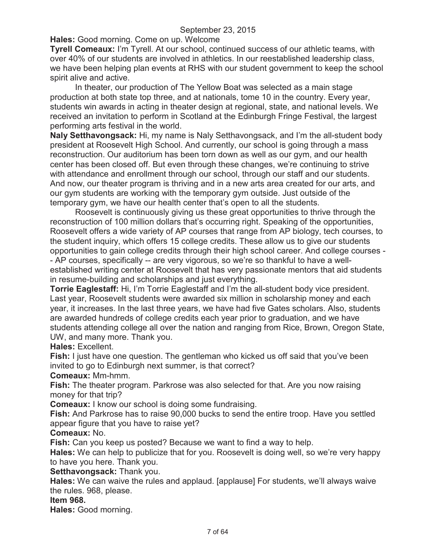**Hales:** Good morning. Come on up. Welcome

**Tyrell Comeaux:** I'm Tyrell. At our school, continued success of our athletic teams, with over 40% of our students are involved in athletics. In our reestablished leadership class, we have been helping plan events at RHS with our student government to keep the school spirit alive and active.

In theater, our production of The Yellow Boat was selected as a main stage production at both state top three, and at nationals, tome 10 in the country. Every year, students win awards in acting in theater design at regional, state, and national levels. We received an invitation to perform in Scotland at the Edinburgh Fringe Festival, the largest performing arts festival in the world.

**Naly Setthavongsack:** Hi, my name is Naly Setthavongsack, and I'm the all-student body president at Roosevelt High School. And currently, our school is going through a mass reconstruction. Our auditorium has been torn down as well as our gym, and our health center has been closed off. But even through these changes, we're continuing to strive with attendance and enrollment through our school, through our staff and our students. And now, our theater program is thriving and in a new arts area created for our arts, and our gym students are working with the temporary gym outside. Just outside of the temporary gym, we have our health center that's open to all the students.

Roosevelt is continuously giving us these great opportunities to thrive through the reconstruction of 100 million dollars that's occurring right. Speaking of the opportunities, Roosevelt offers a wide variety of AP courses that range from AP biology, tech courses, to the student inquiry, which offers 15 college credits. These allow us to give our students opportunities to gain college credits through their high school career. And college courses - - AP courses, specifically -- are very vigorous, so we're so thankful to have a wellestablished writing center at Roosevelt that has very passionate mentors that aid students in resume-building and scholarships and just everything.

**Torrie Eaglestaff:** Hi, I'm Torrie Eaglestaff and I'm the all-student body vice president. Last year, Roosevelt students were awarded six million in scholarship money and each year, it increases. In the last three years, we have had five Gates scholars. Also, students are awarded hundreds of college credits each year prior to graduation, and we have students attending college all over the nation and ranging from Rice, Brown, Oregon State, UW, and many more. Thank you.

**Hales:** Excellent.

**Fish:** I just have one question. The gentleman who kicked us off said that you've been invited to go to Edinburgh next summer, is that correct?

**Comeaux:** Mm-hmm.

**Fish:** The theater program. Parkrose was also selected for that. Are you now raising money for that trip?

**Comeaux:** I know our school is doing some fundraising.

**Fish:** And Parkrose has to raise 90,000 bucks to send the entire troop. Have you settled appear figure that you have to raise yet?

**Comeaux:** No.

**Fish:** Can you keep us posted? Because we want to find a way to help.

**Hales:** We can help to publicize that for you. Roosevelt is doing well, so we're very happy to have you here. Thank you.

**Setthavongsack:** Thank you.

**Hales:** We can waive the rules and applaud. [applause] For students, we'll always waive the rules. 968, please.

#### **Item 968.**

**Hales:** Good morning.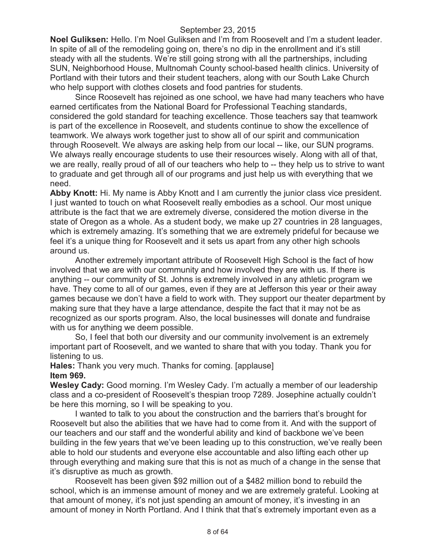**Noel Guliksen:** Hello. I'm Noel Guliksen and I'm from Roosevelt and I'm a student leader. In spite of all of the remodeling going on, there's no dip in the enrollment and it's still steady with all the students. We're still going strong with all the partnerships, including SUN, Neighborhood House, Multnomah County school-based health clinics. University of Portland with their tutors and their student teachers, along with our South Lake Church who help support with clothes closets and food pantries for students.

Since Roosevelt has rejoined as one school, we have had many teachers who have earned certificates from the National Board for Professional Teaching standards, considered the gold standard for teaching excellence. Those teachers say that teamwork is part of the excellence in Roosevelt, and students continue to show the excellence of teamwork. We always work together just to show all of our spirit and communication through Roosevelt. We always are asking help from our local -- like, our SUN programs. We always really encourage students to use their resources wisely. Along with all of that, we are really, really proud of all of our teachers who help to -- they help us to strive to want to graduate and get through all of our programs and just help us with everything that we need.

**Abby Knott:** Hi. My name is Abby Knott and I am currently the junior class vice president. I just wanted to touch on what Roosevelt really embodies as a school. Our most unique attribute is the fact that we are extremely diverse, considered the motion diverse in the state of Oregon as a whole. As a student body, we make up 27 countries in 28 languages, which is extremely amazing. It's something that we are extremely prideful for because we feel it's a unique thing for Roosevelt and it sets us apart from any other high schools around us.

Another extremely important attribute of Roosevelt High School is the fact of how involved that we are with our community and how involved they are with us. If there is anything -- our community of St. Johns is extremely involved in any athletic program we have. They come to all of our games, even if they are at Jefferson this year or their away games because we don't have a field to work with. They support our theater department by making sure that they have a large attendance, despite the fact that it may not be as recognized as our sports program. Also, the local businesses will donate and fundraise with us for anything we deem possible.

So, I feel that both our diversity and our community involvement is an extremely important part of Roosevelt, and we wanted to share that with you today. Thank you for listening to us.

**Hales:** Thank you very much. Thanks for coming. [applause] **Item 969.**

**Wesley Cady:** Good morning. I'm Wesley Cady. I'm actually a member of our leadership class and a co-president of Roosevelt's thespian troop 7289. Josephine actually couldn't be here this morning, so I will be speaking to you.

I wanted to talk to you about the construction and the barriers that's brought for Roosevelt but also the abilities that we have had to come from it. And with the support of our teachers and our staff and the wonderful ability and kind of backbone we've been building in the few years that we've been leading up to this construction, we've really been able to hold our students and everyone else accountable and also lifting each other up through everything and making sure that this is not as much of a change in the sense that it's disruptive as much as growth.

Roosevelt has been given \$92 million out of a \$482 million bond to rebuild the school, which is an immense amount of money and we are extremely grateful. Looking at that amount of money, it's not just spending an amount of money, it's investing in an amount of money in North Portland. And I think that that's extremely important even as a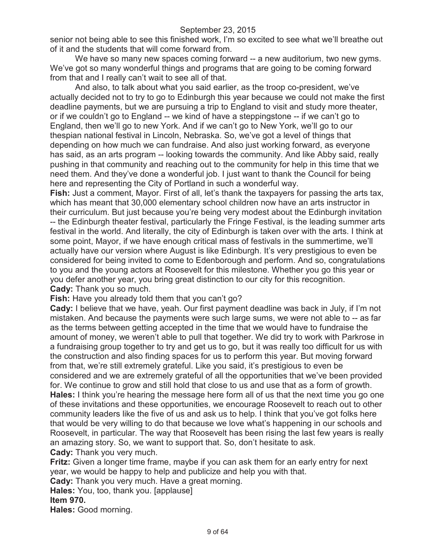senior not being able to see this finished work, I'm so excited to see what we'll breathe out of it and the students that will come forward from.

We have so many new spaces coming forward -- a new auditorium, two new gyms. We've got so many wonderful things and programs that are going to be coming forward from that and I really can't wait to see all of that.

And also, to talk about what you said earlier, as the troop co-president, we've actually decided not to try to go to Edinburgh this year because we could not make the first deadline payments, but we are pursuing a trip to England to visit and study more theater, or if we couldn't go to England -- we kind of have a steppingstone -- if we can't go to England, then we'll go to new York. And if we can't go to New York, we'll go to our thespian national festival in Lincoln, Nebraska. So, we've got a level of things that depending on how much we can fundraise. And also just working forward, as everyone has said, as an arts program -- looking towards the community. And like Abby said, really pushing in that community and reaching out to the community for help in this time that we need them. And they've done a wonderful job. I just want to thank the Council for being here and representing the City of Portland in such a wonderful way.

**Fish:** Just a comment, Mayor. First of all, let's thank the taxpayers for passing the arts tax, which has meant that 30,000 elementary school children now have an arts instructor in their curriculum. But just because you're being very modest about the Edinburgh invitation -- the Edinburgh theater festival, particularly the Fringe Festival, is the leading summer arts festival in the world. And literally, the city of Edinburgh is taken over with the arts. I think at some point, Mayor, if we have enough critical mass of festivals in the summertime, we'll actually have our version where August is like Edinburgh. It's very prestigious to even be considered for being invited to come to Edenborough and perform. And so, congratulations to you and the young actors at Roosevelt for this milestone. Whether you go this year or you defer another year, you bring great distinction to our city for this recognition. **Cady:** Thank you so much.

**Fish:** Have you already told them that you can't go?

**Cady:** I believe that we have, yeah. Our first payment deadline was back in July, if I'm not mistaken. And because the payments were such large sums, we were not able to -- as far as the terms between getting accepted in the time that we would have to fundraise the amount of money, we weren't able to pull that together. We did try to work with Parkrose in a fundraising group together to try and get us to go, but it was really too difficult for us with the construction and also finding spaces for us to perform this year. But moving forward from that, we're still extremely grateful. Like you said, it's prestigious to even be considered and we are extremely grateful of all the opportunities that we've been provided for. We continue to grow and still hold that close to us and use that as a form of growth. **Hales:** I think you're hearing the message here form all of us that the next time you go one of these invitations and these opportunities, we encourage Roosevelt to reach out to other community leaders like the five of us and ask us to help. I think that you've got folks here that would be very willing to do that because we love what's happening in our schools and Roosevelt, in particular. The way that Roosevelt has been rising the last few years is really an amazing story. So, we want to support that. So, don't hesitate to ask. **Cady:** Thank you very much.

**Fritz:** Given a longer time frame, maybe if you can ask them for an early entry for next year, we would be happy to help and publicize and help you with that.

**Cady:** Thank you very much. Have a great morning.

**Hales:** You, too, thank you. [applause]

**Item 970.**

**Hales:** Good morning.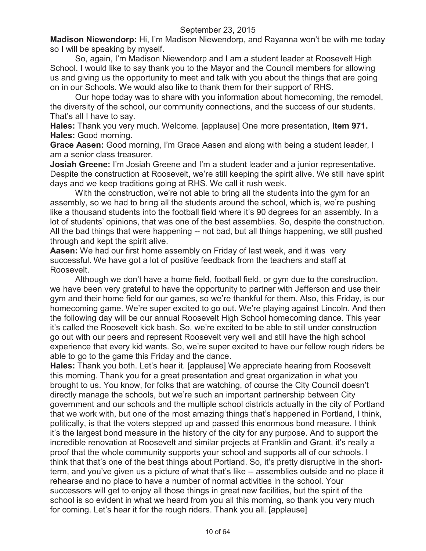**Madison Niewendorp:** Hi, I'm Madison Niewendorp, and Rayanna won't be with me today so I will be speaking by myself.

So, again, I'm Madison Niewendorp and I am a student leader at Roosevelt High School. I would like to say thank you to the Mayor and the Council members for allowing us and giving us the opportunity to meet and talk with you about the things that are going on in our Schools. We would also like to thank them for their support of RHS.

Our hope today was to share with you information about homecoming, the remodel, the diversity of the school, our community connections, and the success of our students. That's all I have to say.

**Hales:** Thank you very much. Welcome. [applause] One more presentation, **Item 971. Hales:** Good morning.

**Grace Aasen:** Good morning, I'm Grace Aasen and along with being a student leader, I am a senior class treasurer.

**Josiah Greene:** I'm Josiah Greene and I'm a student leader and a junior representative. Despite the construction at Roosevelt, we're still keeping the spirit alive. We still have spirit days and we keep traditions going at RHS. We call it rush week.

With the construction, we're not able to bring all the students into the gym for an assembly, so we had to bring all the students around the school, which is, we're pushing like a thousand students into the football field where it's 90 degrees for an assembly. In a lot of students' opinions, that was one of the best assemblies. So, despite the construction. All the bad things that were happening -- not bad, but all things happening, we still pushed through and kept the spirit alive.

**Aasen:** We had our first home assembly on Friday of last week, and it was very successful. We have got a lot of positive feedback from the teachers and staff at Roosevelt.

Although we don't have a home field, football field, or gym due to the construction, we have been very grateful to have the opportunity to partner with Jefferson and use their gym and their home field for our games, so we're thankful for them. Also, this Friday, is our homecoming game. We're super excited to go out. We're playing against Lincoln. And then the following day will be our annual Roosevelt High School homecoming dance. This year it's called the Roosevelt kick bash. So, we're excited to be able to still under construction go out with our peers and represent Roosevelt very well and still have the high school experience that every kid wants. So, we're super excited to have our fellow rough riders be able to go to the game this Friday and the dance.

**Hales:** Thank you both. Let's hear it. [applause] We appreciate hearing from Roosevelt this morning. Thank you for a great presentation and great organization in what you brought to us. You know, for folks that are watching, of course the City Council doesn't directly manage the schools, but we're such an important partnership between City government and our schools and the multiple school districts actually in the city of Portland that we work with, but one of the most amazing things that's happened in Portland, I think, politically, is that the voters stepped up and passed this enormous bond measure. I think it's the largest bond measure in the history of the city for any purpose. And to support the incredible renovation at Roosevelt and similar projects at Franklin and Grant, it's really a proof that the whole community supports your school and supports all of our schools. I think that that's one of the best things about Portland. So, it's pretty disruptive in the shortterm, and you've given us a picture of what that's like -- assemblies outside and no place it rehearse and no place to have a number of normal activities in the school. Your successors will get to enjoy all those things in great new facilities, but the spirit of the school is so evident in what we heard from you all this morning, so thank you very much for coming. Let's hear it for the rough riders. Thank you all. [applause]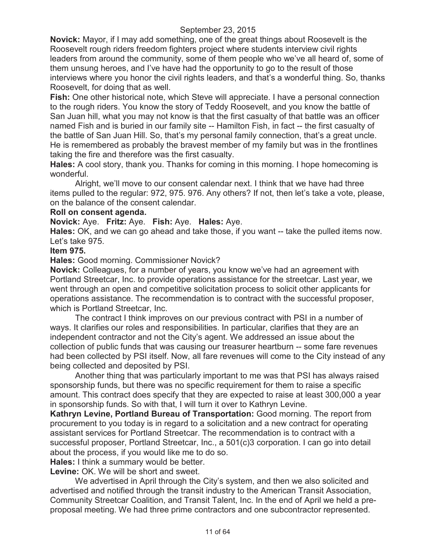**Novick:** Mayor, if I may add something, one of the great things about Roosevelt is the Roosevelt rough riders freedom fighters project where students interview civil rights leaders from around the community, some of them people who we've all heard of, some of them unsung heroes, and I've have had the opportunity to go to the result of those interviews where you honor the civil rights leaders, and that's a wonderful thing. So, thanks Roosevelt, for doing that as well.

**Fish:** One other historical note, which Steve will appreciate. I have a personal connection to the rough riders. You know the story of Teddy Roosevelt, and you know the battle of San Juan hill, what you may not know is that the first casualty of that battle was an officer named Fish and is buried in our family site -- Hamilton Fish, in fact -- the first casualty of the battle of San Juan Hill. So, that's my personal family connection, that's a great uncle. He is remembered as probably the bravest member of my family but was in the frontlines taking the fire and therefore was the first casualty.

**Hales:** A cool story, thank you. Thanks for coming in this morning. I hope homecoming is wonderful.

Alright, we'll move to our consent calendar next. I think that we have had three items pulled to the regular: 972, 975. 976. Any others? If not, then let's take a vote, please, on the balance of the consent calendar.

#### **Roll on consent agenda.**

**Novick:** Aye. **Fritz:** Aye. **Fish:** Aye. **Hales:** Aye.

**Hales:** OK, and we can go ahead and take those, if you want -- take the pulled items now. Let's take 975.

### **Item 975.**

**Hales:** Good morning. Commissioner Novick?

**Novick:** Colleagues, for a number of years, you know we've had an agreement with Portland Streetcar, Inc. to provide operations assistance for the streetcar. Last year, we went through an open and competitive solicitation process to solicit other applicants for operations assistance. The recommendation is to contract with the successful proposer, which is Portland Streetcar, Inc.

The contract I think improves on our previous contract with PSI in a number of ways. It clarifies our roles and responsibilities. In particular, clarifies that they are an independent contractor and not the City's agent. We addressed an issue about the collection of public funds that was causing our treasurer heartburn -- some fare revenues had been collected by PSI itself. Now, all fare revenues will come to the City instead of any being collected and deposited by PSI.

Another thing that was particularly important to me was that PSI has always raised sponsorship funds, but there was no specific requirement for them to raise a specific amount. This contract does specify that they are expected to raise at least 300,000 a year in sponsorship funds. So with that, I will turn it over to Kathryn Levine.

**Kathryn Levine, Portland Bureau of Transportation:** Good morning. The report from procurement to you today is in regard to a solicitation and a new contract for operating assistant services for Portland Streetcar. The recommendation is to contract with a successful proposer, Portland Streetcar, Inc., a 501(c)3 corporation. I can go into detail about the process, if you would like me to do so.

**Hales:** I think a summary would be better.

**Levine:** OK. We will be short and sweet.

We advertised in April through the City's system, and then we also solicited and advertised and notified through the transit industry to the American Transit Association, Community Streetcar Coalition, and Transit Talent, Inc. In the end of April we held a preproposal meeting. We had three prime contractors and one subcontractor represented.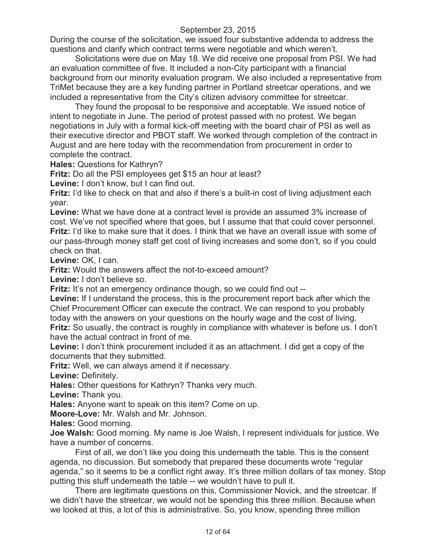During the course of the solicitation, we issued four substantive addenda to address the questions and clarify which contract terms were negotiable and which weren't.

Solicitations were due on May 18. We did receive one proposal from PSI. We had an evaluation committee of five. It included a non-City participant with a financial background from our minority evaluation program. We also included a representative from TriMet because they are a key funding partner in Portland streetcar operations, and we included a representative from the City's citizen advisory committee for streetcar.

They found the proposal to be responsive and acceptable. We issued notice of intent to negotiate in June. The period of protest passed with no protest. We began negotiations in July with a formal kick-off meeting with the board chair of PSI as well as their executive director and PBOT staff. We worked through completion of the contract in August and are here today with the recommendation from procurement in order to complete the contract.

**Hales:** Questions for Kathryn?

**Fritz:** Do all the PSI employees get \$15 an hour at least?

**Levine:** I don't know, but I can find out.

**Fritz:** I'd like to check on that and also if there's a built-in cost of living adjustment each year.

**Levine:** What we have done at a contract level is provide an assumed 3% increase of cost. We've not specified where that goes, but I assume that that could cover personnel. **Fritz:** I'd like to make sure that it does. I think that we have an overall issue with some of our pass-through money staff get cost of living increases and some don't, so if you could check on that.

Levine: OK, I can.

**Fritz:** Would the answers affect the not-to-exceed amount?

**Levine:** I don't believe so.

**Fritz:** It's not an emergency ordinance though, so we could find out --

**Levine:** If I understand the process, this is the procurement report back after which the Chief Procurement Officer can execute the contract. We can respond to you probably today with the answers on your questions on the hourly wage and the cost of living. **Fritz:** So usually, the contract is roughly in compliance with whatever is before us. I don't have the actual contract in front of me.

**Levine:** I don't think procurement included it as an attachment. I did get a copy of the documents that they submitted.

**Fritz:** Well, we can always amend it if necessary.

**Levine:** Definitely.

**Hales:** Other questions for Kathryn? Thanks very much.

**Levine:** Thank you.

**Hales:** Anyone want to speak on this item? Come on up.

**Moore-Love:** Mr. Walsh and Mr. Johnson.

**Hales:** Good morning.

**Joe Walsh:** Good morning. My name is Joe Walsh, I represent individuals for justice. We have a number of concerns.

First of all, we don't like you doing this underneath the table. This is the consent agenda, no discussion. But somebody that prepared these documents wrote "regular agenda," so it seems to be a conflict right away. It's three million dollars of tax money. Stop putting this stuff underneath the table -- we wouldn't have to pull it.

There are legitimate questions on this, Commissioner Novick, and the streetcar. If we didn't have the streetcar, we would not be spending this three million. Because when we looked at this, a lot of this is administrative. So, you know, spending three million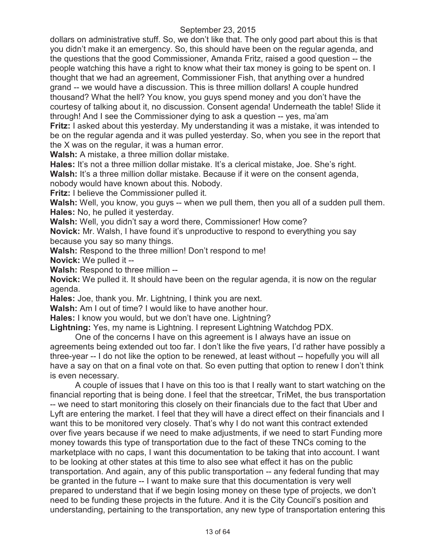dollars on administrative stuff. So, we don't like that. The only good part about this is that you didn't make it an emergency. So, this should have been on the regular agenda, and the questions that the good Commissioner, Amanda Fritz, raised a good question -- the people watching this have a right to know what their tax money is going to be spent on. I thought that we had an agreement, Commissioner Fish, that anything over a hundred grand -- we would have a discussion. This is three million dollars! A couple hundred thousand? What the hell? You know, you guys spend money and you don't have the courtesy of talking about it, no discussion. Consent agenda! Underneath the table! Slide it through! And I see the Commissioner dying to ask a question -- yes, ma'am

**Fritz:** I asked about this yesterday. My understanding it was a mistake, it was intended to be on the regular agenda and it was pulled yesterday. So, when you see in the report that the X was on the regular, it was a human error.

**Walsh:** A mistake, a three million dollar mistake.

**Hales:** It's not a three million dollar mistake. It's a clerical mistake, Joe. She's right.

Walsh: It's a three million dollar mistake. Because if it were on the consent agenda,

nobody would have known about this. Nobody.

**Fritz:** I believe the Commissioner pulled it.

**Walsh:** Well, you know, you guys -- when we pull them, then you all of a sudden pull them. **Hales:** No, he pulled it yesterday.

**Walsh:** Well, you didn't say a word there, Commissioner! How come?

**Novick:** Mr. Walsh, I have found it's unproductive to respond to everything you say because you say so many things.

**Walsh:** Respond to the three million! Don't respond to me!

**Novick:** We pulled it --

**Walsh: Respond to three million --**

**Novick:** We pulled it. It should have been on the regular agenda, it is now on the regular agenda.

**Hales:** Joe, thank you. Mr. Lightning, I think you are next.

**Walsh:** Am I out of time? I would like to have another hour.

**Hales:** I know you would, but we don't have one. Lightning?

**Lightning:** Yes, my name is Lightning. I represent Lightning Watchdog PDX.

One of the concerns I have on this agreement is I always have an issue on agreements being extended out too far. I don't like the five years, I'd rather have possibly a three-year -- I do not like the option to be renewed, at least without -- hopefully you will all have a say on that on a final vote on that. So even putting that option to renew I don't think is even necessary.

A couple of issues that I have on this too is that I really want to start watching on the financial reporting that is being done. I feel that the streetcar, TriMet, the bus transportation -- we need to start monitoring this closely on their financials due to the fact that Uber and Lyft are entering the market. I feel that they will have a direct effect on their financials and I want this to be monitored very closely. That's why I do not want this contract extended over five years because if we need to make adjustments, if we need to start Funding more money towards this type of transportation due to the fact of these TNCs coming to the marketplace with no caps, I want this documentation to be taking that into account. I want to be looking at other states at this time to also see what effect it has on the public transportation. And again, any of this public transportation -- any federal funding that may be granted in the future -- I want to make sure that this documentation is very well prepared to understand that if we begin losing money on these type of projects, we don't need to be funding these projects in the future. And it is the City Council's position and understanding, pertaining to the transportation, any new type of transportation entering this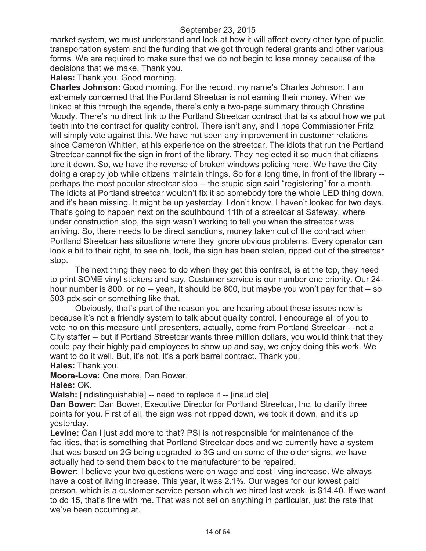market system, we must understand and look at how it will affect every other type of public transportation system and the funding that we got through federal grants and other various forms. We are required to make sure that we do not begin to lose money because of the decisions that we make. Thank you.

**Hales:** Thank you. Good morning.

**Charles Johnson:** Good morning. For the record, my name's Charles Johnson. I am extremely concerned that the Portland Streetcar is not earning their money. When we linked at this through the agenda, there's only a two-page summary through Christine Moody. There's no direct link to the Portland Streetcar contract that talks about how we put teeth into the contract for quality control. There isn't any, and I hope Commissioner Fritz will simply vote against this. We have not seen any improvement in customer relations since Cameron Whitten, at his experience on the streetcar. The idiots that run the Portland Streetcar cannot fix the sign in front of the library. They neglected it so much that citizens tore it down. So, we have the reverse of broken windows policing here. We have the City doing a crappy job while citizens maintain things. So for a long time, in front of the library - perhaps the most popular streetcar stop -- the stupid sign said "registering" for a month. The idiots at Portland streetcar wouldn't fix it so somebody tore the whole LED thing down, and it's been missing. It might be up yesterday. I don't know, I haven't looked for two days. That's going to happen next on the southbound 11th of a streetcar at Safeway, where under construction stop, the sign wasn't working to tell you when the streetcar was arriving. So, there needs to be direct sanctions, money taken out of the contract when Portland Streetcar has situations where they ignore obvious problems. Every operator can look a bit to their right, to see oh, look, the sign has been stolen, ripped out of the streetcar stop.

The next thing they need to do when they get this contract, is at the top, they need to print SOME vinyl stickers and say, Customer service is our number one priority. Our 24 hour number is 800, or no -- yeah, it should be 800, but maybe you won't pay for that -- so 503-pdx-scir or something like that.

Obviously, that's part of the reason you are hearing about these issues now is because it's not a friendly system to talk about quality control. I encourage all of you to vote no on this measure until presenters, actually, come from Portland Streetcar - -not a City staffer -- but if Portland Streetcar wants three million dollars, you would think that they could pay their highly paid employees to show up and say, we enjoy doing this work. We want to do it well. But, it's not. It's a pork barrel contract. Thank you.

**Hales:** Thank you.

**Moore-Love:** One more, Dan Bower.

**Hales:** OK.

**Walsh:** [indistinguishable] -- need to replace it -- [inaudible]

**Dan Bower:** Dan Bower, Executive Director for Portland Streetcar, Inc. to clarify three points for you. First of all, the sign was not ripped down, we took it down, and it's up yesterday.

**Levine:** Can I just add more to that? PSI is not responsible for maintenance of the facilities, that is something that Portland Streetcar does and we currently have a system that was based on 2G being upgraded to 3G and on some of the older signs, we have actually had to send them back to the manufacturer to be repaired.

**Bower:** I believe your two questions were on wage and cost living increase. We always have a cost of living increase. This year, it was 2.1%. Our wages for our lowest paid person, which is a customer service person which we hired last week, is \$14.40. If we want to do 15, that's fine with me. That was not set on anything in particular, just the rate that we've been occurring at.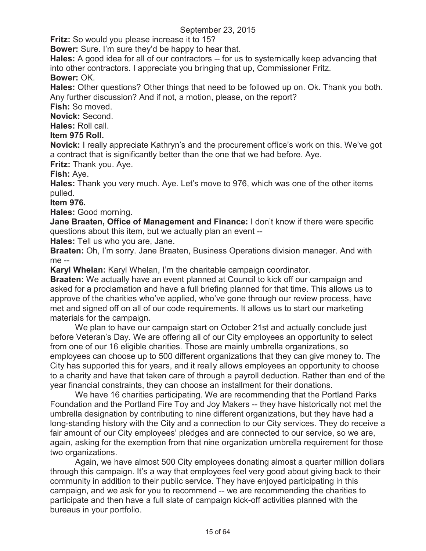**Fritz:** So would you please increase it to 15?

**Bower:** Sure. I'm sure they'd be happy to hear that.

**Hales:** A good idea for all of our contractors -- for us to systemically keep advancing that into other contractors. I appreciate you bringing that up, Commissioner Fritz.

## **Bower:** OK.

**Hales:** Other questions? Other things that need to be followed up on. Ok. Thank you both. Any further discussion? And if not, a motion, please, on the report?

**Fish:** So moved.

**Novick:** Second.

**Hales:** Roll call.

# **Item 975 Roll.**

**Novick:** I really appreciate Kathryn's and the procurement office's work on this. We've got a contract that is significantly better than the one that we had before. Aye.

**Fritz:** Thank you. Aye.

**Fish:** Aye.

**Hales:** Thank you very much. Aye. Let's move to 976, which was one of the other items pulled.

### **Item 976.**

**Hales:** Good morning.

**Jane Braaten, Office of Management and Finance:** I don't know if there were specific questions about this item, but we actually plan an event --

**Hales:** Tell us who you are, Jane.

**Braaten:** Oh, I'm sorry. Jane Braaten, Business Operations division manager. And with me --

**Karyl Whelan:** Karyl Whelan, I'm the charitable campaign coordinator.

**Braaten:** We actually have an event planned at Council to kick off our campaign and asked for a proclamation and have a full briefing planned for that time. This allows us to approve of the charities who've applied, who've gone through our review process, have met and signed off on all of our code requirements. It allows us to start our marketing materials for the campaign.

We plan to have our campaign start on October 21st and actually conclude just before Veteran's Day. We are offering all of our City employees an opportunity to select from one of our 16 eligible charities. Those are mainly umbrella organizations, so employees can choose up to 500 different organizations that they can give money to. The City has supported this for years, and it really allows employees an opportunity to choose to a charity and have that taken care of through a payroll deduction. Rather than end of the year financial constraints, they can choose an installment for their donations.

We have 16 charities participating. We are recommending that the Portland Parks Foundation and the Portland Fire Toy and Joy Makers -- they have historically not met the umbrella designation by contributing to nine different organizations, but they have had a long-standing history with the City and a connection to our City services. They do receive a fair amount of our City employees' pledges and are connected to our service, so we are, again, asking for the exemption from that nine organization umbrella requirement for those two organizations.

Again, we have almost 500 City employees donating almost a quarter million dollars through this campaign. It's a way that employees feel very good about giving back to their community in addition to their public service. They have enjoyed participating in this campaign, and we ask for you to recommend -- we are recommending the charities to participate and then have a full slate of campaign kick-off activities planned with the bureaus in your portfolio.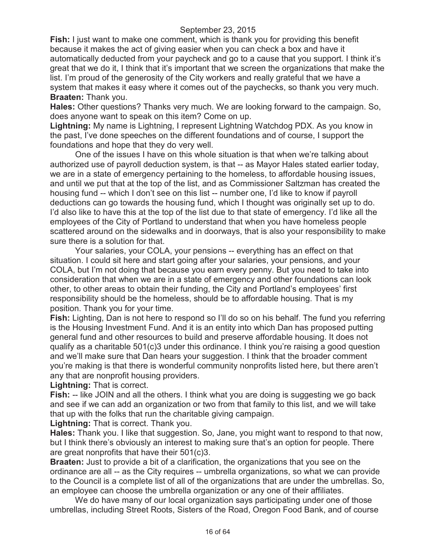**Fish:** I just want to make one comment, which is thank you for providing this benefit because it makes the act of giving easier when you can check a box and have it automatically deducted from your paycheck and go to a cause that you support. I think it's great that we do it, I think that it's important that we screen the organizations that make the list. I'm proud of the generosity of the City workers and really grateful that we have a system that makes it easy where it comes out of the paychecks, so thank you very much. **Braaten:** Thank you.

**Hales:** Other questions? Thanks very much. We are looking forward to the campaign. So, does anyone want to speak on this item? Come on up.

**Lightning:** My name is Lightning, I represent Lightning Watchdog PDX. As you know in the past, I've done speeches on the different foundations and of course, I support the foundations and hope that they do very well.

One of the issues I have on this whole situation is that when we're talking about authorized use of payroll deduction system, is that -- as Mayor Hales stated earlier today, we are in a state of emergency pertaining to the homeless, to affordable housing issues, and until we put that at the top of the list, and as Commissioner Saltzman has created the housing fund -- which I don't see on this list -- number one, I'd like to know if payroll deductions can go towards the housing fund, which I thought was originally set up to do. I'd also like to have this at the top of the list due to that state of emergency. I'd like all the employees of the City of Portland to understand that when you have homeless people scattered around on the sidewalks and in doorways, that is also your responsibility to make sure there is a solution for that.

Your salaries, your COLA, your pensions -- everything has an effect on that situation. I could sit here and start going after your salaries, your pensions, and your COLA, but I'm not doing that because you earn every penny. But you need to take into consideration that when we are in a state of emergency and other foundations can look other, to other areas to obtain their funding, the City and Portland's employees' first responsibility should be the homeless, should be to affordable housing. That is my position. Thank you for your time.

**Fish:** Lighting, Dan is not here to respond so I'll do so on his behalf. The fund you referring is the Housing Investment Fund. And it is an entity into which Dan has proposed putting general fund and other resources to build and preserve affordable housing. It does not qualify as a charitable 501(c)3 under this ordinance. I think you're raising a good question and we'll make sure that Dan hears your suggestion. I think that the broader comment you're making is that there is wonderful community nonprofits listed here, but there aren't any that are nonprofit housing providers.

**Lightning:** That is correct.

**Fish:** -- like JOIN and all the others. I think what you are doing is suggesting we go back and see if we can add an organization or two from that family to this list, and we will take that up with the folks that run the charitable giving campaign.

**Lightning:** That is correct. Thank you.

**Hales:** Thank you. I like that suggestion. So, Jane, you might want to respond to that now, but I think there's obviously an interest to making sure that's an option for people. There are great nonprofits that have their 501(c)3.

**Braaten:** Just to provide a bit of a clarification, the organizations that you see on the ordinance are all -- as the City requires -- umbrella organizations, so what we can provide to the Council is a complete list of all of the organizations that are under the umbrellas. So, an employee can choose the umbrella organization or any one of their affiliates.

We do have many of our local organization says participating under one of those umbrellas, including Street Roots, Sisters of the Road, Oregon Food Bank, and of course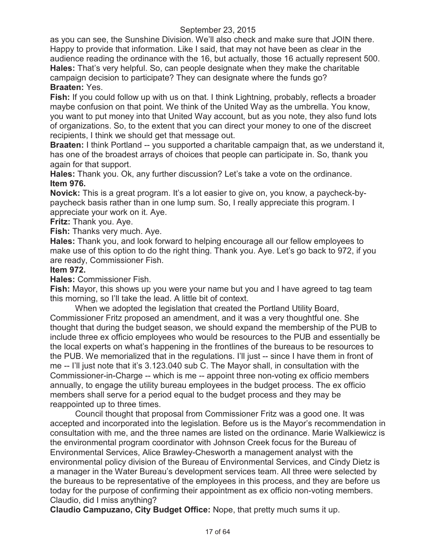as you can see, the Sunshine Division. We'll also check and make sure that JOIN there. Happy to provide that information. Like I said, that may not have been as clear in the audience reading the ordinance with the 16, but actually, those 16 actually represent 500. **Hales:** That's very helpful. So, can people designate when they make the charitable campaign decision to participate? They can designate where the funds go? **Braaten:** Yes.

**Fish:** If you could follow up with us on that. I think Lightning, probably, reflects a broader maybe confusion on that point. We think of the United Way as the umbrella. You know, you want to put money into that United Way account, but as you note, they also fund lots of organizations. So, to the extent that you can direct your money to one of the discreet recipients, I think we should get that message out.

**Braaten:** I think Portland -- you supported a charitable campaign that, as we understand it, has one of the broadest arrays of choices that people can participate in. So, thank you again for that support.

**Hales:** Thank you. Ok, any further discussion? Let's take a vote on the ordinance. **Item 976.**

**Novick:** This is a great program. It's a lot easier to give on, you know, a paycheck-bypaycheck basis rather than in one lump sum. So, I really appreciate this program. I appreciate your work on it. Aye.

**Fritz:** Thank you. Aye.

**Fish:** Thanks very much. Aye.

**Hales:** Thank you, and look forward to helping encourage all our fellow employees to make use of this option to do the right thing. Thank you. Aye. Let's go back to 972, if you are ready, Commissioner Fish.

#### **Item 972.**

**Hales:** Commissioner Fish.

**Fish:** Mayor, this shows up you were your name but you and I have agreed to tag team this morning, so I'll take the lead. A little bit of context.

When we adopted the legislation that created the Portland Utility Board, Commissioner Fritz proposed an amendment, and it was a very thoughtful one. She thought that during the budget season, we should expand the membership of the PUB to include three ex officio employees who would be resources to the PUB and essentially be the local experts on what's happening in the frontlines of the bureaus to be resources to the PUB. We memorialized that in the regulations. I'll just -- since I have them in front of me -- I'll just note that it's 3.123.040 sub C. The Mayor shall, in consultation with the Commissioner-in-Charge -- which is me -- appoint three non-voting ex officio members annually, to engage the utility bureau employees in the budget process. The ex officio members shall serve for a period equal to the budget process and they may be reappointed up to three times.

Council thought that proposal from Commissioner Fritz was a good one. It was accepted and incorporated into the legislation. Before us is the Mayor's recommendation in consultation with me, and the three names are listed on the ordinance. Marie Walkiewicz is the environmental program coordinator with Johnson Creek focus for the Bureau of Environmental Services, Alice Brawley-Chesworth a management analyst with the environmental policy division of the Bureau of Environmental Services, and Cindy Dietz is a manager in the Water Bureau's development services team. All three were selected by the bureaus to be representative of the employees in this process, and they are before us today for the purpose of confirming their appointment as ex officio non-voting members. Claudio, did I miss anything?

**Claudio Campuzano, City Budget Office:** Nope, that pretty much sums it up.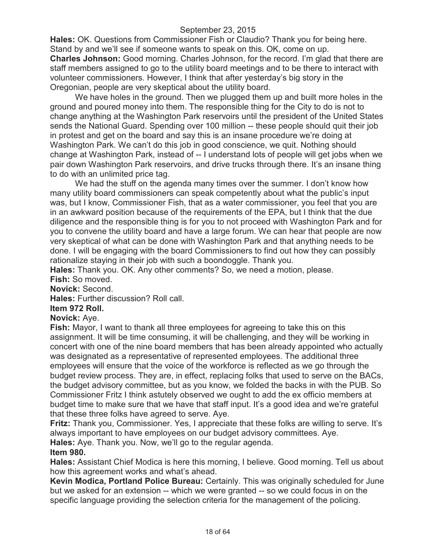**Hales:** OK. Questions from Commissioner Fish or Claudio? Thank you for being here. Stand by and we'll see if someone wants to speak on this. OK, come on up. **Charles Johnson:** Good morning. Charles Johnson, for the record. I'm glad that there are staff members assigned to go to the utility board meetings and to be there to interact with volunteer commissioners. However, I think that after yesterday's big story in the Oregonian, people are very skeptical about the utility board.

We have holes in the ground. Then we plugged them up and built more holes in the ground and poured money into them. The responsible thing for the City to do is not to change anything at the Washington Park reservoirs until the president of the United States sends the National Guard. Spending over 100 million -- these people should quit their job in protest and get on the board and say this is an insane procedure we're doing at Washington Park. We can't do this job in good conscience, we quit. Nothing should change at Washington Park, instead of -- I understand lots of people will get jobs when we pair down Washington Park reservoirs, and drive trucks through there. It's an insane thing to do with an unlimited price tag.

We had the stuff on the agenda many times over the summer. I don't know how many utility board commissioners can speak competently about what the public's input was, but I know, Commissioner Fish, that as a water commissioner, you feel that you are in an awkward position because of the requirements of the EPA, but I think that the due diligence and the responsible thing is for you to not proceed with Washington Park and for you to convene the utility board and have a large forum. We can hear that people are now very skeptical of what can be done with Washington Park and that anything needs to be done. I will be engaging with the board Commissioners to find out how they can possibly rationalize staying in their job with such a boondoggle. Thank you.

**Hales:** Thank you. OK. Any other comments? So, we need a motion, please. **Fish:** So moved.

**Novick:** Second.

**Hales:** Further discussion? Roll call.

#### **Item 972 Roll.**

**Novick:** Aye.

**Fish:** Mayor, I want to thank all three employees for agreeing to take this on this assignment. It will be time consuming, it will be challenging, and they will be working in concert with one of the nine board members that has been already appointed who actually was designated as a representative of represented employees. The additional three employees will ensure that the voice of the workforce is reflected as we go through the budget review process. They are, in effect, replacing folks that used to serve on the BACs, the budget advisory committee, but as you know, we folded the backs in with the PUB. So Commissioner Fritz I think astutely observed we ought to add the ex officio members at budget time to make sure that we have that staff input. It's a good idea and we're grateful that these three folks have agreed to serve. Aye.

**Fritz:** Thank you, Commissioner. Yes, I appreciate that these folks are willing to serve. It's always important to have employees on our budget advisory committees. Aye. **Hales:** Aye. Thank you. Now, we'll go to the regular agenda.

## **Item 980.**

**Hales:** Assistant Chief Modica is here this morning, I believe. Good morning. Tell us about how this agreement works and what's ahead.

**Kevin Modica, Portland Police Bureau:** Certainly. This was originally scheduled for June but we asked for an extension -- which we were granted -- so we could focus in on the specific language providing the selection criteria for the management of the policing.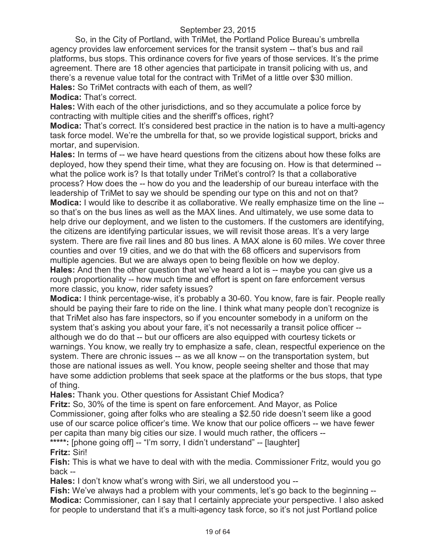So, in the City of Portland, with TriMet, the Portland Police Bureau's umbrella agency provides law enforcement services for the transit system -- that's bus and rail platforms, bus stops. This ordinance covers for five years of those services. It's the prime agreement. There are 18 other agencies that participate in transit policing with us, and there's a revenue value total for the contract with TriMet of a little over \$30 million. **Hales:** So TriMet contracts with each of them, as well?

**Modica:** That's correct.

**Hales:** With each of the other jurisdictions, and so they accumulate a police force by contracting with multiple cities and the sheriff's offices, right?

**Modica:** That's correct. It's considered best practice in the nation is to have a multi-agency task force model. We're the umbrella for that, so we provide logistical support, bricks and mortar, and supervision.

**Hales:** In terms of -- we have heard questions from the citizens about how these folks are deployed, how they spend their time, what they are focusing on. How is that determined - what the police work is? Is that totally under TriMet's control? Is that a collaborative process? How does the -- how do you and the leadership of our bureau interface with the leadership of TriMet to say we should be spending our type on this and not on that? **Modica:** I would like to describe it as collaborative. We really emphasize time on the line - so that's on the bus lines as well as the MAX lines. And ultimately, we use some data to help drive our deployment, and we listen to the customers. If the customers are identifying, the citizens are identifying particular issues, we will revisit those areas. It's a very large system. There are five rail lines and 80 bus lines. A MAX alone is 60 miles. We cover three counties and over 19 cities, and we do that with the 68 officers and supervisors from multiple agencies. But we are always open to being flexible on how we deploy.

**Hales:** And then the other question that we've heard a lot is -- maybe you can give us a rough proportionality -- how much time and effort is spent on fare enforcement versus more classic, you know, rider safety issues?

**Modica:** I think percentage-wise, it's probably a 30-60. You know, fare is fair. People really should be paying their fare to ride on the line. I think what many people don't recognize is that TriMet also has fare inspectors, so if you encounter somebody in a uniform on the system that's asking you about your fare, it's not necessarily a transit police officer - although we do do that -- but our officers are also equipped with courtesy tickets or warnings. You know, we really try to emphasize a safe, clean, respectful experience on the system. There are chronic issues -- as we all know -- on the transportation system, but those are national issues as well. You know, people seeing shelter and those that may have some addiction problems that seek space at the platforms or the bus stops, that type of thing.

**Hales:** Thank you. Other questions for Assistant Chief Modica?

**Fritz:** So, 30% of the time is spent on fare enforcement. And Mayor, as Police Commissioner, going after folks who are stealing a \$2.50 ride doesn't seem like a good use of our scarce police officer's time. We know that our police officers -- we have fewer per capita than many big cities our size. I would much rather, the officers -- **\*\*\*\*\*:** [phone going off] -- "I'm sorry, I didn't understand" -- [laughter]

**Fritz:** Siri!

**Fish:** This is what we have to deal with with the media. Commissioner Fritz, would you go back --

**Hales:** I don't know what's wrong with Siri, we all understood you --

**Fish:** We've always had a problem with your comments, let's go back to the beginning -- **Modica:** Commissioner, can I say that I certainly appreciate your perspective. I also asked for people to understand that it's a multi-agency task force, so it's not just Portland police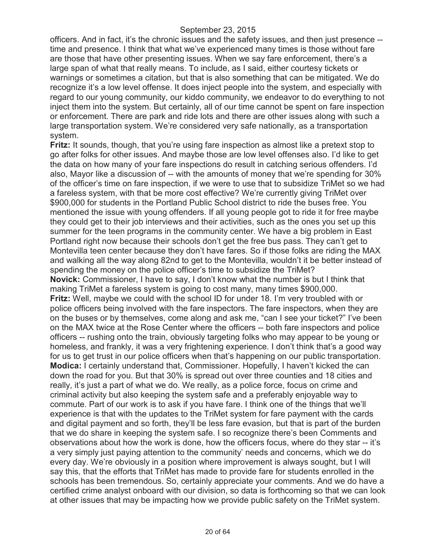officers. And in fact, it's the chronic issues and the safety issues, and then just presence - time and presence. I think that what we've experienced many times is those without fare are those that have other presenting issues. When we say fare enforcement, there's a large span of what that really means. To include, as I said, either courtesy tickets or warnings or sometimes a citation, but that is also something that can be mitigated. We do recognize it's a low level offense. It does inject people into the system, and especially with regard to our young community, our kiddo community, we endeavor to do everything to not inject them into the system. But certainly, all of our time cannot be spent on fare inspection or enforcement. There are park and ride lots and there are other issues along with such a large transportation system. We're considered very safe nationally, as a transportation system.

**Fritz:** It sounds, though, that you're using fare inspection as almost like a pretext stop to go after folks for other issues. And maybe those are low level offenses also. I'd like to get the data on how many of your fare inspections do result in catching serious offenders. I'd also, Mayor like a discussion of -- with the amounts of money that we're spending for 30% of the officer's time on fare inspection, if we were to use that to subsidize TriMet so we had a fareless system, with that be more cost effective? We're currently giving TriMet over \$900,000 for students in the Portland Public School district to ride the buses free. You mentioned the issue with young offenders. If all young people got to ride it for free maybe they could get to their job interviews and their activities, such as the ones you set up this summer for the teen programs in the community center. We have a big problem in East Portland right now because their schools don't get the free bus pass. They can't get to Montevilla teen center because they don't have fares. So if those folks are riding the MAX and walking all the way along 82nd to get to the Montevilla, wouldn't it be better instead of spending the money on the police officer's time to subsidize the TriMet? **Novick:** Commissioner, I have to say, I don't know what the number is but I think that making TriMet a fareless system is going to cost many, many times \$900,000. **Fritz:** Well, maybe we could with the school ID for under 18. I'm very troubled with or police officers being involved with the fare inspectors. The fare inspectors, when they are on the buses or by themselves, come along and ask me, "can I see your ticket?" I've been on the MAX twice at the Rose Center where the officers -- both fare inspectors and police officers -- rushing onto the train, obviously targeting folks who may appear to be young or homeless, and frankly, it was a very frightening experience. I don't think that's a good way for us to get trust in our police officers when that's happening on our public transportation. **Modica:** I certainly understand that, Commissioner. Hopefully, I haven't kicked the can down the road for you. But that 30% is spread out over three counties and 18 cities and really, it's just a part of what we do. We really, as a police force, focus on crime and criminal activity but also keeping the system safe and a preferably enjoyable way to commute. Part of our work is to ask if you have fare. I think one of the things that we'll experience is that with the updates to the TriMet system for fare payment with the cards and digital payment and so forth, they'll be less fare evasion, but that is part of the burden that we do share in keeping the system safe. I so recognize there's been Comments and observations about how the work is done, how the officers focus, where do they star -- it's a very simply just paying attention to the community' needs and concerns, which we do every day. We're obviously in a position where improvement is always sought, but I will say this, that the efforts that TriMet has made to provide fare for students enrolled in the schools has been tremendous. So, certainly appreciate your comments. And we do have a certified crime analyst onboard with our division, so data is forthcoming so that we can look at other issues that may be impacting how we provide public safety on the TriMet system.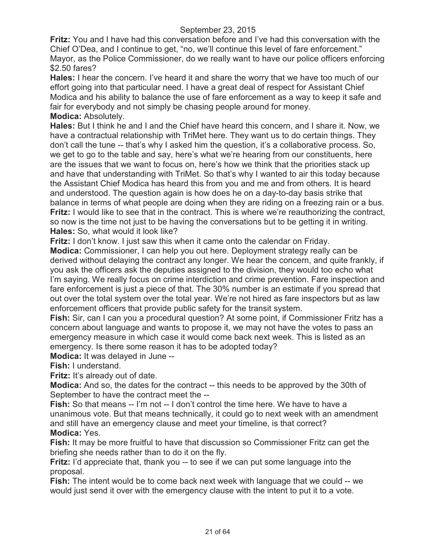**Fritz:** You and I have had this conversation before and I've had this conversation with the Chief O'Dea, and I continue to get, "no, we'll continue this level of fare enforcement." Mayor, as the Police Commissioner, do we really want to have our police officers enforcing \$2.50 fares?

**Hales:** I hear the concern. I've heard it and share the worry that we have too much of our effort going into that particular need. I have a great deal of respect for Assistant Chief Modica and his ability to balance the use of fare enforcement as a way to keep it safe and fair for everybody and not simply be chasing people around for money. **Modica:** Absolutely.

**Hales:** But I think he and I and the Chief have heard this concern, and I share it. Now, we have a contractual relationship with TriMet here. They want us to do certain things. They don't call the tune -- that's why I asked him the question, it's a collaborative process. So, we get to go to the table and say, here's what we're hearing from our constituents, here are the issues that we want to focus on, here's how we think that the priorities stack up and have that understanding with TriMet. So that's why I wanted to air this today because the Assistant Chief Modica has heard this from you and me and from others. It is heard and understood. The question again is how does he on a day-to-day basis strike that balance in terms of what people are doing when they are riding on a freezing rain or a bus. **Fritz:** I would like to see that in the contract. This is where we're reauthorizing the contract, so now is the time not just to be having the conversations but to be getting it in writing. **Hales:** So, what would it look like?

**Fritz:** I don't know. I just saw this when it came onto the calendar on Friday.

**Modica:** Commissioner, I can help you out here. Deployment strategy really can be derived without delaying the contract any longer. We hear the concern, and quite frankly, if you ask the officers ask the deputies assigned to the division, they would too echo what I'm saying. We really focus on crime interdiction and crime prevention. Fare inspection and fare enforcement is just a piece of that. The 30% number is an estimate if you spread that out over the total system over the total year. We're not hired as fare inspectors but as law enforcement officers that provide public safety for the transit system.

**Fish:** Sir, can I can you a procedural question? At some point, if Commissioner Fritz has a concern about language and wants to propose it, we may not have the votes to pass an emergency measure in which case it would come back next week. This is listed as an emergency. Is there some reason it has to be adopted today?

**Modica:** It was delayed in June --

**Fish:** I understand.

**Fritz:** It's already out of date.

**Modica:** And so, the dates for the contract -- this needs to be approved by the 30th of September to have the contract meet the --

**Fish:** So that means -- I'm not -- I don't control the time here. We have to have a unanimous vote. But that means technically, it could go to next week with an amendment and still have an emergency clause and meet your timeline, is that correct? **Modica:** Yes.

**Fish:** It may be more fruitful to have that discussion so Commissioner Fritz can get the briefing she needs rather than to do it on the fly.

**Fritz:** I'd appreciate that, thank you -- to see if we can put some language into the proposal.

**Fish:** The intent would be to come back next week with language that we could -- we would just send it over with the emergency clause with the intent to put it to a vote.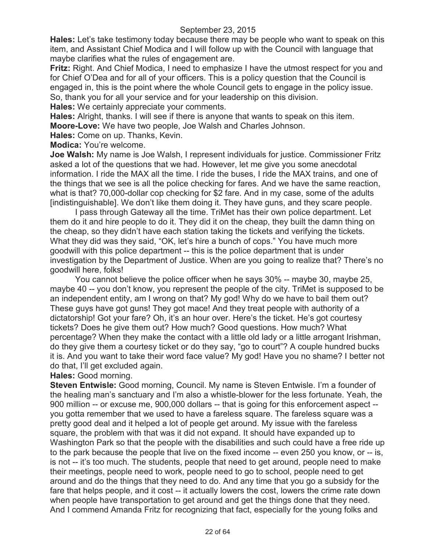**Hales:** Let's take testimony today because there may be people who want to speak on this item, and Assistant Chief Modica and I will follow up with the Council with language that maybe clarifies what the rules of engagement are.

**Fritz:** Right. And Chief Modica, I need to emphasize I have the utmost respect for you and for Chief O'Dea and for all of your officers. This is a policy question that the Council is engaged in, this is the point where the whole Council gets to engage in the policy issue. So, thank you for all your service and for your leadership on this division.

**Hales:** We certainly appreciate your comments.

**Hales:** Alright, thanks. I will see if there is anyone that wants to speak on this item. **Moore-Love:** We have two people, Joe Walsh and Charles Johnson.

**Hales:** Come on up. Thanks, Kevin.

**Modica:** You're welcome.

**Joe Walsh:** My name is Joe Walsh, I represent individuals for justice. Commissioner Fritz asked a lot of the questions that we had. However, let me give you some anecdotal information. I ride the MAX all the time. I ride the buses, I ride the MAX trains, and one of the things that we see is all the police checking for fares. And we have the same reaction, what is that? 70,000-dollar cop checking for \$2 fare. And in my case, some of the adults [indistinguishable]. We don't like them doing it. They have guns, and they scare people.

I pass through Gateway all the time. TriMet has their own police department. Let them do it and hire people to do it. They did it on the cheap, they built the damn thing on the cheap, so they didn't have each station taking the tickets and verifying the tickets. What they did was they said, "OK, let's hire a bunch of cops." You have much more goodwill with this police department -- this is the police department that is under investigation by the Department of Justice. When are you going to realize that? There's no goodwill here, folks!

You cannot believe the police officer when he says 30% -- maybe 30, maybe 25, maybe 40 -- you don't know, you represent the people of the city. TriMet is supposed to be an independent entity, am I wrong on that? My god! Why do we have to bail them out? These guys have got guns! They got mace! And they treat people with authority of a dictatorship! Got your fare? Oh, it's an hour over. Here's the ticket. He's got courtesy tickets? Does he give them out? How much? Good questions. How much? What percentage? When they make the contact with a little old lady or a little arrogant Irishman, do they give them a courtesy ticket or do they say, "go to court"? A couple hundred bucks it is. And you want to take their word face value? My god! Have you no shame? I better not do that, I'll get excluded again.

**Hales:** Good morning.

**Steven Entwisle:** Good morning, Council. My name is Steven Entwisle. I'm a founder of the healing man's sanctuary and I'm also a whistle-blower for the less fortunate. Yeah, the 900 million -- or excuse me, 900,000 dollars -- that is going for this enforcement aspect - you gotta remember that we used to have a fareless square. The fareless square was a pretty good deal and it helped a lot of people get around. My issue with the fareless square, the problem with that was it did not expand. It should have expanded up to Washington Park so that the people with the disabilities and such could have a free ride up to the park because the people that live on the fixed income -- even 250 you know, or -- is, is not -- it's too much. The students, people that need to get around, people need to make their meetings, people need to work, people need to go to school, people need to get around and do the things that they need to do. And any time that you go a subsidy for the fare that helps people, and it cost -- it actually lowers the cost, lowers the crime rate down when people have transportation to get around and get the things done that they need. And I commend Amanda Fritz for recognizing that fact, especially for the young folks and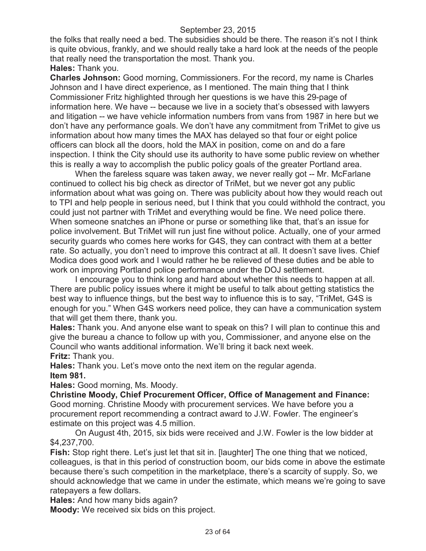the folks that really need a bed. The subsidies should be there. The reason it's not I think is quite obvious, frankly, and we should really take a hard look at the needs of the people that really need the transportation the most. Thank you.

## **Hales:** Thank you.

**Charles Johnson:** Good morning, Commissioners. For the record, my name is Charles Johnson and I have direct experience, as I mentioned. The main thing that I think Commissioner Fritz highlighted through her questions is we have this 29-page of information here. We have -- because we live in a society that's obsessed with lawyers and litigation -- we have vehicle information numbers from vans from 1987 in here but we don't have any performance goals. We don't have any commitment from TriMet to give us information about how many times the MAX has delayed so that four or eight police officers can block all the doors, hold the MAX in position, come on and do a fare inspection. I think the City should use its authority to have some public review on whether this is really a way to accomplish the public policy goals of the greater Portland area.

When the fareless square was taken away, we never really got -- Mr. McFarlane continued to collect his big check as director of TriMet, but we never got any public information about what was going on. There was publicity about how they would reach out to TPI and help people in serious need, but I think that you could withhold the contract, you could just not partner with TriMet and everything would be fine. We need police there. When someone snatches an iPhone or purse or something like that, that's an issue for police involvement. But TriMet will run just fine without police. Actually, one of your armed security guards who comes here works for G4S, they can contract with them at a better rate. So actually, you don't need to improve this contract at all. It doesn't save lives. Chief Modica does good work and I would rather he be relieved of these duties and be able to work on improving Portland police performance under the DOJ settlement.

I encourage you to think long and hard about whether this needs to happen at all. There are public policy issues where it might be useful to talk about getting statistics the best way to influence things, but the best way to influence this is to say, "TriMet, G4S is enough for you." When G4S workers need police, they can have a communication system that will get them there, thank you.

**Hales:** Thank you. And anyone else want to speak on this? I will plan to continue this and give the bureau a chance to follow up with you, Commissioner, and anyone else on the Council who wants additional information. We'll bring it back next week. **Fritz:** Thank you.

**Hales:** Thank you. Let's move onto the next item on the regular agenda. **Item 981.**

**Hales:** Good morning, Ms. Moody.

**Christine Moody, Chief Procurement Officer, Office of Management and Finance:**  Good morning. Christine Moody with procurement services. We have before you a procurement report recommending a contract award to J.W. Fowler. The engineer's estimate on this project was 4.5 million.

On August 4th, 2015, six bids were received and J.W. Fowler is the low bidder at \$4,237,700.

**Fish:** Stop right there. Let's just let that sit in. [laughter] The one thing that we noticed, colleagues, is that in this period of construction boom, our bids come in above the estimate because there's such competition in the marketplace, there's a scarcity of supply. So, we should acknowledge that we came in under the estimate, which means we're going to save ratepayers a few dollars.

**Hales:** And how many bids again?

**Moody:** We received six bids on this project.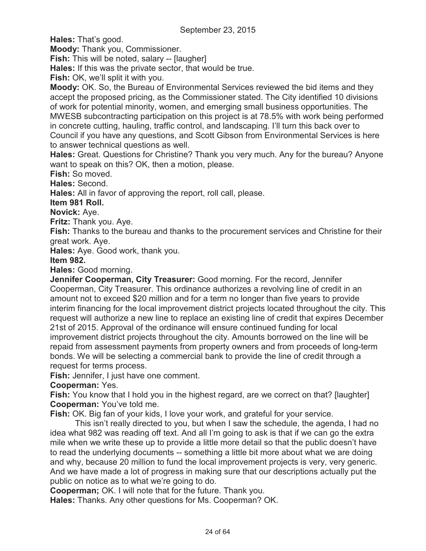**Hales:** That's good.

**Moody:** Thank you, Commissioner.

**Fish:** This will be noted, salary -- [laugher]

**Hales:** If this was the private sector, that would be true.

**Fish:** OK, we'll split it with you.

**Moody:** OK. So, the Bureau of Environmental Services reviewed the bid items and they accept the proposed pricing, as the Commissioner stated. The City identified 10 divisions of work for potential minority, women, and emerging small business opportunities. The MWESB subcontracting participation on this project is at 78.5% with work being performed in concrete cutting, hauling, traffic control, and landscaping. I'll turn this back over to Council if you have any questions, and Scott Gibson from Environmental Services is here to answer technical questions as well.

**Hales:** Great. Questions for Christine? Thank you very much. Any for the bureau? Anyone want to speak on this? OK, then a motion, please.

**Fish:** So moved.

**Hales:** Second.

**Hales:** All in favor of approving the report, roll call, please.

**Item 981 Roll.**

**Novick:** Aye.

**Fritz:** Thank you. Aye.

**Fish:** Thanks to the bureau and thanks to the procurement services and Christine for their great work. Aye.

**Hales:** Aye. Good work, thank you.

**Item 982.**

**Hales:** Good morning.

**Jennifer Cooperman, City Treasurer:** Good morning. For the record, Jennifer Cooperman, City Treasurer. This ordinance authorizes a revolving line of credit in an amount not to exceed \$20 million and for a term no longer than five years to provide interim financing for the local improvement district projects located throughout the city. This request will authorize a new line to replace an existing line of credit that expires December 21st of 2015. Approval of the ordinance will ensure continued funding for local improvement district projects throughout the city. Amounts borrowed on the line will be repaid from assessment payments from property owners and from proceeds of long-term bonds. We will be selecting a commercial bank to provide the line of credit through a request for terms process.

**Fish:** Jennifer, I just have one comment.

**Cooperman:** Yes.

**Fish:** You know that I hold you in the highest regard, are we correct on that? [laughter] **Cooperman:** You've told me.

**Fish:** OK. Big fan of your kids, I love your work, and grateful for your service.

This isn't really directed to you, but when I saw the schedule, the agenda, I had no idea what 982 was reading off text. And all I'm going to ask is that if we can go the extra mile when we write these up to provide a little more detail so that the public doesn't have to read the underlying documents -- something a little bit more about what we are doing and why, because 20 million to fund the local improvement projects is very, very generic. And we have made a lot of progress in making sure that our descriptions actually put the public on notice as to what we're going to do.

**Cooperman;** OK. I will note that for the future. Thank you.

**Hales:** Thanks. Any other questions for Ms. Cooperman? OK.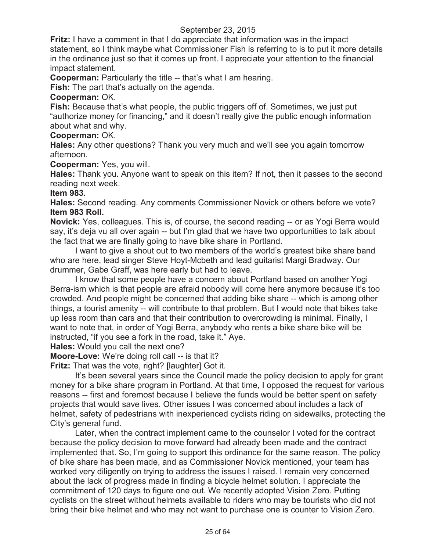**Fritz:** I have a comment in that I do appreciate that information was in the impact statement, so I think maybe what Commissioner Fish is referring to is to put it more details in the ordinance just so that it comes up front. I appreciate your attention to the financial impact statement.

**Cooperman:** Particularly the title -- that's what I am hearing.

**Fish:** The part that's actually on the agenda.

## **Cooperman:** OK.

**Fish:** Because that's what people, the public triggers off of. Sometimes, we just put "authorize money for financing," and it doesn't really give the public enough information about what and why.

# **Cooperman:** OK.

**Hales:** Any other questions? Thank you very much and we'll see you again tomorrow afternoon.

**Cooperman:** Yes, you will.

**Hales:** Thank you. Anyone want to speak on this item? If not, then it passes to the second reading next week.

## **Item 983.**

**Hales:** Second reading. Any comments Commissioner Novick or others before we vote? **Item 983 Roll.**

**Novick:** Yes, colleagues. This is, of course, the second reading -- or as Yogi Berra would say, it's deja vu all over again -- but I'm glad that we have two opportunities to talk about the fact that we are finally going to have bike share in Portland.

I want to give a shout out to two members of the world's greatest bike share band who are here, lead singer Steve Hoyt-Mcbeth and lead guitarist Margi Bradway. Our drummer, Gabe Graff, was here early but had to leave.

I know that some people have a concern about Portland based on another Yogi Berra-ism which is that people are afraid nobody will come here anymore because it's too crowded. And people might be concerned that adding bike share -- which is among other things, a tourist amenity -- will contribute to that problem. But I would note that bikes take up less room than cars and that their contribution to overcrowding is minimal. Finally, I want to note that, in order of Yogi Berra, anybody who rents a bike share bike will be instructed, "if you see a fork in the road, take it." Aye.

**Hales:** Would you call the next one?

**Moore-Love:** We're doing roll call -- is that it?

**Fritz:** That was the vote, right? [laughter] Got it.

It's been several years since the Council made the policy decision to apply for grant money for a bike share program in Portland. At that time, I opposed the request for various reasons -- first and foremost because I believe the funds would be better spent on safety projects that would save lives. Other issues I was concerned about includes a lack of helmet, safety of pedestrians with inexperienced cyclists riding on sidewalks, protecting the City's general fund.

Later, when the contract implement came to the counselor I voted for the contract because the policy decision to move forward had already been made and the contract implemented that. So, I'm going to support this ordinance for the same reason. The policy of bike share has been made, and as Commissioner Novick mentioned, your team has worked very diligently on trying to address the issues I raised. I remain very concerned about the lack of progress made in finding a bicycle helmet solution. I appreciate the commitment of 120 days to figure one out. We recently adopted Vision Zero. Putting cyclists on the street without helmets available to riders who may be tourists who did not bring their bike helmet and who may not want to purchase one is counter to Vision Zero.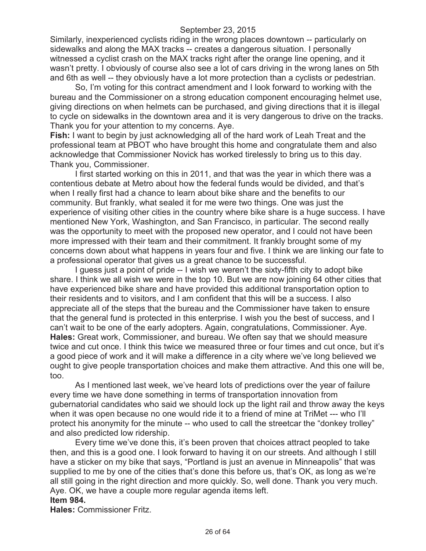Similarly, inexperienced cyclists riding in the wrong places downtown -- particularly on sidewalks and along the MAX tracks -- creates a dangerous situation. I personally witnessed a cyclist crash on the MAX tracks right after the orange line opening, and it wasn't pretty. I obviously of course also see a lot of cars driving in the wrong lanes on 5th and 6th as well -- they obviously have a lot more protection than a cyclists or pedestrian.

So, I'm voting for this contract amendment and I look forward to working with the bureau and the Commissioner on a strong education component encouraging helmet use, giving directions on when helmets can be purchased, and giving directions that it is illegal to cycle on sidewalks in the downtown area and it is very dangerous to drive on the tracks. Thank you for your attention to my concerns. Aye.

**Fish:** I want to begin by just acknowledging all of the hard work of Leah Treat and the professional team at PBOT who have brought this home and congratulate them and also acknowledge that Commissioner Novick has worked tirelessly to bring us to this day. Thank you, Commissioner.

I first started working on this in 2011, and that was the year in which there was a contentious debate at Metro about how the federal funds would be divided, and that's when I really first had a chance to learn about bike share and the benefits to our community. But frankly, what sealed it for me were two things. One was just the experience of visiting other cities in the country where bike share is a huge success. I have mentioned New York, Washington, and San Francisco, in particular. The second really was the opportunity to meet with the proposed new operator, and I could not have been more impressed with their team and their commitment. It frankly brought some of my concerns down about what happens in years four and five. I think we are linking our fate to a professional operator that gives us a great chance to be successful.

I guess just a point of pride -- I wish we weren't the sixty-fifth city to adopt bike share. I think we all wish we were in the top 10. But we are now joining 64 other cities that have experienced bike share and have provided this additional transportation option to their residents and to visitors, and I am confident that this will be a success. I also appreciate all of the steps that the bureau and the Commissioner have taken to ensure that the general fund is protected in this enterprise. I wish you the best of success, and I can't wait to be one of the early adopters. Again, congratulations, Commissioner. Aye. **Hales:** Great work, Commissioner, and bureau. We often say that we should measure twice and cut once. I think this twice we measured three or four times and cut once, but it's a good piece of work and it will make a difference in a city where we've long believed we ought to give people transportation choices and make them attractive. And this one will be, too.

As I mentioned last week, we've heard lots of predictions over the year of failure every time we have done something in terms of transportation innovation from gubernatorial candidates who said we should lock up the light rail and throw away the keys when it was open because no one would ride it to a friend of mine at TriMet --- who I'll protect his anonymity for the minute -- who used to call the streetcar the "donkey trolley" and also predicted low ridership.

Every time we've done this, it's been proven that choices attract peopled to take then, and this is a good one. I look forward to having it on our streets. And although I still have a sticker on my bike that says, "Portland is just an avenue in Minneapolis" that was supplied to me by one of the cities that's done this before us, that's OK, as long as we're all still going in the right direction and more quickly. So, well done. Thank you very much. Aye. OK, we have a couple more regular agenda items left.

# **Item 984.**

**Hales:** Commissioner Fritz.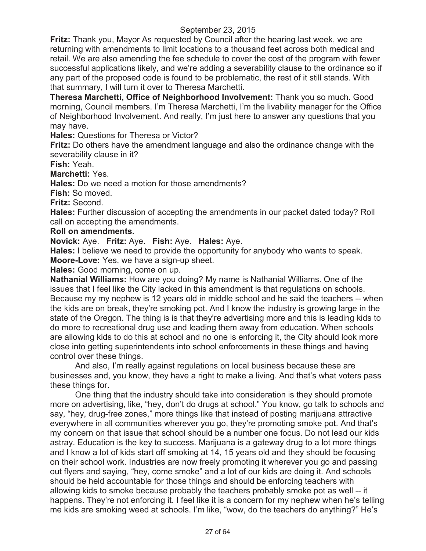**Fritz:** Thank you, Mayor As requested by Council after the hearing last week, we are returning with amendments to limit locations to a thousand feet across both medical and retail. We are also amending the fee schedule to cover the cost of the program with fewer successful applications likely, and we're adding a severability clause to the ordinance so if any part of the proposed code is found to be problematic, the rest of it still stands. With that summary, I will turn it over to Theresa Marchetti.

**Theresa Marchetti, Office of Neighborhood Involvement:** Thank you so much. Good morning, Council members. I'm Theresa Marchetti, I'm the livability manager for the Office of Neighborhood Involvement. And really, I'm just here to answer any questions that you may have.

**Hales:** Questions for Theresa or Victor?

**Fritz:** Do others have the amendment language and also the ordinance change with the severability clause in it?

**Fish:** Yeah.

**Marchetti:** Yes.

**Hales:** Do we need a motion for those amendments?

**Fish:** So moved.

**Fritz:** Second.

**Hales:** Further discussion of accepting the amendments in our packet dated today? Roll call on accepting the amendments.

## **Roll on amendments.**

**Novick:** Aye. **Fritz:** Aye. **Fish:** Aye. **Hales:** Aye.

**Hales:** I believe we need to provide the opportunity for anybody who wants to speak. **Moore-Love:** Yes, we have a sign-up sheet.

**Hales:** Good morning, come on up.

**Nathanial Williams:** How are you doing? My name is Nathanial Williams. One of the issues that I feel like the City lacked in this amendment is that regulations on schools. Because my my nephew is 12 years old in middle school and he said the teachers -- when the kids are on break, they're smoking pot. And I know the industry is growing large in the state of the Oregon. The thing is is that they're advertising more and this is leading kids to do more to recreational drug use and leading them away from education. When schools are allowing kids to do this at school and no one is enforcing it, the City should look more close into getting superintendents into school enforcements in these things and having control over these things.

And also, I'm really against regulations on local business because these are businesses and, you know, they have a right to make a living. And that's what voters pass these things for.

One thing that the industry should take into consideration is they should promote more on advertising, like, "hey, don't do drugs at school." You know, go talk to schools and say, "hey, drug-free zones," more things like that instead of posting marijuana attractive everywhere in all communities wherever you go, they're promoting smoke pot. And that's my concern on that issue that school should be a number one focus. Do not lead our kids astray. Education is the key to success. Marijuana is a gateway drug to a lot more things and I know a lot of kids start off smoking at 14, 15 years old and they should be focusing on their school work. Industries are now freely promoting it wherever you go and passing out flyers and saying, "hey, come smoke" and a lot of our kids are doing it. And schools should be held accountable for those things and should be enforcing teachers with allowing kids to smoke because probably the teachers probably smoke pot as well -- it happens. They're not enforcing it. I feel like it is a concern for my nephew when he's telling me kids are smoking weed at schools. I'm like, "wow, do the teachers do anything?" He's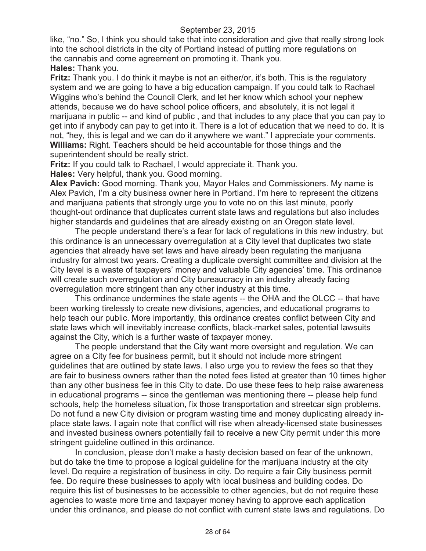like, "no." So, I think you should take that into consideration and give that really strong look into the school districts in the city of Portland instead of putting more regulations on the cannabis and come agreement on promoting it. Thank you. **Hales:** Thank you.

**Fritz:** Thank you. I do think it maybe is not an either/or, it's both. This is the regulatory system and we are going to have a big education campaign. If you could talk to Rachael Wiggins who's behind the Council Clerk, and let her know which school your nephew attends, because we do have school police officers, and absolutely, it is not legal it marijuana in public -- and kind of public , and that includes to any place that you can pay to get into if anybody can pay to get into it. There is a lot of education that we need to do. It is not, "hey, this is legal and we can do it anywhere we want." I appreciate your comments. **Williams:** Right. Teachers should be held accountable for those things and the superintendent should be really strict.

**Fritz:** If you could talk to Rachael, I would appreciate it. Thank you.

**Hales:** Very helpful, thank you. Good morning.

**Alex Pavich:** Good morning. Thank you, Mayor Hales and Commissioners. My name is Alex Pavich, I'm a city business owner here in Portland. I'm here to represent the citizens and marijuana patients that strongly urge you to vote no on this last minute, poorly thought-out ordinance that duplicates current state laws and regulations but also includes higher standards and guidelines that are already existing on an Oregon state level.

The people understand there's a fear for lack of regulations in this new industry, but this ordinance is an unnecessary overregulation at a City level that duplicates two state agencies that already have set laws and have already been regulating the marijuana industry for almost two years. Creating a duplicate oversight committee and division at the City level is a waste of taxpayers' money and valuable City agencies' time. This ordinance will create such overregulation and City bureaucracy in an industry already facing overregulation more stringent than any other industry at this time.

This ordinance undermines the state agents -- the OHA and the OLCC -- that have been working tirelessly to create new divisions, agencies, and educational programs to help teach our public. More importantly, this ordinance creates conflict between City and state laws which will inevitably increase conflicts, black-market sales, potential lawsuits against the City, which is a further waste of taxpayer money.

The people understand that the City want more oversight and regulation. We can agree on a City fee for business permit, but it should not include more stringent guidelines that are outlined by state laws. I also urge you to review the fees so that they are fair to business owners rather than the noted fees listed at greater than 10 times higher than any other business fee in this City to date. Do use these fees to help raise awareness in educational programs -- since the gentleman was mentioning there -- please help fund schools, help the homeless situation, fix those transportation and streetcar sign problems. Do not fund a new City division or program wasting time and money duplicating already inplace state laws. I again note that conflict will rise when already-licensed state businesses and invested business owners potentially fail to receive a new City permit under this more stringent guideline outlined in this ordinance.

In conclusion, please don't make a hasty decision based on fear of the unknown, but do take the time to propose a logical guideline for the marijuana industry at the city level. Do require a registration of business in city. Do require a fair City business permit fee. Do require these businesses to apply with local business and building codes. Do require this list of businesses to be accessible to other agencies, but do not require these agencies to waste more time and taxpayer money having to approve each application under this ordinance, and please do not conflict with current state laws and regulations. Do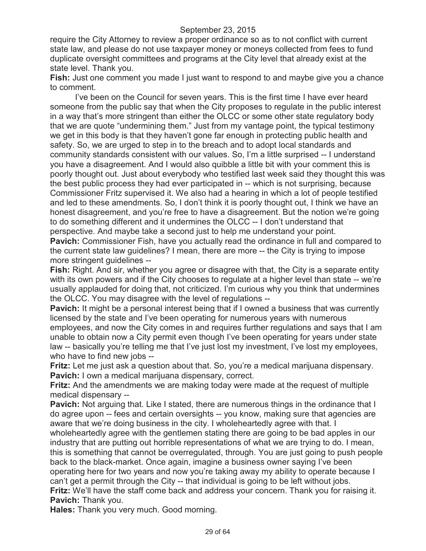require the City Attorney to review a proper ordinance so as to not conflict with current state law, and please do not use taxpayer money or moneys collected from fees to fund duplicate oversight committees and programs at the City level that already exist at the state level. Thank you.

**Fish:** Just one comment you made I just want to respond to and maybe give you a chance to comment.

I've been on the Council for seven years. This is the first time I have ever heard someone from the public say that when the City proposes to regulate in the public interest in a way that's more stringent than either the OLCC or some other state regulatory body that we are quote "undermining them." Just from my vantage point, the typical testimony we get in this body is that they haven't gone far enough in protecting public health and safety. So, we are urged to step in to the breach and to adopt local standards and community standards consistent with our values. So, I'm a little surprised -- I understand you have a disagreement. And I would also quibble a little bit with your comment this is poorly thought out. Just about everybody who testified last week said they thought this was the best public process they had ever participated in -- which is not surprising, because Commissioner Fritz supervised it. We also had a hearing in which a lot of people testified and led to these amendments. So, I don't think it is poorly thought out, I think we have an honest disagreement, and you're free to have a disagreement. But the notion we're going to do something different and it undermines the OLCC -- I don't understand that perspective. And maybe take a second just to help me understand your point.

**Pavich:** Commissioner Fish, have you actually read the ordinance in full and compared to the current state law guidelines? I mean, there are more -- the City is trying to impose more stringent guidelines --

**Fish:** Right. And sir, whether you agree or disagree with that, the City is a separate entity with its own powers and if the City chooses to regulate at a higher level than state -- we're usually applauded for doing that, not criticized. I'm curious why you think that undermines the OLCC. You may disagree with the level of regulations --

**Pavich:** It might be a personal interest being that if I owned a business that was currently licensed by the state and I've been operating for numerous years with numerous employees, and now the City comes in and requires further regulations and says that I am

unable to obtain now a City permit even though I've been operating for years under state law -- basically you're telling me that I've just lost my investment, I've lost my employees, who have to find new jobs --

**Fritz:** Let me just ask a question about that. So, you're a medical marijuana dispensary. **Pavich:** I own a medical marijuana dispensary, correct.

**Fritz:** And the amendments we are making today were made at the request of multiple medical dispensary --

**Pavich:** Not arguing that. Like I stated, there are numerous things in the ordinance that I do agree upon -- fees and certain oversights -- you know, making sure that agencies are aware that we're doing business in the city. I wholeheartedly agree with that. I

wholeheartedly agree with the gentlemen stating there are going to be bad apples in our industry that are putting out horrible representations of what we are trying to do. I mean, this is something that cannot be overregulated, through. You are just going to push people back to the black-market. Once again, imagine a business owner saying I've been operating here for two years and now you're taking away my ability to operate because I can't get a permit through the City -- that individual is going to be left without jobs.

**Fritz:** We'll have the staff come back and address your concern. Thank you for raising it. **Pavich:** Thank you.

**Hales:** Thank you very much. Good morning.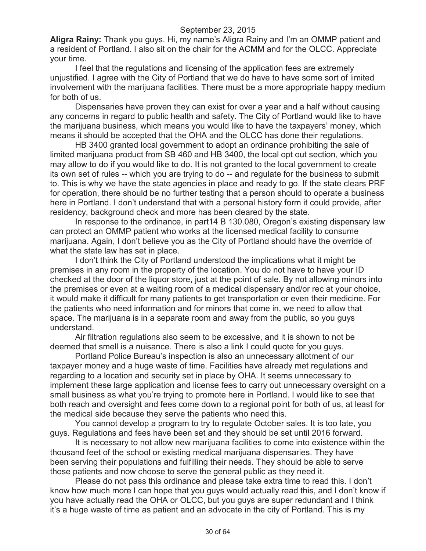**Aligra Rainy:** Thank you guys. Hi, my name's Aligra Rainy and I'm an OMMP patient and a resident of Portland. I also sit on the chair for the ACMM and for the OLCC. Appreciate your time.

I feel that the regulations and licensing of the application fees are extremely unjustified. I agree with the City of Portland that we do have to have some sort of limited involvement with the marijuana facilities. There must be a more appropriate happy medium for both of us.

Dispensaries have proven they can exist for over a year and a half without causing any concerns in regard to public health and safety. The City of Portland would like to have the marijuana business, which means you would like to have the taxpayers' money, which means it should be accepted that the OHA and the OLCC has done their regulations.

HB 3400 granted local government to adopt an ordinance prohibiting the sale of limited marijuana product from SB 460 and HB 3400, the local opt out section, which you may allow to do if you would like to do. It is not granted to the local government to create its own set of rules -- which you are trying to do -- and regulate for the business to submit to. This is why we have the state agencies in place and ready to go. If the state clears PRF for operation, there should be no further testing that a person should to operate a business here in Portland. I don't understand that with a personal history form it could provide, after residency, background check and more has been cleared by the state.

In response to the ordinance, in part14 B 130.080, Oregon's existing dispensary law can protect an OMMP patient who works at the licensed medical facility to consume marijuana. Again, I don't believe you as the City of Portland should have the override of what the state law has set in place.

I don't think the City of Portland understood the implications what it might be premises in any room in the property of the location. You do not have to have your ID checked at the door of the liquor store, just at the point of sale. By not allowing minors into the premises or even at a waiting room of a medical dispensary and/or rec at your choice, it would make it difficult for many patients to get transportation or even their medicine. For the patients who need information and for minors that come in, we need to allow that space. The marijuana is in a separate room and away from the public, so you guys understand.

Air filtration regulations also seem to be excessive, and it is shown to not be deemed that smell is a nuisance. There is also a link I could quote for you guys.

Portland Police Bureau's inspection is also an unnecessary allotment of our taxpayer money and a huge waste of time. Facilities have already met regulations and regarding to a location and security set in place by OHA. It seems unnecessary to implement these large application and license fees to carry out unnecessary oversight on a small business as what you're trying to promote here in Portland. I would like to see that both reach and oversight and fees come down to a regional point for both of us, at least for the medical side because they serve the patients who need this.

You cannot develop a program to try to regulate October sales. It is too late, you guys. Regulations and fees have been set and they should be set until 2016 forward.

It is necessary to not allow new marijuana facilities to come into existence within the thousand feet of the school or existing medical marijuana dispensaries. They have been serving their populations and fulfilling their needs. They should be able to serve those patients and now choose to serve the general public as they need it.

Please do not pass this ordinance and please take extra time to read this. I don't know how much more I can hope that you guys would actually read this, and I don't know if you have actually read the OHA or OLCC, but you guys are super redundant and I think it's a huge waste of time as patient and an advocate in the city of Portland. This is my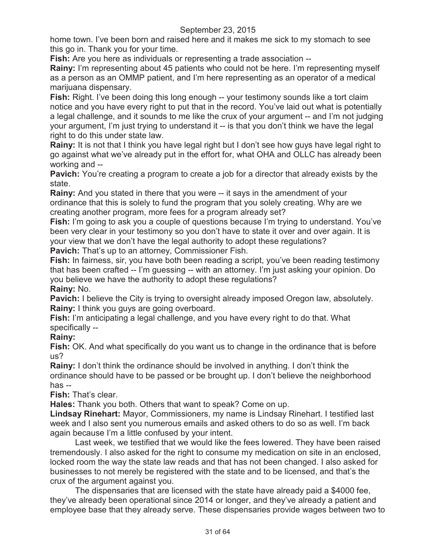home town. I've been born and raised here and it makes me sick to my stomach to see this go in. Thank you for your time.

**Fish:** Are you here as individuals or representing a trade association --

**Rainy:** I'm representing about 45 patients who could not be here. I'm representing myself as a person as an OMMP patient, and I'm here representing as an operator of a medical marijuana dispensary.

**Fish:** Right. I've been doing this long enough -- your testimony sounds like a tort claim notice and you have every right to put that in the record. You've laid out what is potentially a legal challenge, and it sounds to me like the crux of your argument -- and I'm not judging your argument, I'm just trying to understand it -- is that you don't think we have the legal right to do this under state law.

**Rainy:** It is not that I think you have legal right but I don't see how guys have legal right to go against what we've already put in the effort for, what OHA and OLLC has already been working and --

**Pavich:** You're creating a program to create a job for a director that already exists by the state.

**Rainy:** And you stated in there that you were  $-$  it says in the amendment of your ordinance that this is solely to fund the program that you solely creating. Why are we creating another program, more fees for a program already set?

**Fish:** I'm going to ask you a couple of questions because I'm trying to understand. You've been very clear in your testimony so you don't have to state it over and over again. It is your view that we don't have the legal authority to adopt these regulations? **Pavich:** That's up to an attorney, Commissioner Fish.

**Fish:** In fairness, sir, you have both been reading a script, you've been reading testimony that has been crafted -- I'm guessing -- with an attorney. I'm just asking your opinion. Do you believe we have the authority to adopt these regulations?

# **Rainy:** No.

**Pavich:** I believe the City is trying to oversight already imposed Oregon law, absolutely. **Rainy:** I think you guys are going overboard.

**Fish:** I'm anticipating a legal challenge, and you have every right to do that. What specifically --

## **Rainy:**

**Fish:** OK. And what specifically do you want us to change in the ordinance that is before us?

**Rainy:** I don't think the ordinance should be involved in anything. I don't think the ordinance should have to be passed or be brought up. I don't believe the neighborhood has --

**Fish:** That's clear.

**Hales:** Thank you both. Others that want to speak? Come on up.

**Lindsay Rinehart:** Mayor, Commissioners, my name is Lindsay Rinehart. I testified last week and I also sent you numerous emails and asked others to do so as well. I'm back again because I'm a little confused by your intent.

Last week, we testified that we would like the fees lowered. They have been raised tremendously. I also asked for the right to consume my medication on site in an enclosed, locked room the way the state law reads and that has not been changed. I also asked for businesses to not merely be registered with the state and to be licensed, and that's the crux of the argument against you.

The dispensaries that are licensed with the state have already paid a \$4000 fee, they've already been operational since 2014 or longer, and they've already a patient and employee base that they already serve. These dispensaries provide wages between two to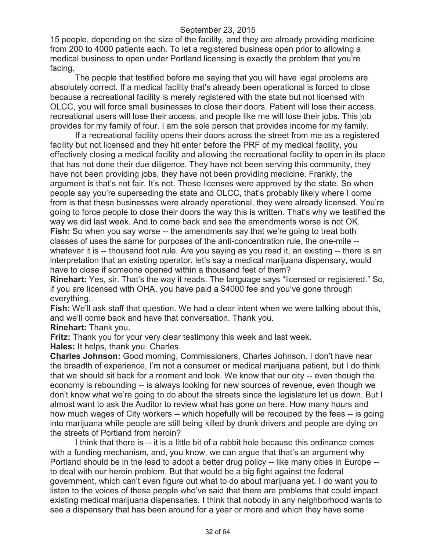15 people, depending on the size of the facility, and they are already providing medicine from 200 to 4000 patients each. To let a registered business open prior to allowing a medical business to open under Portland licensing is exactly the problem that you're facing.

The people that testified before me saying that you will have legal problems are absolutely correct. If a medical facility that's already been operational is forced to close because a recreational facility is merely registered with the state but not licensed with OLCC, you will force small businesses to close their doors. Patient will lose their access, recreational users will lose their access, and people like me will lose their jobs. This job provides for my family of four. I am the sole person that provides income for my family.

If a recreational facility opens their doors across the street from me as a registered facility but not licensed and they hit enter before the PRF of my medical facility, you effectively closing a medical facility and allowing the recreational facility to open in its place that has not done their due diligence. They have not been serving this community, they have not been providing jobs, they have not been providing medicine. Frankly, the argument is that's not fair. It's not. These licenses were approved by the state. So when people say you're superseding the state and OLCC, that's probably likely where I come from is that these businesses were already operational, they were already licensed. You're going to force people to close their doors the way this is written. That's why we testified the way we did last week. And to come back and see the amendments worse is not OK. **Fish:** So when you say worse -- the amendments say that we're going to treat both classes of uses the same for purposes of the anti-concentration rule, the one-mile - whatever it is -- thousand foot rule. Are you saying as you read it, an existing -- there is an interpretation that an existing operator, let's say a medical marijuana dispensary, would have to close if someone opened within a thousand feet of them?

**Rinehart:** Yes, sir. That's the way it reads. The language says "licensed or registered." So, if you are licensed with OHA, you have paid a \$4000 fee and you've gone through everything.

**Fish:** We'll ask staff that question. We had a clear intent when we were talking about this, and we'll come back and have that conversation. Thank you.

**Rinehart:** Thank you.

**Fritz:** Thank you for your very clear testimony this week and last week.

**Hales:** It helps, thank you. Charles.

**Charles Johnson:** Good morning, Commissioners, Charles Johnson. I don't have near the breadth of experience, I'm not a consumer or medical marijuana patient, but I do think that we should sit back for a moment and look. We know that our city -- even though the economy is rebounding -- is always looking for new sources of revenue, even though we don't know what we're going to do about the streets since the legislature let us down. But I almost want to ask the Auditor to review what has gone on here. How many hours and how much wages of City workers -- which hopefully will be recouped by the fees -- is going into marijuana while people are still being killed by drunk drivers and people are dying on the streets of Portland from heroin?

I think that there is -- it is a little bit of a rabbit hole because this ordinance comes with a funding mechanism, and, you know, we can argue that that's an argument why Portland should be in the lead to adopt a better drug policy -- like many cities in Europe - to deal with our heroin problem. But that would be a big fight against the federal government, which can't even figure out what to do about marijuana yet. I do want you to listen to the voices of these people who've said that there are problems that could impact existing medical marijuana dispensaries. I think that nobody in any neighborhood wants to see a dispensary that has been around for a year or more and which they have some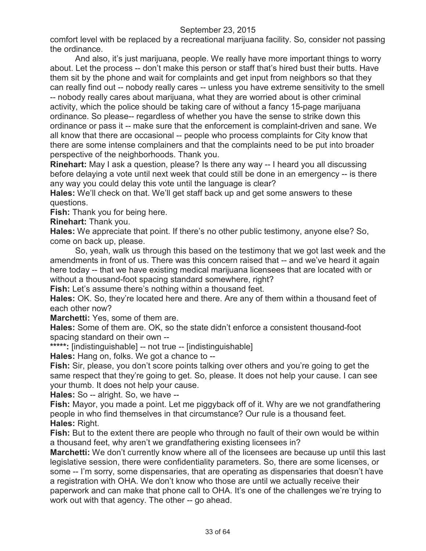comfort level with be replaced by a recreational marijuana facility. So, consider not passing the ordinance.

And also, it's just marijuana, people. We really have more important things to worry about. Let the process -- don't make this person or staff that's hired bust their butts. Have them sit by the phone and wait for complaints and get input from neighbors so that they can really find out -- nobody really cares -- unless you have extreme sensitivity to the smell -- nobody really cares about marijuana, what they are worried about is other criminal activity, which the police should be taking care of without a fancy 15-page marijuana ordinance. So please-- regardless of whether you have the sense to strike down this ordinance or pass it -- make sure that the enforcement is complaint-driven and sane. We all know that there are occasional -- people who process complaints for City know that there are some intense complainers and that the complaints need to be put into broader perspective of the neighborhoods. Thank you.

**Rinehart:** May I ask a question, please? Is there any way -- I heard you all discussing before delaying a vote until next week that could still be done in an emergency -- is there any way you could delay this vote until the language is clear?

**Hales:** We'll check on that. We'll get staff back up and get some answers to these questions.

**Fish:** Thank you for being here.

**Rinehart:** Thank you.

**Hales:** We appreciate that point. If there's no other public testimony, anyone else? So, come on back up, please.

So, yeah, walk us through this based on the testimony that we got last week and the amendments in front of us. There was this concern raised that -- and we've heard it again here today -- that we have existing medical marijuana licensees that are located with or without a thousand-foot spacing standard somewhere, right?

**Fish:** Let's assume there's nothing within a thousand feet.

**Hales:** OK. So, they're located here and there. Are any of them within a thousand feet of each other now?

**Marchetti:** Yes, some of them are.

**Hales:** Some of them are. OK, so the state didn't enforce a consistent thousand-foot spacing standard on their own --

**\*\*\*\*\*:** [indistinguishable] -- not true -- [indistinguishable]

**Hales:** Hang on, folks. We got a chance to --

**Fish:** Sir, please, you don't score points talking over others and you're going to get the same respect that they're going to get. So, please. It does not help your cause. I can see your thumb. It does not help your cause.

**Hales:** So -- alright. So, we have --

**Fish:** Mayor, you made a point. Let me piggyback off of it. Why are we not grandfathering people in who find themselves in that circumstance? Our rule is a thousand feet. **Hales:** Right.

**Fish:** But to the extent there are people who through no fault of their own would be within a thousand feet, why aren't we grandfathering existing licensees in?

**Marchetti:** We don't currently know where all of the licensees are because up until this last legislative session, there were confidentiality parameters. So, there are some licenses, or some -- I'm sorry, some dispensaries, that are operating as dispensaries that doesn't have a registration with OHA. We don't know who those are until we actually receive their paperwork and can make that phone call to OHA. It's one of the challenges we're trying to work out with that agency. The other -- go ahead.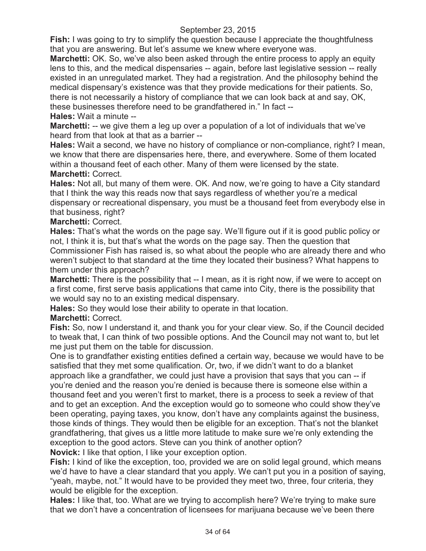**Fish:** I was going to try to simplify the question because I appreciate the thoughtfulness that you are answering. But let's assume we knew where everyone was.

**Marchetti:** OK. So, we've also been asked through the entire process to apply an equity lens to this, and the medical dispensaries -- again, before last legislative session -- really existed in an unregulated market. They had a registration. And the philosophy behind the medical dispensary's existence was that they provide medications for their patients. So, there is not necessarily a history of compliance that we can look back at and say, OK, these businesses therefore need to be grandfathered in." In fact --

**Hales:** Wait a minute --

**Marchetti:** -- we give them a leg up over a population of a lot of individuals that we've heard from that look at that as a barrier --

**Hales:** Wait a second, we have no history of compliance or non-compliance, right? I mean, we know that there are dispensaries here, there, and everywhere. Some of them located within a thousand feet of each other. Many of them were licensed by the state. **Marchetti:** Correct.

**Hales:** Not all, but many of them were. OK. And now, we're going to have a City standard that I think the way this reads now that says regardless of whether you're a medical dispensary or recreational dispensary, you must be a thousand feet from everybody else in that business, right?

# **Marchetti:** Correct.

**Hales:** That's what the words on the page say. We'll figure out if it is good public policy or not, I think it is, but that's what the words on the page say. Then the question that Commissioner Fish has raised is, so what about the people who are already there and who weren't subject to that standard at the time they located their business? What happens to them under this approach?

**Marchetti:** There is the possibility that -- I mean, as it is right now, if we were to accept on a first come, first serve basis applications that came into City, there is the possibility that we would say no to an existing medical dispensary.

**Hales:** So they would lose their ability to operate in that location.

# **Marchetti:** Correct.

**Fish:** So, now I understand it, and thank you for your clear view. So, if the Council decided to tweak that, I can think of two possible options. And the Council may not want to, but let me just put them on the table for discussion.

One is to grandfather existing entities defined a certain way, because we would have to be satisfied that they met some qualification. Or, two, if we didn't want to do a blanket approach like a grandfather, we could just have a provision that says that you can -- if you're denied and the reason you're denied is because there is someone else within a thousand feet and you weren't first to market, there is a process to seek a review of that and to get an exception. And the exception would go to someone who could show they've been operating, paying taxes, you know, don't have any complaints against the business, those kinds of things. They would then be eligible for an exception. That's not the blanket grandfathering, that gives us a little more latitude to make sure we're only extending the exception to the good actors. Steve can you think of another option?

**Novick:** I like that option, I like your exception option.

**Fish:** I kind of like the exception, too, provided we are on solid legal ground, which means we'd have to have a clear standard that you apply. We can't put you in a position of saying, "yeah, maybe, not." It would have to be provided they meet two, three, four criteria, they would be eligible for the exception.

**Hales:** I like that, too. What are we trying to accomplish here? We're trying to make sure that we don't have a concentration of licensees for marijuana because we've been there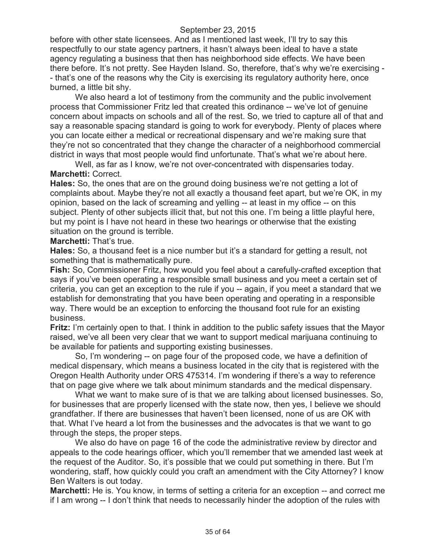before with other state licensees. And as I mentioned last week, I'll try to say this respectfully to our state agency partners, it hasn't always been ideal to have a state agency regulating a business that then has neighborhood side effects. We have been there before. It's not pretty. See Hayden Island. So, therefore, that's why we're exercising - - that's one of the reasons why the City is exercising its regulatory authority here, once burned, a little bit shy.

We also heard a lot of testimony from the community and the public involvement process that Commissioner Fritz led that created this ordinance -- we've lot of genuine concern about impacts on schools and all of the rest. So, we tried to capture all of that and say a reasonable spacing standard is going to work for everybody. Plenty of places where you can locate either a medical or recreational dispensary and we're making sure that they're not so concentrated that they change the character of a neighborhood commercial district in ways that most people would find unfortunate. That's what we're about here.

Well, as far as I know, we're not over-concentrated with dispensaries today. **Marchetti:** Correct.

**Hales:** So, the ones that are on the ground doing business we're not getting a lot of complaints about. Maybe they're not all exactly a thousand feet apart, but we're OK, in my opinion, based on the lack of screaming and yelling -- at least in my office -- on this subject. Plenty of other subjects illicit that, but not this one. I'm being a little playful here, but my point is I have not heard in these two hearings or otherwise that the existing situation on the ground is terrible.

**Marchetti:** That's true.

**Hales:** So, a thousand feet is a nice number but it's a standard for getting a result, not something that is mathematically pure.

**Fish:** So, Commissioner Fritz, how would you feel about a carefully-crafted exception that says if you've been operating a responsible small business and you meet a certain set of criteria, you can get an exception to the rule if you -- again, if you meet a standard that we establish for demonstrating that you have been operating and operating in a responsible way. There would be an exception to enforcing the thousand foot rule for an existing business.

**Fritz:** I'm certainly open to that. I think in addition to the public safety issues that the Mayor raised, we've all been very clear that we want to support medical marijuana continuing to be available for patients and supporting existing businesses.

So, I'm wondering -- on page four of the proposed code, we have a definition of medical dispensary, which means a business located in the city that is registered with the Oregon Health Authority under ORS 475314. I'm wondering if there's a way to reference that on page give where we talk about minimum standards and the medical dispensary.

What we want to make sure of is that we are talking about licensed businesses. So, for businesses that are properly licensed with the state now, then yes, I believe we should grandfather. If there are businesses that haven't been licensed, none of us are OK with that. What I've heard a lot from the businesses and the advocates is that we want to go through the steps, the proper steps.

We also do have on page 16 of the code the administrative review by director and appeals to the code hearings officer, which you'll remember that we amended last week at the request of the Auditor. So, it's possible that we could put something in there. But I'm wondering, staff, how quickly could you craft an amendment with the City Attorney? I know Ben Walters is out today.

**Marchetti:** He is. You know, in terms of setting a criteria for an exception -- and correct me if I am wrong -- I don't think that needs to necessarily hinder the adoption of the rules with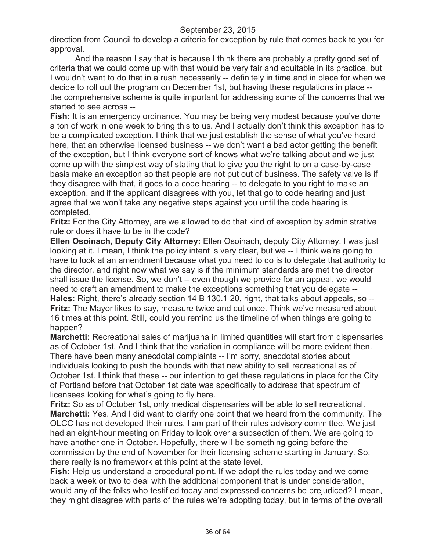direction from Council to develop a criteria for exception by rule that comes back to you for approval.

And the reason I say that is because I think there are probably a pretty good set of criteria that we could come up with that would be very fair and equitable in its practice, but I wouldn't want to do that in a rush necessarily -- definitely in time and in place for when we decide to roll out the program on December 1st, but having these regulations in place - the comprehensive scheme is quite important for addressing some of the concerns that we started to see across --

**Fish:** It is an emergency ordinance. You may be being very modest because you've done a ton of work in one week to bring this to us. And I actually don't think this exception has to be a complicated exception. I think that we just establish the sense of what you've heard here, that an otherwise licensed business -- we don't want a bad actor getting the benefit of the exception, but I think everyone sort of knows what we're talking about and we just come up with the simplest way of stating that to give you the right to on a case-by-case basis make an exception so that people are not put out of business. The safety valve is if they disagree with that, it goes to a code hearing -- to delegate to you right to make an exception, and if the applicant disagrees with you, let that go to code hearing and just agree that we won't take any negative steps against you until the code hearing is completed.

**Fritz:** For the City Attorney, are we allowed to do that kind of exception by administrative rule or does it have to be in the code?

**Ellen Osoinach, Deputy City Attorney:** Ellen Osoinach, deputy City Attorney. I was just looking at it. I mean, I think the policy intent is very clear, but we -- I think we're going to have to look at an amendment because what you need to do is to delegate that authority to the director, and right now what we say is if the minimum standards are met the director shall issue the license. So, we don't -- even though we provide for an appeal, we would need to craft an amendment to make the exceptions something that you delegate -- **Hales:** Right, there's already section 14 B 130.1 20, right, that talks about appeals, so -- **Fritz:** The Mayor likes to say, measure twice and cut once. Think we've measured about 16 times at this point. Still, could you remind us the timeline of when things are going to happen?

**Marchetti:** Recreational sales of marijuana in limited quantities will start from dispensaries as of October 1st. And I think that the variation in compliance will be more evident then. There have been many anecdotal complaints -- I'm sorry, anecdotal stories about individuals looking to push the bounds with that new ability to sell recreational as of October 1st. I think that these -- our intention to get these regulations in place for the City of Portland before that October 1st date was specifically to address that spectrum of licensees looking for what's going to fly here.

**Fritz:** So as of October 1st, only medical dispensaries will be able to sell recreational. **Marchetti:** Yes. And I did want to clarify one point that we heard from the community. The OLCC has not developed their rules. I am part of their rules advisory committee. We just had an eight-hour meeting on Friday to look over a subsection of them. We are going to have another one in October. Hopefully, there will be something going before the commission by the end of November for their licensing scheme starting in January. So, there really is no framework at this point at the state level.

**Fish:** Help us understand a procedural point. If we adopt the rules today and we come back a week or two to deal with the additional component that is under consideration, would any of the folks who testified today and expressed concerns be prejudiced? I mean, they might disagree with parts of the rules we're adopting today, but in terms of the overall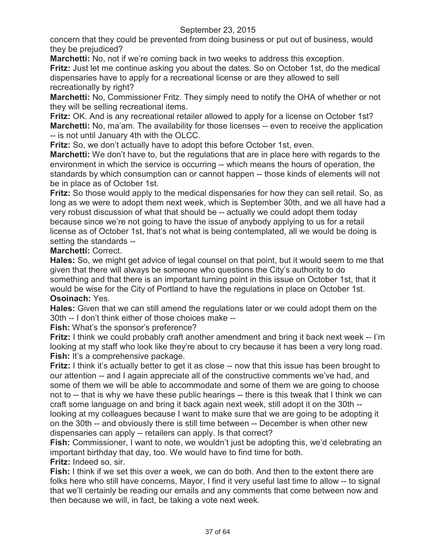concern that they could be prevented from doing business or put out of business, would they be prejudiced?

**Marchetti:** No, not if we're coming back in two weeks to address this exception.

**Fritz:** Just let me continue asking you about the dates. So on October 1st, do the medical dispensaries have to apply for a recreational license or are they allowed to sell recreationally by right?

**Marchetti:** No, Commissioner Fritz. They simply need to notify the OHA of whether or not they will be selling recreational items.

**Fritz:** OK. And is any recreational retailer allowed to apply for a license on October 1st? **Marchetti:** No, ma'am. The availability for those licenses -- even to receive the application -- is not until January 4th with the OLCC.

**Fritz:** So, we don't actually have to adopt this before October 1st, even.

**Marchetti:** We don't have to, but the regulations that are in place here with regards to the environment in which the service is occurring -- which means the hours of operation, the standards by which consumption can or cannot happen -- those kinds of elements will not be in place as of October 1st.

**Fritz:** So those would apply to the medical dispensaries for how they can sell retail. So, as long as we were to adopt them next week, which is September 30th, and we all have had a very robust discussion of what that should be -- actually we could adopt them today because since we're not going to have the issue of anybody applying to us for a retail license as of October 1st, that's not what is being contemplated, all we would be doing is setting the standards --

## **Marchetti:** Correct.

**Hales:** So, we might get advice of legal counsel on that point, but it would seem to me that given that there will always be someone who questions the City's authority to do something and that there is an important turning point in this issue on October 1st, that it would be wise for the City of Portland to have the regulations in place on October 1st. **Osoinach:** Yes.

**Hales:** Given that we can still amend the regulations later or we could adopt them on the 30th -- I don't think either of those choices make --

**Fish:** What's the sponsor's preference?

**Fritz:** I think we could probably craft another amendment and bring it back next week -- I'm looking at my staff who look like they're about to cry because it has been a very long road. **Fish:** It's a comprehensive package.

**Fritz:** I think it's actually better to get it as close -- now that this issue has been brought to our attention -- and I again appreciate all of the constructive comments we've had, and some of them we will be able to accommodate and some of them we are going to choose not to -- that is why we have these public hearings -- there is this tweak that I think we can craft some language on and bring it back again next week, still adopt it on the 30th - looking at my colleagues because I want to make sure that we are going to be adopting it on the 30th -- and obviously there is still time between -- December is when other new dispensaries can apply -- retailers can apply. Is that correct?

**Fish:** Commissioner, I want to note, we wouldn't just be adopting this, we'd celebrating an important birthday that day, too. We would have to find time for both.

**Fritz:** Indeed so, sir.

**Fish:** I think if we set this over a week, we can do both. And then to the extent there are folks here who still have concerns, Mayor, I find it very useful last time to allow -- to signal that we'll certainly be reading our emails and any comments that come between now and then because we will, in fact, be taking a vote next week.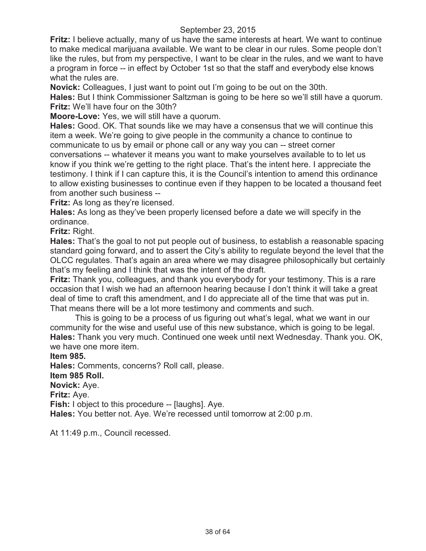**Fritz:** I believe actually, many of us have the same interests at heart. We want to continue to make medical marijuana available. We want to be clear in our rules. Some people don't like the rules, but from my perspective, I want to be clear in the rules, and we want to have a program in force -- in effect by October 1st so that the staff and everybody else knows what the rules are.

**Novick:** Colleagues, I just want to point out I'm going to be out on the 30th.

**Hales:** But I think Commissioner Saltzman is going to be here so we'll still have a quorum. **Fritz:** We'll have four on the 30th?

**Moore-Love:** Yes, we will still have a quorum.

**Hales:** Good. OK. That sounds like we may have a consensus that we will continue this item a week. We're going to give people in the community a chance to continue to communicate to us by email or phone call or any way you can -- street corner conversations -- whatever it means you want to make yourselves available to to let us know if you think we're getting to the right place. That's the intent here. I appreciate the testimony. I think if I can capture this, it is the Council's intention to amend this ordinance to allow existing businesses to continue even if they happen to be located a thousand feet from another such business --

**Fritz:** As long as they're licensed.

**Hales:** As long as they've been properly licensed before a date we will specify in the ordinance.

**Fritz:** Right.

**Hales:** That's the goal to not put people out of business, to establish a reasonable spacing standard going forward, and to assert the City's ability to regulate beyond the level that the OLCC regulates. That's again an area where we may disagree philosophically but certainly that's my feeling and I think that was the intent of the draft.

**Fritz:** Thank you, colleagues, and thank you everybody for your testimony. This is a rare occasion that I wish we had an afternoon hearing because I don't think it will take a great deal of time to craft this amendment, and I do appreciate all of the time that was put in. That means there will be a lot more testimony and comments and such.

This is going to be a process of us figuring out what's legal, what we want in our community for the wise and useful use of this new substance, which is going to be legal. **Hales:** Thank you very much. Continued one week until next Wednesday. Thank you. OK, we have one more item.

**Item 985.**

**Hales:** Comments, concerns? Roll call, please.

#### **Item 985 Roll.**

**Novick:** Aye.

**Fritz:** Aye.

**Fish:** I object to this procedure -- [laughs]. Aye.

**Hales:** You better not. Aye. We're recessed until tomorrow at 2:00 p.m.

At 11:49 p.m., Council recessed.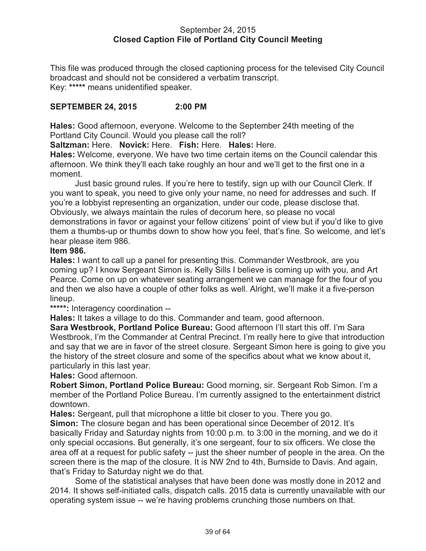### September 24, 2015 **Closed Caption File of Portland City Council Meeting**

This file was produced through the closed captioning process for the televised City Council broadcast and should not be considered a verbatim transcript. Key: **\*\*\*\*\*** means unidentified speaker.

## **SEPTEMBER 24, 2015 2:00 PM**

**Hales:** Good afternoon, everyone. Welcome to the September 24th meeting of the Portland City Council. Would you please call the roll?

**Saltzman:** Here. **Novick:** Here. **Fish:** Here. **Hales:** Here.

**Hales:** Welcome, everyone. We have two time certain items on the Council calendar this afternoon. We think they'll each take roughly an hour and we'll get to the first one in a moment.

Just basic ground rules. If you're here to testify, sign up with our Council Clerk. If you want to speak, you need to give only your name, no need for addresses and such. If you're a lobbyist representing an organization, under our code, please disclose that. Obviously, we always maintain the rules of decorum here, so please no vocal demonstrations in favor or against your fellow citizens' point of view but if you'd like to give them a thumbs-up or thumbs down to show how you feel, that's fine. So welcome, and let's hear please item 986.

### **Item 986.**

**Hales:** I want to call up a panel for presenting this. Commander Westbrook, are you coming up? I know Sergeant Simon is. Kelly Sills I believe is coming up with you, and Art Pearce. Come on up on whatever seating arrangement we can manage for the four of you and then we also have a couple of other folks as well. Alright, we'll make it a five-person lineup.

**\*\*\*\*\*:** Interagency coordination --

**Hales:** It takes a village to do this. Commander and team, good afternoon.

**Sara Westbrook, Portland Police Bureau:** Good afternoon I'll start this off. I'm Sara Westbrook, I'm the Commander at Central Precinct. I'm really here to give that introduction and say that we are in favor of the street closure. Sergeant Simon here is going to give you the history of the street closure and some of the specifics about what we know about it, particularly in this last year.

**Hales:** Good afternoon.

**Robert Simon, Portland Police Bureau:** Good morning, sir. Sergeant Rob Simon. I'm a member of the Portland Police Bureau. I'm currently assigned to the entertainment district downtown.

**Hales:** Sergeant, pull that microphone a little bit closer to you. There you go.

**Simon:** The closure began and has been operational since December of 2012. It's basically Friday and Saturday nights from 10:00 p.m. to 3:00 in the morning, and we do it only special occasions. But generally, it's one sergeant, four to six officers. We close the area off at a request for public safety -- just the sheer number of people in the area. On the screen there is the map of the closure. It is NW 2nd to 4th, Burnside to Davis. And again, that's Friday to Saturday night we do that.

Some of the statistical analyses that have been done was mostly done in 2012 and 2014. It shows self-initiated calls, dispatch calls. 2015 data is currently unavailable with our operating system issue -- we're having problems crunching those numbers on that.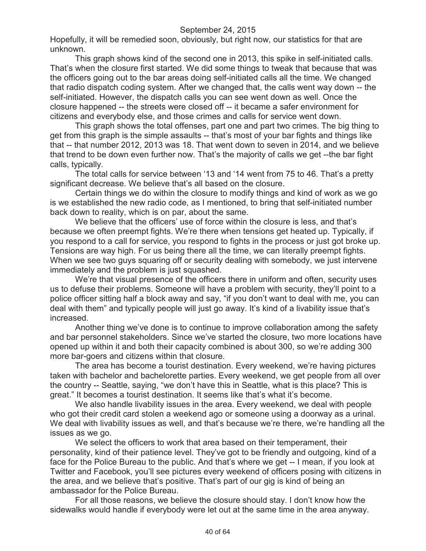Hopefully, it will be remedied soon, obviously, but right now, our statistics for that are unknown.

This graph shows kind of the second one in 2013, this spike in self-initiated calls. That's when the closure first started. We did some things to tweak that because that was the officers going out to the bar areas doing self-initiated calls all the time. We changed that radio dispatch coding system. After we changed that, the calls went way down -- the self-initiated. However, the dispatch calls you can see went down as well. Once the closure happened -- the streets were closed off -- it became a safer environment for citizens and everybody else, and those crimes and calls for service went down.

This graph shows the total offenses, part one and part two crimes. The big thing to get from this graph is the simple assaults -- that's most of your bar fights and things like that -- that number 2012, 2013 was 18. That went down to seven in 2014, and we believe that trend to be down even further now. That's the majority of calls we get --the bar fight calls, typically.

The total calls for service between '13 and '14 went from 75 to 46. That's a pretty significant decrease. We believe that's all based on the closure.

Certain things we do within the closure to modify things and kind of work as we go is we established the new radio code, as I mentioned, to bring that self-initiated number back down to reality, which is on par, about the same.

We believe that the officers' use of force within the closure is less, and that's because we often preempt fights. We're there when tensions get heated up. Typically, if you respond to a call for service, you respond to fights in the process or just got broke up. Tensions are way high. For us being there all the time, we can literally preempt fights. When we see two guys squaring off or security dealing with somebody, we just intervene immediately and the problem is just squashed.

We're that visual presence of the officers there in uniform and often, security uses us to defuse their problems. Someone will have a problem with security, they'll point to a police officer sitting half a block away and say, "if you don't want to deal with me, you can deal with them" and typically people will just go away. It's kind of a livability issue that's increased.

Another thing we've done is to continue to improve collaboration among the safety and bar personnel stakeholders. Since we've started the closure, two more locations have opened up within it and both their capacity combined is about 300, so we're adding 300 more bar-goers and citizens within that closure.

The area has become a tourist destination. Every weekend, we're having pictures taken with bachelor and bachelorette parties. Every weekend, we get people from all over the country -- Seattle, saying, "we don't have this in Seattle, what is this place? This is great." It becomes a tourist destination. It seems like that's what it's become.

We also handle livability issues in the area. Every weekend, we deal with people who got their credit card stolen a weekend ago or someone using a doorway as a urinal. We deal with livability issues as well, and that's because we're there, we're handling all the issues as we go.

We select the officers to work that area based on their temperament, their personality, kind of their patience level. They've got to be friendly and outgoing, kind of a face for the Police Bureau to the public. And that's where we get -- I mean, if you look at Twitter and Facebook, you'll see pictures every weekend of officers posing with citizens in the area, and we believe that's positive. That's part of our gig is kind of being an ambassador for the Police Bureau.

For all those reasons, we believe the closure should stay. I don't know how the sidewalks would handle if everybody were let out at the same time in the area anyway.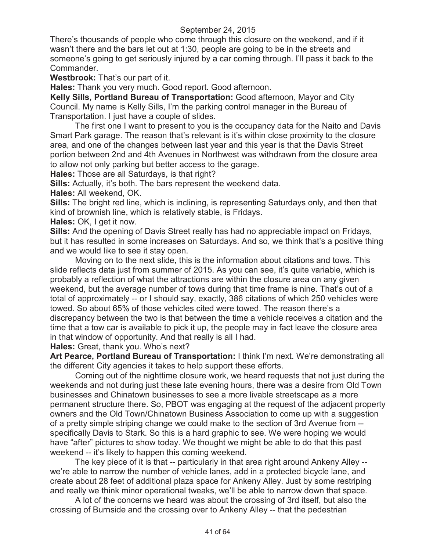There's thousands of people who come through this closure on the weekend, and if it wasn't there and the bars let out at 1:30, people are going to be in the streets and someone's going to get seriously injured by a car coming through. I'll pass it back to the Commander.

**Westbrook:** That's our part of it.

**Hales:** Thank you very much. Good report. Good afternoon.

**Kelly Sills, Portland Bureau of Transportation:** Good afternoon, Mayor and City Council. My name is Kelly Sills, I'm the parking control manager in the Bureau of Transportation. I just have a couple of slides.

The first one I want to present to you is the occupancy data for the Naito and Davis Smart Park garage. The reason that's relevant is it's within close proximity to the closure area, and one of the changes between last year and this year is that the Davis Street portion between 2nd and 4th Avenues in Northwest was withdrawn from the closure area to allow not only parking but better access to the garage.

**Hales:** Those are all Saturdays, is that right?

**Sills:** Actually, it's both. The bars represent the weekend data.

**Hales:** All weekend, OK.

**Sills:** The bright red line, which is inclining, is representing Saturdays only, and then that kind of brownish line, which is relatively stable, is Fridays.

**Hales:** OK, I get it now.

**Sills:** And the opening of Davis Street really has had no appreciable impact on Fridays, but it has resulted in some increases on Saturdays. And so, we think that's a positive thing and we would like to see it stay open.

Moving on to the next slide, this is the information about citations and tows. This slide reflects data just from summer of 2015. As you can see, it's quite variable, which is probably a reflection of what the attractions are within the closure area on any given weekend, but the average number of tows during that time frame is nine. That's out of a total of approximately -- or I should say, exactly, 386 citations of which 250 vehicles were towed. So about 65% of those vehicles cited were towed. The reason there's a discrepancy between the two is that between the time a vehicle receives a citation and the time that a tow car is available to pick it up, the people may in fact leave the closure area in that window of opportunity. And that really is all I had.

**Hales:** Great, thank you. Who's next?

**Art Pearce, Portland Bureau of Transportation:** I think I'm next. We're demonstrating all the different City agencies it takes to help support these efforts.

Coming out of the nighttime closure work, we heard requests that not just during the weekends and not during just these late evening hours, there was a desire from Old Town businesses and Chinatown businesses to see a more livable streetscape as a more permanent structure there. So, PBOT was engaging at the request of the adjacent property owners and the Old Town/Chinatown Business Association to come up with a suggestion of a pretty simple striping change we could make to the section of 3rd Avenue from - specifically Davis to Stark. So this is a hard graphic to see. We were hoping we would have "after" pictures to show today. We thought we might be able to do that this past weekend -- it's likely to happen this coming weekend.

The key piece of it is that -- particularly in that area right around Ankeny Alley - we're able to narrow the number of vehicle lanes, add in a protected bicycle lane, and create about 28 feet of additional plaza space for Ankeny Alley. Just by some restriping and really we think minor operational tweaks, we'll be able to narrow down that space.

A lot of the concerns we heard was about the crossing of 3rd itself, but also the crossing of Burnside and the crossing over to Ankeny Alley -- that the pedestrian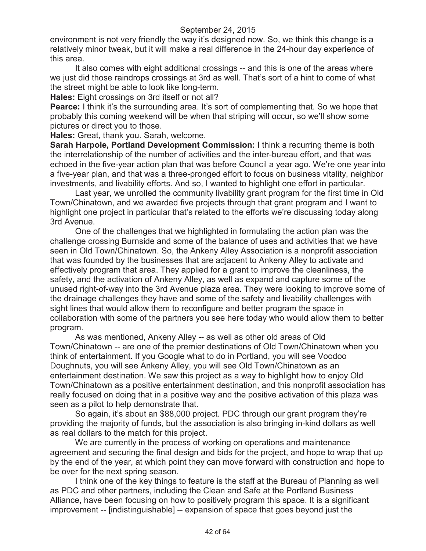environment is not very friendly the way it's designed now. So, we think this change is a relatively minor tweak, but it will make a real difference in the 24-hour day experience of this area.

It also comes with eight additional crossings -- and this is one of the areas where we just did those raindrops crossings at 3rd as well. That's sort of a hint to come of what the street might be able to look like long-term.

**Hales:** Eight crossings on 3rd itself or not all?

**Pearce:** I think it's the surrounding area. It's sort of complementing that. So we hope that probably this coming weekend will be when that striping will occur, so we'll show some pictures or direct you to those.

**Hales:** Great, thank you. Sarah, welcome.

**Sarah Harpole, Portland Development Commission:** I think a recurring theme is both the interrelationship of the number of activities and the inter-bureau effort, and that was echoed in the five-year action plan that was before Council a year ago. We're one year into a five-year plan, and that was a three-pronged effort to focus on business vitality, neighbor investments, and livability efforts. And so, I wanted to highlight one effort in particular.

Last year, we unrolled the community livability grant program for the first time in Old Town/Chinatown, and we awarded five projects through that grant program and I want to highlight one project in particular that's related to the efforts we're discussing today along 3rd Avenue.

One of the challenges that we highlighted in formulating the action plan was the challenge crossing Burnside and some of the balance of uses and activities that we have seen in Old Town/Chinatown. So, the Ankeny Alley Association is a nonprofit association that was founded by the businesses that are adjacent to Ankeny Alley to activate and effectively program that area. They applied for a grant to improve the cleanliness, the safety, and the activation of Ankeny Alley, as well as expand and capture some of the unused right-of-way into the 3rd Avenue plaza area. They were looking to improve some of the drainage challenges they have and some of the safety and livability challenges with sight lines that would allow them to reconfigure and better program the space in collaboration with some of the partners you see here today who would allow them to better program.

As was mentioned, Ankeny Alley -- as well as other old areas of Old Town/Chinatown -- are one of the premier destinations of Old Town/Chinatown when you think of entertainment. If you Google what to do in Portland, you will see Voodoo Doughnuts, you will see Ankeny Alley, you will see Old Town/Chinatown as an entertainment destination. We saw this project as a way to highlight how to enjoy Old Town/Chinatown as a positive entertainment destination, and this nonprofit association has really focused on doing that in a positive way and the positive activation of this plaza was seen as a pilot to help demonstrate that.

So again, it's about an \$88,000 project. PDC through our grant program they're providing the majority of funds, but the association is also bringing in-kind dollars as well as real dollars to the match for this project.

We are currently in the process of working on operations and maintenance agreement and securing the final design and bids for the project, and hope to wrap that up by the end of the year, at which point they can move forward with construction and hope to be over for the next spring season.

I think one of the key things to feature is the staff at the Bureau of Planning as well as PDC and other partners, including the Clean and Safe at the Portland Business Alliance, have been focusing on how to positively program this space. It is a significant improvement -- [indistinguishable] -- expansion of space that goes beyond just the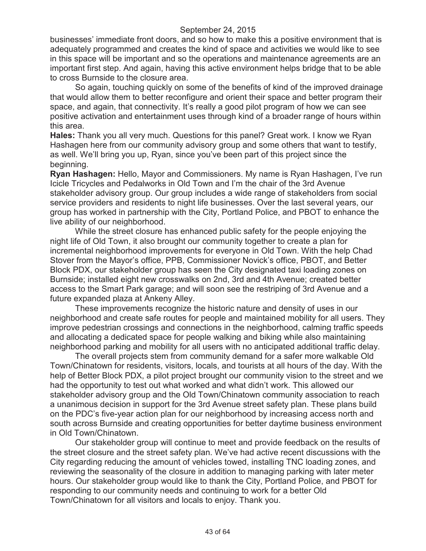businesses' immediate front doors, and so how to make this a positive environment that is adequately programmed and creates the kind of space and activities we would like to see in this space will be important and so the operations and maintenance agreements are an important first step. And again, having this active environment helps bridge that to be able to cross Burnside to the closure area.

So again, touching quickly on some of the benefits of kind of the improved drainage that would allow them to better reconfigure and orient their space and better program their space, and again, that connectivity. It's really a good pilot program of how we can see positive activation and entertainment uses through kind of a broader range of hours within this area.

**Hales:** Thank you all very much. Questions for this panel? Great work. I know we Ryan Hashagen here from our community advisory group and some others that want to testify, as well. We'll bring you up, Ryan, since you've been part of this project since the beginning.

**Ryan Hashagen:** Hello, Mayor and Commissioners. My name is Ryan Hashagen, I've run Icicle Tricycles and Pedalworks in Old Town and I'm the chair of the 3rd Avenue stakeholder advisory group. Our group includes a wide range of stakeholders from social service providers and residents to night life businesses. Over the last several years, our group has worked in partnership with the City, Portland Police, and PBOT to enhance the live ability of our neighborhood.

While the street closure has enhanced public safety for the people enjoying the night life of Old Town, it also brought our community together to create a plan for incremental neighborhood improvements for everyone in Old Town. With the help Chad Stover from the Mayor's office, PPB, Commissioner Novick's office, PBOT, and Better Block PDX, our stakeholder group has seen the City designated taxi loading zones on Burnside; installed eight new crosswalks on 2nd, 3rd and 4th Avenue; created better access to the Smart Park garage; and will soon see the restriping of 3rd Avenue and a future expanded plaza at Ankeny Alley.

These improvements recognize the historic nature and density of uses in our neighborhood and create safe routes for people and maintained mobility for all users. They improve pedestrian crossings and connections in the neighborhood, calming traffic speeds and allocating a dedicated space for people walking and biking while also maintaining neighborhood parking and mobility for all users with no anticipated additional traffic delay.

The overall projects stem from community demand for a safer more walkable Old Town/Chinatown for residents, visitors, locals, and tourists at all hours of the day. With the help of Better Block PDX, a pilot project brought our community vision to the street and we had the opportunity to test out what worked and what didn't work. This allowed our stakeholder advisory group and the Old Town/Chinatown community association to reach a unanimous decision in support for the 3rd Avenue street safety plan. These plans build on the PDC's five-year action plan for our neighborhood by increasing access north and south across Burnside and creating opportunities for better daytime business environment in Old Town/Chinatown.

Our stakeholder group will continue to meet and provide feedback on the results of the street closure and the street safety plan. We've had active recent discussions with the City regarding reducing the amount of vehicles towed, installing TNC loading zones, and reviewing the seasonality of the closure in addition to managing parking with later meter hours. Our stakeholder group would like to thank the City, Portland Police, and PBOT for responding to our community needs and continuing to work for a better Old Town/Chinatown for all visitors and locals to enjoy. Thank you.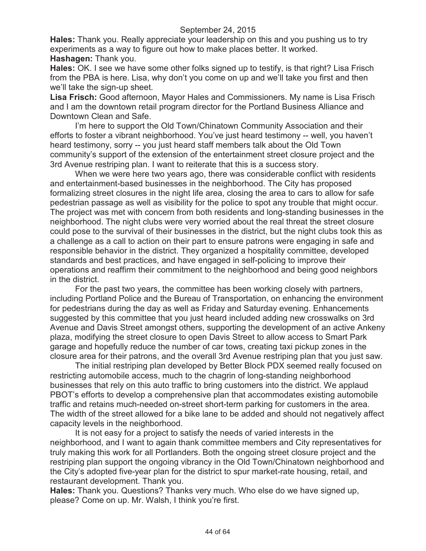**Hales:** Thank you. Really appreciate your leadership on this and you pushing us to try experiments as a way to figure out how to make places better. It worked. **Hashagen:** Thank you.

**Hales:** OK. I see we have some other folks signed up to testify, is that right? Lisa Frisch from the PBA is here. Lisa, why don't you come on up and we'll take you first and then we'll take the sign-up sheet.

**Lisa Frisch:** Good afternoon, Mayor Hales and Commissioners. My name is Lisa Frisch and I am the downtown retail program director for the Portland Business Alliance and Downtown Clean and Safe.

I'm here to support the Old Town/Chinatown Community Association and their efforts to foster a vibrant neighborhood. You've just heard testimony -- well, you haven't heard testimony, sorry -- you just heard staff members talk about the Old Town community's support of the extension of the entertainment street closure project and the 3rd Avenue restriping plan. I want to reiterate that this is a success story.

When we were here two years ago, there was considerable conflict with residents and entertainment-based businesses in the neighborhood. The City has proposed formalizing street closures in the night life area, closing the area to cars to allow for safe pedestrian passage as well as visibility for the police to spot any trouble that might occur. The project was met with concern from both residents and long-standing businesses in the neighborhood. The night clubs were very worried about the real threat the street closure could pose to the survival of their businesses in the district, but the night clubs took this as a challenge as a call to action on their part to ensure patrons were engaging in safe and responsible behavior in the district. They organized a hospitality committee, developed standards and best practices, and have engaged in self-policing to improve their operations and reaffirm their commitment to the neighborhood and being good neighbors in the district.

For the past two years, the committee has been working closely with partners, including Portland Police and the Bureau of Transportation, on enhancing the environment for pedestrians during the day as well as Friday and Saturday evening. Enhancements suggested by this committee that you just heard included adding new crosswalks on 3rd Avenue and Davis Street amongst others, supporting the development of an active Ankeny plaza, modifying the street closure to open Davis Street to allow access to Smart Park garage and hopefully reduce the number of car tows, creating taxi pickup zones in the closure area for their patrons, and the overall 3rd Avenue restriping plan that you just saw.

The initial restriping plan developed by Better Block PDX seemed really focused on restricting automobile access, much to the chagrin of long-standing neighborhood businesses that rely on this auto traffic to bring customers into the district. We applaud PBOT's efforts to develop a comprehensive plan that accommodates existing automobile traffic and retains much-needed on-street short-term parking for customers in the area. The width of the street allowed for a bike lane to be added and should not negatively affect capacity levels in the neighborhood.

It is not easy for a project to satisfy the needs of varied interests in the neighborhood, and I want to again thank committee members and City representatives for truly making this work for all Portlanders. Both the ongoing street closure project and the restriping plan support the ongoing vibrancy in the Old Town/Chinatown neighborhood and the City's adopted five-year plan for the district to spur market-rate housing, retail, and restaurant development. Thank you.

**Hales:** Thank you. Questions? Thanks very much. Who else do we have signed up, please? Come on up. Mr. Walsh, I think you're first.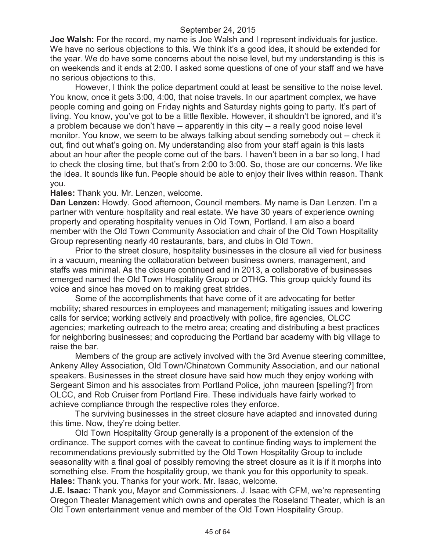**Joe Walsh:** For the record, my name is Joe Walsh and I represent individuals for justice. We have no serious objections to this. We think it's a good idea, it should be extended for the year. We do have some concerns about the noise level, but my understanding is this is on weekends and it ends at 2:00. I asked some questions of one of your staff and we have no serious objections to this.

However, I think the police department could at least be sensitive to the noise level. You know, once it gets 3:00, 4:00, that noise travels. In our apartment complex, we have people coming and going on Friday nights and Saturday nights going to party. It's part of living. You know, you've got to be a little flexible. However, it shouldn't be ignored, and it's a problem because we don't have -- apparently in this city -- a really good noise level monitor. You know, we seem to be always talking about sending somebody out -- check it out, find out what's going on. My understanding also from your staff again is this lasts about an hour after the people come out of the bars. I haven't been in a bar so long, I had to check the closing time, but that's from 2:00 to 3:00. So, those are our concerns. We like the idea. It sounds like fun. People should be able to enjoy their lives within reason. Thank you.

#### **Hales:** Thank you. Mr. Lenzen, welcome.

**Dan Lenzen:** Howdy. Good afternoon, Council members. My name is Dan Lenzen. I'm a partner with venture hospitality and real estate. We have 30 years of experience owning property and operating hospitality venues in Old Town, Portland. I am also a board member with the Old Town Community Association and chair of the Old Town Hospitality Group representing nearly 40 restaurants, bars, and clubs in Old Town.

Prior to the street closure, hospitality businesses in the closure all vied for business in a vacuum, meaning the collaboration between business owners, management, and staffs was minimal. As the closure continued and in 2013, a collaborative of businesses emerged named the Old Town Hospitality Group or OTHG. This group quickly found its voice and since has moved on to making great strides.

Some of the accomplishments that have come of it are advocating for better mobility; shared resources in employees and management; mitigating issues and lowering calls for service; working actively and proactively with police, fire agencies, OLCC agencies; marketing outreach to the metro area; creating and distributing a best practices for neighboring businesses; and coproducing the Portland bar academy with big village to raise the bar.

Members of the group are actively involved with the 3rd Avenue steering committee, Ankeny Alley Association, Old Town/Chinatown Community Association, and our national speakers. Businesses in the street closure have said how much they enjoy working with Sergeant Simon and his associates from Portland Police, john maureen [spelling?] from OLCC, and Rob Cruiser from Portland Fire. These individuals have fairly worked to achieve compliance through the respective roles they enforce.

The surviving businesses in the street closure have adapted and innovated during this time. Now, they're doing better.

Old Town Hospitality Group generally is a proponent of the extension of the ordinance. The support comes with the caveat to continue finding ways to implement the recommendations previously submitted by the Old Town Hospitality Group to include seasonality with a final goal of possibly removing the street closure as it is if it morphs into something else. From the hospitality group, we thank you for this opportunity to speak. **Hales:** Thank you. Thanks for your work. Mr. Isaac, welcome.

**J.E. Isaac:** Thank you, Mayor and Commissioners. J. Isaac with CFM, we're representing Oregon Theater Management which owns and operates the Roseland Theater, which is an Old Town entertainment venue and member of the Old Town Hospitality Group.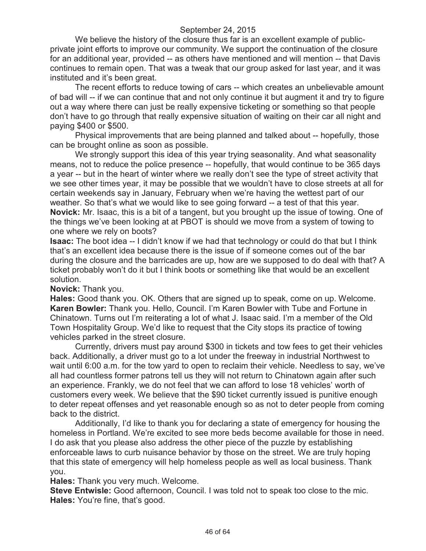We believe the history of the closure thus far is an excellent example of publicprivate joint efforts to improve our community. We support the continuation of the closure for an additional year, provided -- as others have mentioned and will mention -- that Davis continues to remain open. That was a tweak that our group asked for last year, and it was instituted and it's been great.

The recent efforts to reduce towing of cars -- which creates an unbelievable amount of bad will -- if we can continue that and not only continue it but augment it and try to figure out a way where there can just be really expensive ticketing or something so that people don't have to go through that really expensive situation of waiting on their car all night and paying \$400 or \$500.

Physical improvements that are being planned and talked about -- hopefully, those can be brought online as soon as possible.

We strongly support this idea of this year trying seasonality. And what seasonality means, not to reduce the police presence -- hopefully, that would continue to be 365 days a year -- but in the heart of winter where we really don't see the type of street activity that we see other times year, it may be possible that we wouldn't have to close streets at all for certain weekends say in January, February when we're having the wettest part of our weather. So that's what we would like to see going forward -- a test of that this year. **Novick:** Mr. Isaac, this is a bit of a tangent, but you brought up the issue of towing. One of the things we've been looking at at PBOT is should we move from a system of towing to one where we rely on boots?

**Isaac:** The boot idea -- I didn't know if we had that technology or could do that but I think that's an excellent idea because there is the issue of if someone comes out of the bar during the closure and the barricades are up, how are we supposed to do deal with that? A ticket probably won't do it but I think boots or something like that would be an excellent solution.

**Novick:** Thank you.

**Hales:** Good thank you. OK. Others that are signed up to speak, come on up. Welcome. **Karen Bowler:** Thank you. Hello, Council. I'm Karen Bowler with Tube and Fortune in Chinatown. Turns out I'm reiterating a lot of what J. Isaac said. I'm a member of the Old Town Hospitality Group. We'd like to request that the City stops its practice of towing vehicles parked in the street closure.

Currently, drivers must pay around \$300 in tickets and tow fees to get their vehicles back. Additionally, a driver must go to a lot under the freeway in industrial Northwest to wait until 6:00 a.m. for the tow yard to open to reclaim their vehicle. Needless to say, we've all had countless former patrons tell us they will not return to Chinatown again after such an experience. Frankly, we do not feel that we can afford to lose 18 vehicles' worth of customers every week. We believe that the \$90 ticket currently issued is punitive enough to deter repeat offenses and yet reasonable enough so as not to deter people from coming back to the district.

Additionally, I'd like to thank you for declaring a state of emergency for housing the homeless in Portland. We're excited to see more beds become available for those in need. I do ask that you please also address the other piece of the puzzle by establishing enforceable laws to curb nuisance behavior by those on the street. We are truly hoping that this state of emergency will help homeless people as well as local business. Thank you.

**Hales:** Thank you very much. Welcome.

**Steve Entwisle:** Good afternoon, Council. I was told not to speak too close to the mic. **Hales:** You're fine, that's good.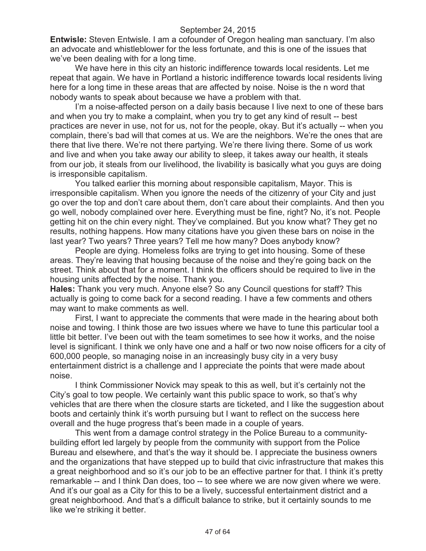**Entwisle:** Steven Entwisle. I am a cofounder of Oregon healing man sanctuary. I'm also an advocate and whistleblower for the less fortunate, and this is one of the issues that we've been dealing with for a long time.

We have here in this city an historic indifference towards local residents. Let me repeat that again. We have in Portland a historic indifference towards local residents living here for a long time in these areas that are affected by noise. Noise is the n word that nobody wants to speak about because we have a problem with that.

I'm a noise-affected person on a daily basis because I live next to one of these bars and when you try to make a complaint, when you try to get any kind of result -- best practices are never in use, not for us, not for the people, okay. But it's actually -- when you complain, there's bad will that comes at us. We are the neighbors. We're the ones that are there that live there. We're not there partying. We're there living there. Some of us work and live and when you take away our ability to sleep, it takes away our health, it steals from our job, it steals from our livelihood, the livability is basically what you guys are doing is irresponsible capitalism.

You talked earlier this morning about responsible capitalism, Mayor. This is irresponsible capitalism. When you ignore the needs of the citizenry of your City and just go over the top and don't care about them, don't care about their complaints. And then you go well, nobody complained over here. Everything must be fine, right? No, it's not. People getting hit on the chin every night. They've complained. But you know what? They get no results, nothing happens. How many citations have you given these bars on noise in the last year? Two years? Three years? Tell me how many? Does anybody know?

People are dying. Homeless folks are trying to get into housing. Some of these areas. They're leaving that housing because of the noise and they're going back on the street. Think about that for a moment. I think the officers should be required to live in the housing units affected by the noise. Thank you.

**Hales:** Thank you very much. Anyone else? So any Council questions for staff? This actually is going to come back for a second reading. I have a few comments and others may want to make comments as well.

First, I want to appreciate the comments that were made in the hearing about both noise and towing. I think those are two issues where we have to tune this particular tool a little bit better. I've been out with the team sometimes to see how it works, and the noise level is significant. I think we only have one and a half or two now noise officers for a city of 600,000 people, so managing noise in an increasingly busy city in a very busy entertainment district is a challenge and I appreciate the points that were made about noise.

I think Commissioner Novick may speak to this as well, but it's certainly not the City's goal to tow people. We certainly want this public space to work, so that's why vehicles that are there when the closure starts are ticketed, and I like the suggestion about boots and certainly think it's worth pursuing but I want to reflect on the success here overall and the huge progress that's been made in a couple of years.

This went from a damage control strategy in the Police Bureau to a communitybuilding effort led largely by people from the community with support from the Police Bureau and elsewhere, and that's the way it should be. I appreciate the business owners and the organizations that have stepped up to build that civic infrastructure that makes this a great neighborhood and so it's our job to be an effective partner for that. I think it's pretty remarkable -- and I think Dan does, too -- to see where we are now given where we were. And it's our goal as a City for this to be a lively, successful entertainment district and a great neighborhood. And that's a difficult balance to strike, but it certainly sounds to me like we're striking it better.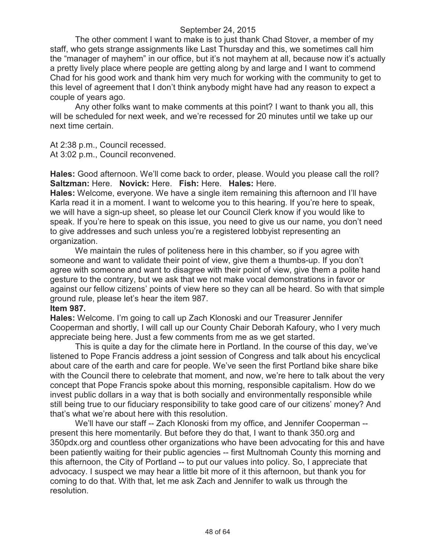The other comment I want to make is to just thank Chad Stover, a member of my staff, who gets strange assignments like Last Thursday and this, we sometimes call him the "manager of mayhem" in our office, but it's not mayhem at all, because now it's actually a pretty lively place where people are getting along by and large and I want to commend Chad for his good work and thank him very much for working with the community to get to this level of agreement that I don't think anybody might have had any reason to expect a couple of years ago.

Any other folks want to make comments at this point? I want to thank you all, this will be scheduled for next week, and we're recessed for 20 minutes until we take up our next time certain.

At 2:38 p.m., Council recessed.

At 3:02 p.m., Council reconvened.

**Hales:** Good afternoon. We'll come back to order, please. Would you please call the roll? **Saltzman:** Here. **Novick:** Here. **Fish:** Here. **Hales:** Here.

**Hales:** Welcome, everyone. We have a single item remaining this afternoon and I'll have Karla read it in a moment. I want to welcome you to this hearing. If you're here to speak, we will have a sign-up sheet, so please let our Council Clerk know if you would like to speak. If you're here to speak on this issue, you need to give us our name, you don't need to give addresses and such unless you're a registered lobbyist representing an organization.

We maintain the rules of politeness here in this chamber, so if you agree with someone and want to validate their point of view, give them a thumbs-up. If you don't agree with someone and want to disagree with their point of view, give them a polite hand gesture to the contrary, but we ask that we not make vocal demonstrations in favor or against our fellow citizens' points of view here so they can all be heard. So with that simple ground rule, please let's hear the item 987.

#### **Item 987.**

**Hales:** Welcome. I'm going to call up Zach Klonoski and our Treasurer Jennifer Cooperman and shortly, I will call up our County Chair Deborah Kafoury, who I very much appreciate being here. Just a few comments from me as we get started.

This is quite a day for the climate here in Portland. In the course of this day, we've listened to Pope Francis address a joint session of Congress and talk about his encyclical about care of the earth and care for people. We've seen the first Portland bike share bike with the Council there to celebrate that moment, and now, we're here to talk about the very concept that Pope Francis spoke about this morning, responsible capitalism. How do we invest public dollars in a way that is both socially and environmentally responsible while still being true to our fiduciary responsibility to take good care of our citizens' money? And that's what we're about here with this resolution.

We'll have our staff -- Zach Klonoski from my office, and Jennifer Cooperman - present this here momentarily. But before they do that, I want to thank 350.org and 350pdx.org and countless other organizations who have been advocating for this and have been patiently waiting for their public agencies -- first Multnomah County this morning and this afternoon, the City of Portland -- to put our values into policy. So, I appreciate that advocacy. I suspect we may hear a little bit more of it this afternoon, but thank you for coming to do that. With that, let me ask Zach and Jennifer to walk us through the resolution.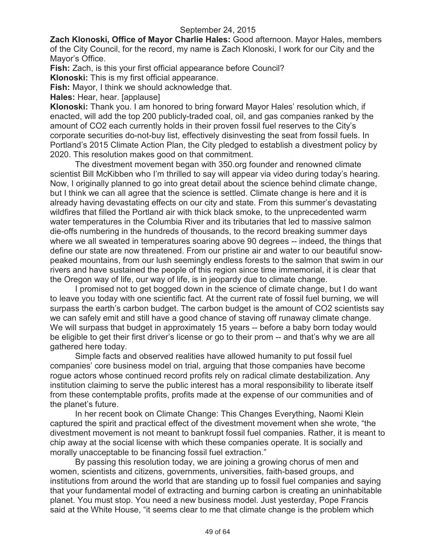**Zach Klonoski, Office of Mayor Charlie Hales:** Good afternoon. Mayor Hales, members of the City Council, for the record, my name is Zach Klonoski, I work for our City and the Mayor's Office.

**Fish:** Zach, is this your first official appearance before Council?

**Klonoski:** This is my first official appearance.

**Fish:** Mayor, I think we should acknowledge that.

**Hales:** Hear, hear. [applause]

**Klonoski:** Thank you. I am honored to bring forward Mayor Hales' resolution which, if enacted, will add the top 200 publicly-traded coal, oil, and gas companies ranked by the amount of CO2 each currently holds in their proven fossil fuel reserves to the City's corporate securities do-not-buy list, effectively disinvesting the seat from fossil fuels. In Portland's 2015 Climate Action Plan, the City pledged to establish a divestment policy by 2020. This resolution makes good on that commitment.

The divestment movement began with 350.org founder and renowned climate scientist Bill McKibben who I'm thrilled to say will appear via video during today's hearing. Now, I originally planned to go into great detail about the science behind climate change, but I think we can all agree that the science is settled. Climate change is here and it is already having devastating effects on our city and state. From this summer's devastating wildfires that filled the Portland air with thick black smoke, to the unprecedented warm water temperatures in the Columbia River and its tributaries that led to massive salmon die-offs numbering in the hundreds of thousands, to the record breaking summer days where we all sweated in temperatures soaring above 90 degrees -- indeed, the things that define our state are now threatened. From our pristine air and water to our beautiful snowpeaked mountains, from our lush seemingly endless forests to the salmon that swim in our rivers and have sustained the people of this region since time immemorial, it is clear that the Oregon way of life, our way of life, is in jeopardy due to climate change.

I promised not to get bogged down in the science of climate change, but I do want to leave you today with one scientific fact. At the current rate of fossil fuel burning, we will surpass the earth's carbon budget. The carbon budget is the amount of CO2 scientists say we can safely emit and still have a good chance of staving off runaway climate change. We will surpass that budget in approximately 15 years -- before a baby born today would be eligible to get their first driver's license or go to their prom -- and that's why we are all gathered here today.

Simple facts and observed realities have allowed humanity to put fossil fuel companies' core business model on trial, arguing that those companies have become rogue actors whose continued record profits rely on radical climate destabilization. Any institution claiming to serve the public interest has a moral responsibility to liberate itself from these contemptable profits, profits made at the expense of our communities and of the planet's future.

In her recent book on Climate Change: This Changes Everything, Naomi Klein captured the spirit and practical effect of the divestment movement when she wrote, "the divestment movement is not meant to bankrupt fossil fuel companies. Rather, it is meant to chip away at the social license with which these companies operate. It is socially and morally unacceptable to be financing fossil fuel extraction."

By passing this resolution today, we are joining a growing chorus of men and women, scientists and citizens, governments, universities, faith-based groups, and institutions from around the world that are standing up to fossil fuel companies and saying that your fundamental model of extracting and burning carbon is creating an uninhabitable planet. You must stop. You need a new business model. Just yesterday, Pope Francis said at the White House, "it seems clear to me that climate change is the problem which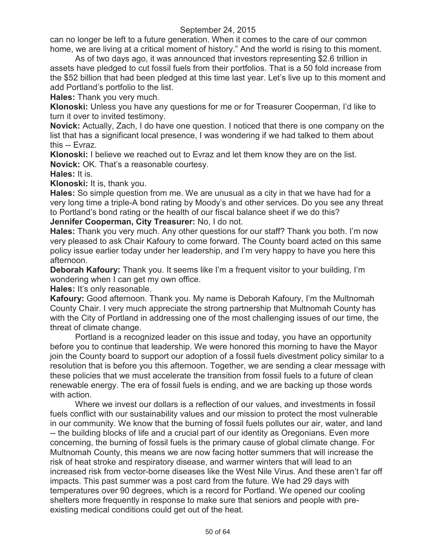can no longer be left to a future generation. When it comes to the care of our common home, we are living at a critical moment of history." And the world is rising to this moment.

As of two days ago, it was announced that investors representing \$2.6 trillion in assets have pledged to cut fossil fuels from their portfolios. That is a 50 fold increase from the \$52 billion that had been pledged at this time last year. Let's live up to this moment and add Portland's portfolio to the list.

**Hales:** Thank you very much.

**Klonoski:** Unless you have any questions for me or for Treasurer Cooperman, I'd like to turn it over to invited testimony.

**Novick:** Actually, Zach, I do have one question. I noticed that there is one company on the list that has a significant local presence, I was wondering if we had talked to them about this -- Evraz.

**Klonoski:** I believe we reached out to Evraz and let them know they are on the list. **Novick:** OK. That's a reasonable courtesy.

**Hales:** It is.

**Klonoski:** It is, thank you.

**Hales:** So simple question from me. We are unusual as a city in that we have had for a very long time a triple-A bond rating by Moody's and other services. Do you see any threat to Portland's bond rating or the health of our fiscal balance sheet if we do this?

**Jennifer Cooperman, City Treasurer:** No, I do not.

**Hales:** Thank you very much. Any other questions for our staff? Thank you both. I'm now very pleased to ask Chair Kafoury to come forward. The County board acted on this same policy issue earlier today under her leadership, and I'm very happy to have you here this afternoon.

**Deborah Kafoury:** Thank you. It seems like I'm a frequent visitor to your building, I'm wondering when I can get my own office.

**Hales:** It's only reasonable.

**Kafoury:** Good afternoon. Thank you. My name is Deborah Kafoury, I'm the Multnomah County Chair. I very much appreciate the strong partnership that Multnomah County has with the City of Portland in addressing one of the most challenging issues of our time, the threat of climate change.

Portland is a recognized leader on this issue and today, you have an opportunity before you to continue that leadership. We were honored this morning to have the Mayor join the County board to support our adoption of a fossil fuels divestment policy similar to a resolution that is before you this afternoon. Together, we are sending a clear message with these policies that we must accelerate the transition from fossil fuels to a future of clean renewable energy. The era of fossil fuels is ending, and we are backing up those words with action.

Where we invest our dollars is a reflection of our values, and investments in fossil fuels conflict with our sustainability values and our mission to protect the most vulnerable in our community. We know that the burning of fossil fuels pollutes our air, water, and land -- the building blocks of life and a crucial part of our identity as Oregonians. Even more concerning, the burning of fossil fuels is the primary cause of global climate change. For Multnomah County, this means we are now facing hotter summers that will increase the risk of heat stroke and respiratory disease, and warmer winters that will lead to an increased risk from vector-borne diseases like the West Nile Virus. And these aren't far off impacts. This past summer was a post card from the future. We had 29 days with temperatures over 90 degrees, which is a record for Portland. We opened our cooling shelters more frequently in response to make sure that seniors and people with preexisting medical conditions could get out of the heat.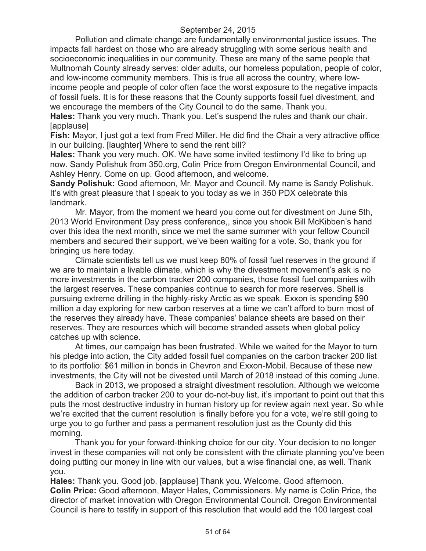Pollution and climate change are fundamentally environmental justice issues. The impacts fall hardest on those who are already struggling with some serious health and socioeconomic inequalities in our community. These are many of the same people that Multnomah County already serves: older adults, our homeless population, people of color, and low-income community members. This is true all across the country, where lowincome people and people of color often face the worst exposure to the negative impacts of fossil fuels. It is for these reasons that the County supports fossil fuel divestment, and we encourage the members of the City Council to do the same. Thank you.

**Hales:** Thank you very much. Thank you. Let's suspend the rules and thank our chair. [applause]

**Fish:** Mayor, I just got a text from Fred Miller. He did find the Chair a very attractive office in our building. [laughter] Where to send the rent bill?

**Hales:** Thank you very much. OK. We have some invited testimony I'd like to bring up now. Sandy Polishuk from 350.org, Colin Price from Oregon Environmental Council, and Ashley Henry. Come on up. Good afternoon, and welcome.

**Sandy Polishuk:** Good afternoon, Mr. Mayor and Council. My name is Sandy Polishuk. It's with great pleasure that I speak to you today as we in 350 PDX celebrate this landmark.

Mr. Mayor, from the moment we heard you come out for divestment on June 5th, 2013 World Environment Day press conference,, since you shook Bill McKibben's hand over this idea the next month, since we met the same summer with your fellow Council members and secured their support, we've been waiting for a vote. So, thank you for bringing us here today.

Climate scientists tell us we must keep 80% of fossil fuel reserves in the ground if we are to maintain a livable climate, which is why the divestment movement's ask is no more investments in the carbon tracker 200 companies, those fossil fuel companies with the largest reserves. These companies continue to search for more reserves. Shell is pursuing extreme drilling in the highly-risky Arctic as we speak. Exxon is spending \$90 million a day exploring for new carbon reserves at a time we can't afford to burn most of the reserves they already have. These companies' balance sheets are based on their reserves. They are resources which will become stranded assets when global policy catches up with science.

At times, our campaign has been frustrated. While we waited for the Mayor to turn his pledge into action, the City added fossil fuel companies on the carbon tracker 200 list to its portfolio: \$61 million in bonds in Chevron and Exxon-Mobil. Because of these new investments, the City will not be divested until March of 2018 instead of this coming June.

Back in 2013, we proposed a straight divestment resolution. Although we welcome the addition of carbon tracker 200 to your do-not-buy list, it's important to point out that this puts the most destructive industry in human history up for review again next year. So while we're excited that the current resolution is finally before you for a vote, we're still going to urge you to go further and pass a permanent resolution just as the County did this morning.

Thank you for your forward-thinking choice for our city. Your decision to no longer invest in these companies will not only be consistent with the climate planning you've been doing putting our money in line with our values, but a wise financial one, as well. Thank you.

**Hales:** Thank you. Good job. [applause] Thank you. Welcome. Good afternoon. **Colin Price:** Good afternoon, Mayor Hales, Commissioners. My name is Colin Price, the director of market innovation with Oregon Environmental Council. Oregon Environmental Council is here to testify in support of this resolution that would add the 100 largest coal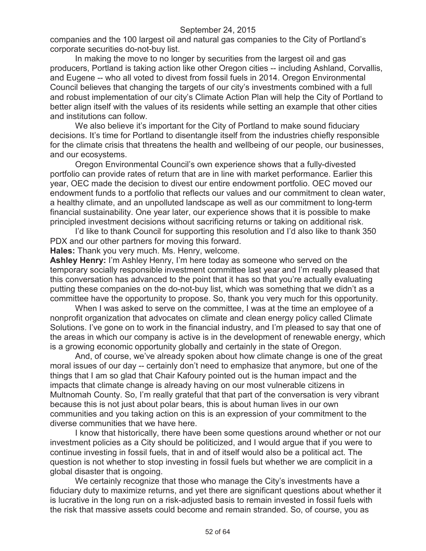companies and the 100 largest oil and natural gas companies to the City of Portland's corporate securities do-not-buy list.

In making the move to no longer by securities from the largest oil and gas producers, Portland is taking action like other Oregon cities -- including Ashland, Corvallis, and Eugene -- who all voted to divest from fossil fuels in 2014. Oregon Environmental Council believes that changing the targets of our city's investments combined with a full and robust implementation of our city's Climate Action Plan will help the City of Portland to better align itself with the values of its residents while setting an example that other cities and institutions can follow.

We also believe it's important for the City of Portland to make sound fiduciary decisions. It's time for Portland to disentangle itself from the industries chiefly responsible for the climate crisis that threatens the health and wellbeing of our people, our businesses, and our ecosystems.

Oregon Environmental Council's own experience shows that a fully-divested portfolio can provide rates of return that are in line with market performance. Earlier this year, OEC made the decision to divest our entire endowment portfolio. OEC moved our endowment funds to a portfolio that reflects our values and our commitment to clean water, a healthy climate, and an unpolluted landscape as well as our commitment to long-term financial sustainability. One year later, our experience shows that it is possible to make principled investment decisions without sacrificing returns or taking on additional risk.

I'd like to thank Council for supporting this resolution and I'd also like to thank 350 PDX and our other partners for moving this forward.

**Hales:** Thank you very much. Ms. Henry, welcome.

**Ashley Henry:** I'm Ashley Henry, I'm here today as someone who served on the temporary socially responsible investment committee last year and I'm really pleased that this conversation has advanced to the point that it has so that you're actually evaluating putting these companies on the do-not-buy list, which was something that we didn't as a committee have the opportunity to propose. So, thank you very much for this opportunity.

When I was asked to serve on the committee, I was at the time an employee of a nonprofit organization that advocates on climate and clean energy policy called Climate Solutions. I've gone on to work in the financial industry, and I'm pleased to say that one of the areas in which our company is active is in the development of renewable energy, which is a growing economic opportunity globally and certainly in the state of Oregon.

And, of course, we've already spoken about how climate change is one of the great moral issues of our day -- certainly don't need to emphasize that anymore, but one of the things that I am so glad that Chair Kafoury pointed out is the human impact and the impacts that climate change is already having on our most vulnerable citizens in Multnomah County. So, I'm really grateful that that part of the conversation is very vibrant because this is not just about polar bears, this is about human lives in our own communities and you taking action on this is an expression of your commitment to the diverse communities that we have here.

I know that historically, there have been some questions around whether or not our investment policies as a City should be politicized, and I would argue that if you were to continue investing in fossil fuels, that in and of itself would also be a political act. The question is not whether to stop investing in fossil fuels but whether we are complicit in a global disaster that is ongoing.

We certainly recognize that those who manage the City's investments have a fiduciary duty to maximize returns, and yet there are significant questions about whether it is lucrative in the long run on a risk-adjusted basis to remain invested in fossil fuels with the risk that massive assets could become and remain stranded. So, of course, you as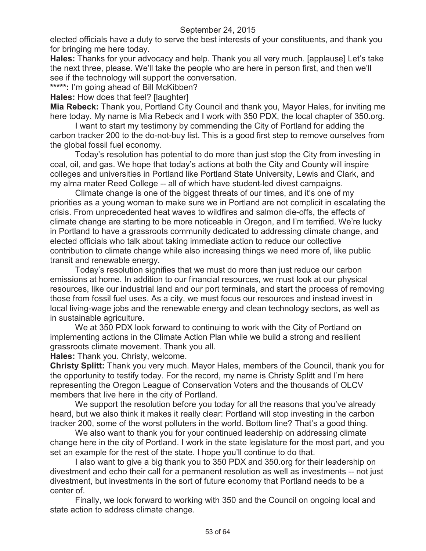elected officials have a duty to serve the best interests of your constituents, and thank you for bringing me here today.

**Hales:** Thanks for your advocacy and help. Thank you all very much. [applause] Let's take the next three, please. We'll take the people who are here in person first, and then we'll see if the technology will support the conversation.

**\*\*\*\*\*:** I'm going ahead of Bill McKibben?

**Hales:** How does that feel? [laughter]

**Mia Rebeck:** Thank you, Portland City Council and thank you, Mayor Hales, for inviting me here today. My name is Mia Rebeck and I work with 350 PDX, the local chapter of 350.org.

I want to start my testimony by commending the City of Portland for adding the carbon tracker 200 to the do-not-buy list. This is a good first step to remove ourselves from the global fossil fuel economy.

Today's resolution has potential to do more than just stop the City from investing in coal, oil, and gas. We hope that today's actions at both the City and County will inspire colleges and universities in Portland like Portland State University, Lewis and Clark, and my alma mater Reed College -- all of which have student-led divest campaigns.

Climate change is one of the biggest threats of our times, and it's one of my priorities as a young woman to make sure we in Portland are not complicit in escalating the crisis. From unprecedented heat waves to wildfires and salmon die-offs, the effects of climate change are starting to be more noticeable in Oregon, and I'm terrified. We're lucky in Portland to have a grassroots community dedicated to addressing climate change, and elected officials who talk about taking immediate action to reduce our collective contribution to climate change while also increasing things we need more of, like public transit and renewable energy.

Today's resolution signifies that we must do more than just reduce our carbon emissions at home. In addition to our financial resources, we must look at our physical resources, like our industrial land and our port terminals, and start the process of removing those from fossil fuel uses. As a city, we must focus our resources and instead invest in local living-wage jobs and the renewable energy and clean technology sectors, as well as in sustainable agriculture.

We at 350 PDX look forward to continuing to work with the City of Portland on implementing actions in the Climate Action Plan while we build a strong and resilient grassroots climate movement. Thank you all.

**Hales:** Thank you. Christy, welcome.

**Christy Splitt:** Thank you very much. Mayor Hales, members of the Council, thank you for the opportunity to testify today. For the record, my name is Christy Splitt and I'm here representing the Oregon League of Conservation Voters and the thousands of OLCV members that live here in the city of Portland.

We support the resolution before you today for all the reasons that you've already heard, but we also think it makes it really clear: Portland will stop investing in the carbon tracker 200, some of the worst polluters in the world. Bottom line? That's a good thing.

We also want to thank you for your continued leadership on addressing climate change here in the city of Portland. I work in the state legislature for the most part, and you set an example for the rest of the state. I hope you'll continue to do that.

I also want to give a big thank you to 350 PDX and 350.org for their leadership on divestment and echo their call for a permanent resolution as well as investments -- not just divestment, but investments in the sort of future economy that Portland needs to be a center of.

Finally, we look forward to working with 350 and the Council on ongoing local and state action to address climate change.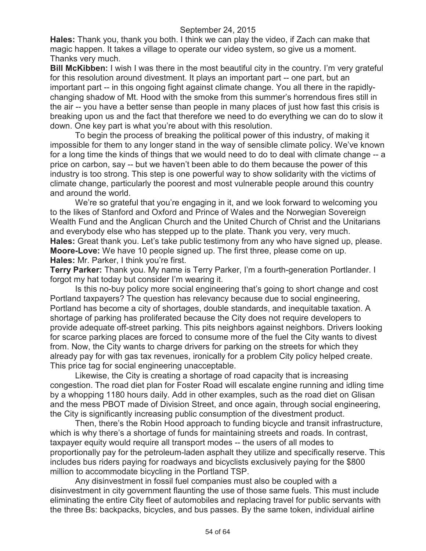**Hales:** Thank you, thank you both. I think we can play the video, if Zach can make that magic happen. It takes a village to operate our video system, so give us a moment. Thanks very much.

**Bill McKibben:** I wish I was there in the most beautiful city in the country. I'm very grateful for this resolution around divestment. It plays an important part -- one part, but an important part -- in this ongoing fight against climate change. You all there in the rapidlychanging shadow of Mt. Hood with the smoke from this summer's horrendous fires still in the air -- you have a better sense than people in many places of just how fast this crisis is breaking upon us and the fact that therefore we need to do everything we can do to slow it down. One key part is what you're about with this resolution.

To begin the process of breaking the political power of this industry, of making it impossible for them to any longer stand in the way of sensible climate policy. We've known for a long time the kinds of things that we would need to do to deal with climate change -- a price on carbon, say -- but we haven't been able to do them because the power of this industry is too strong. This step is one powerful way to show solidarity with the victims of climate change, particularly the poorest and most vulnerable people around this country and around the world.

We're so grateful that you're engaging in it, and we look forward to welcoming you to the likes of Stanford and Oxford and Prince of Wales and the Norwegian Sovereign Wealth Fund and the Anglican Church and the United Church of Christ and the Unitarians and everybody else who has stepped up to the plate. Thank you very, very much. **Hales:** Great thank you. Let's take public testimony from any who have signed up, please. **Moore-Love:** We have 10 people signed up. The first three, please come on up. **Hales:** Mr. Parker, I think you're first.

**Terry Parker:** Thank you. My name is Terry Parker, I'm a fourth-generation Portlander. I forgot my hat today but consider I'm wearing it.

Is this no-buy policy more social engineering that's going to short change and cost Portland taxpayers? The question has relevancy because due to social engineering, Portland has become a city of shortages, double standards, and inequitable taxation. A shortage of parking has proliferated because the City does not require developers to provide adequate off-street parking. This pits neighbors against neighbors. Drivers looking for scarce parking places are forced to consume more of the fuel the City wants to divest from. Now, the City wants to charge drivers for parking on the streets for which they already pay for with gas tax revenues, ironically for a problem City policy helped create. This price tag for social engineering unacceptable.

Likewise, the City is creating a shortage of road capacity that is increasing congestion. The road diet plan for Foster Road will escalate engine running and idling time by a whopping 1180 hours daily. Add in other examples, such as the road diet on Glisan and the mess PBOT made of Division Street, and once again, through social engineering, the City is significantly increasing public consumption of the divestment product.

Then, there's the Robin Hood approach to funding bicycle and transit infrastructure, which is why there's a shortage of funds for maintaining streets and roads. In contrast, taxpayer equity would require all transport modes -- the users of all modes to proportionally pay for the petroleum-laden asphalt they utilize and specifically reserve. This includes bus riders paying for roadways and bicyclists exclusively paying for the \$800 million to accommodate bicycling in the Portland TSP.

Any disinvestment in fossil fuel companies must also be coupled with a disinvestment in city government flaunting the use of those same fuels. This must include eliminating the entire City fleet of automobiles and replacing travel for public servants with the three Bs: backpacks, bicycles, and bus passes. By the same token, individual airline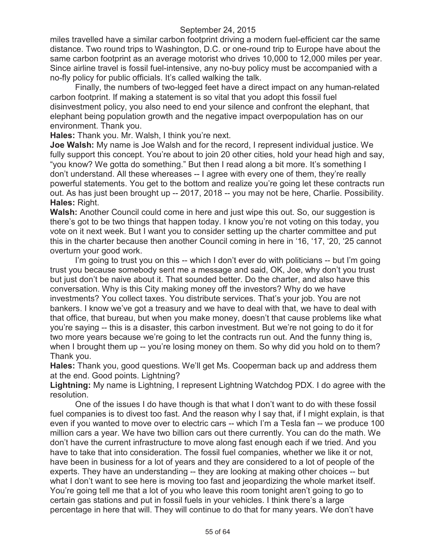miles travelled have a similar carbon footprint driving a modern fuel-efficient car the same distance. Two round trips to Washington, D.C. or one-round trip to Europe have about the same carbon footprint as an average motorist who drives 10,000 to 12,000 miles per year. Since airline travel is fossil fuel-intensive, any no-buy policy must be accompanied with a no-fly policy for public officials. It's called walking the talk.

Finally, the numbers of two-legged feet have a direct impact on any human-related carbon footprint. If making a statement is so vital that you adopt this fossil fuel disinvestment policy, you also need to end your silence and confront the elephant, that elephant being population growth and the negative impact overpopulation has on our environment. Thank you.

**Hales:** Thank you. Mr. Walsh, I think you're next.

**Joe Walsh:** My name is Joe Walsh and for the record, I represent individual justice. We fully support this concept. You're about to join 20 other cities, hold your head high and say, "you know? We gotta do something." But then I read along a bit more. It's something I don't understand. All these whereases -- I agree with every one of them, they're really powerful statements. You get to the bottom and realize you're going let these contracts run out. As has just been brought up -- 2017, 2018 -- you may not be here, Charlie. Possibility. **Hales:** Right.

**Walsh:** Another Council could come in here and just wipe this out. So, our suggestion is there's got to be two things that happen today. I know you're not voting on this today, you vote on it next week. But I want you to consider setting up the charter committee and put this in the charter because then another Council coming in here in '16, '17, '20, '25 cannot overturn your good work.

I'm going to trust you on this -- which I don't ever do with politicians -- but I'm going trust you because somebody sent me a message and said, OK, Joe, why don't you trust but just don't be naive about it. That sounded better. Do the charter, and also have this conversation. Why is this City making money off the investors? Why do we have investments? You collect taxes. You distribute services. That's your job. You are not bankers. I know we've got a treasury and we have to deal with that, we have to deal with that office, that bureau, but when you make money, doesn't that cause problems like what you're saying -- this is a disaster, this carbon investment. But we're not going to do it for two more years because we're going to let the contracts run out. And the funny thing is, when I brought them up -- you're losing money on them. So why did you hold on to them? Thank you.

**Hales:** Thank you, good questions. We'll get Ms. Cooperman back up and address them at the end. Good points. Lightning?

**Lightning:** My name is Lightning, I represent Lightning Watchdog PDX. I do agree with the resolution.

One of the issues I do have though is that what I don't want to do with these fossil fuel companies is to divest too fast. And the reason why I say that, if I might explain, is that even if you wanted to move over to electric cars -- which I'm a Tesla fan -- we produce 100 million cars a year. We have two billion cars out there currently. You can do the math. We don't have the current infrastructure to move along fast enough each if we tried. And you have to take that into consideration. The fossil fuel companies, whether we like it or not, have been in business for a lot of years and they are considered to a lot of people of the experts. They have an understanding -- they are looking at making other choices -- but what I don't want to see here is moving too fast and jeopardizing the whole market itself. You're going tell me that a lot of you who leave this room tonight aren't going to go to certain gas stations and put in fossil fuels in your vehicles. I think there's a large percentage in here that will. They will continue to do that for many years. We don't have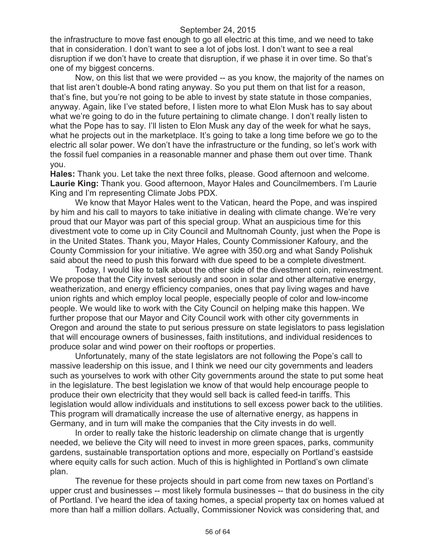the infrastructure to move fast enough to go all electric at this time, and we need to take that in consideration. I don't want to see a lot of jobs lost. I don't want to see a real disruption if we don't have to create that disruption, if we phase it in over time. So that's one of my biggest concerns.

Now, on this list that we were provided -- as you know, the majority of the names on that list aren't double-A bond rating anyway. So you put them on that list for a reason, that's fine, but you're not going to be able to invest by state statute in those companies, anyway. Again, like I've stated before, I listen more to what Elon Musk has to say about what we're going to do in the future pertaining to climate change. I don't really listen to what the Pope has to say. I'll listen to Elon Musk any day of the week for what he says, what he projects out in the marketplace. It's going to take a long time before we go to the electric all solar power. We don't have the infrastructure or the funding, so let's work with the fossil fuel companies in a reasonable manner and phase them out over time. Thank you.

**Hales:** Thank you. Let take the next three folks, please. Good afternoon and welcome. **Laurie King:** Thank you. Good afternoon, Mayor Hales and Councilmembers. I'm Laurie King and I'm representing Climate Jobs PDX.

We know that Mayor Hales went to the Vatican, heard the Pope, and was inspired by him and his call to mayors to take initiative in dealing with climate change. We're very proud that our Mayor was part of this special group. What an auspicious time for this divestment vote to come up in City Council and Multnomah County, just when the Pope is in the United States. Thank you, Mayor Hales, County Commissioner Kafoury, and the County Commission for your initiative. We agree with 350.org and what Sandy Polishuk said about the need to push this forward with due speed to be a complete divestment.

Today, I would like to talk about the other side of the divestment coin, reinvestment. We propose that the City invest seriously and soon in solar and other alternative energy, weatherization, and energy efficiency companies, ones that pay living wages and have union rights and which employ local people, especially people of color and low-income people. We would like to work with the City Council on helping make this happen. We further propose that our Mayor and City Council work with other city governments in Oregon and around the state to put serious pressure on state legislators to pass legislation that will encourage owners of businesses, faith institutions, and individual residences to produce solar and wind power on their rooftops or properties.

Unfortunately, many of the state legislators are not following the Pope's call to massive leadership on this issue, and I think we need our city governments and leaders such as yourselves to work with other City governments around the state to put some heat in the legislature. The best legislation we know of that would help encourage people to produce their own electricity that they would sell back is called feed-in tariffs. This legislation would allow individuals and institutions to sell excess power back to the utilities. This program will dramatically increase the use of alternative energy, as happens in Germany, and in turn will make the companies that the City invests in do well.

In order to really take the historic leadership on climate change that is urgently needed, we believe the City will need to invest in more green spaces, parks, community gardens, sustainable transportation options and more, especially on Portland's eastside where equity calls for such action. Much of this is highlighted in Portland's own climate plan.

The revenue for these projects should in part come from new taxes on Portland's upper crust and businesses -- most likely formula businesses -- that do business in the city of Portland. I've heard the idea of taxing homes, a special property tax on homes valued at more than half a million dollars. Actually, Commissioner Novick was considering that, and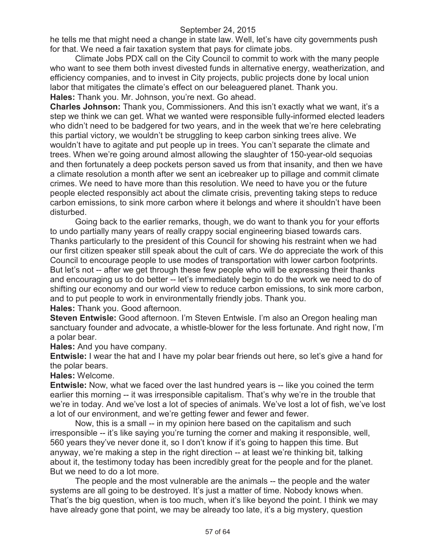he tells me that might need a change in state law. Well, let's have city governments push for that. We need a fair taxation system that pays for climate jobs.

Climate Jobs PDX call on the City Council to commit to work with the many people who want to see them both invest divested funds in alternative energy, weatherization, and efficiency companies, and to invest in City projects, public projects done by local union labor that mitigates the climate's effect on our beleaguered planet. Thank you. **Hales:** Thank you. Mr. Johnson, you're next. Go ahead.

**Charles Johnson:** Thank you, Commissioners. And this isn't exactly what we want, it's a step we think we can get. What we wanted were responsible fully-informed elected leaders who didn't need to be badgered for two years, and in the week that we're here celebrating this partial victory, we wouldn't be struggling to keep carbon sinking trees alive. We wouldn't have to agitate and put people up in trees. You can't separate the climate and trees. When we're going around almost allowing the slaughter of 150-year-old sequoias and then fortunately a deep pockets person saved us from that insanity, and then we have a climate resolution a month after we sent an icebreaker up to pillage and commit climate crimes. We need to have more than this resolution. We need to have you or the future people elected responsibly act about the climate crisis, preventing taking steps to reduce carbon emissions, to sink more carbon where it belongs and where it shouldn't have been disturbed.

Going back to the earlier remarks, though, we do want to thank you for your efforts to undo partially many years of really crappy social engineering biased towards cars. Thanks particularly to the president of this Council for showing his restraint when we had our first citizen speaker still speak about the cult of cars. We do appreciate the work of this Council to encourage people to use modes of transportation with lower carbon footprints. But let's not -- after we get through these few people who will be expressing their thanks and encouraging us to do better -- let's immediately begin to do the work we need to do of shifting our economy and our world view to reduce carbon emissions, to sink more carbon, and to put people to work in environmentally friendly jobs. Thank you. **Hales:** Thank you. Good afternoon.

**Steven Entwisle:** Good afternoon. I'm Steven Entwisle. I'm also an Oregon healing man sanctuary founder and advocate, a whistle-blower for the less fortunate. And right now, I'm a polar bear.

**Hales:** And you have company.

**Entwisle:** I wear the hat and I have my polar bear friends out here, so let's give a hand for the polar bears.

**Hales:** Welcome.

**Entwisle:** Now, what we faced over the last hundred years is -- like you coined the term earlier this morning -- it was irresponsible capitalism. That's why we're in the trouble that we're in today. And we've lost a lot of species of animals. We've lost a lot of fish, we've lost a lot of our environment, and we're getting fewer and fewer and fewer.

Now, this is a small -- in my opinion here based on the capitalism and such irresponsible -- it's like saying you're turning the corner and making it responsible, well, 560 years they've never done it, so I don't know if it's going to happen this time. But anyway, we're making a step in the right direction -- at least we're thinking bit, talking about it, the testimony today has been incredibly great for the people and for the planet. But we need to do a lot more.

The people and the most vulnerable are the animals -- the people and the water systems are all going to be destroyed. It's just a matter of time. Nobody knows when. That's the big question, when is too much, when it's like beyond the point. I think we may have already gone that point, we may be already too late, it's a big mystery, question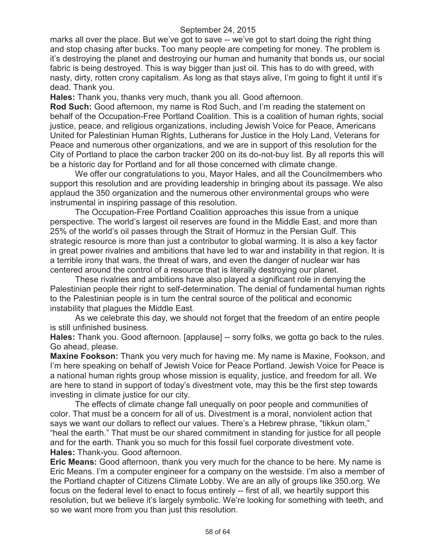marks all over the place. But we've got to save -- we've got to start doing the right thing and stop chasing after bucks. Too many people are competing for money. The problem is it's destroying the planet and destroying our human and humanity that bonds us, our social fabric is being destroyed. This is way bigger than just oil. This has to do with greed, with nasty, dirty, rotten crony capitalism. As long as that stays alive, I'm going to fight it until it's dead. Thank you.

**Hales:** Thank you, thanks very much, thank you all. Good afternoon.

**Rod Such:** Good afternoon, my name is Rod Such, and I'm reading the statement on behalf of the Occupation-Free Portland Coalition. This is a coalition of human rights, social justice, peace, and religious organizations, including Jewish Voice for Peace, Americans United for Palestinian Human Rights, Lutherans for Justice in the Holy Land, Veterans for Peace and numerous other organizations, and we are in support of this resolution for the City of Portland to place the carbon tracker 200 on its do-not-buy list. By all reports this will be a historic day for Portland and for all those concerned with climate change.

We offer our congratulations to you, Mayor Hales, and all the Councilmembers who support this resolution and are providing leadership in bringing about its passage. We also applaud the 350 organization and the numerous other environmental groups who were instrumental in inspiring passage of this resolution.

The Occupation-Free Portland Coalition approaches this issue from a unique perspective. The world's largest oil reserves are found in the Middle East, and more than 25% of the world's oil passes through the Strait of Hormuz in the Persian Gulf. This strategic resource is more than just a contributor to global warming. It is also a key factor in great power rivalries and ambitions that have led to war and instability in that region. It is a terrible irony that wars, the threat of wars, and even the danger of nuclear war has centered around the control of a resource that is literally destroying our planet.

These rivalries and ambitions have also played a significant role in denying the Palestinian people their right to self-determination. The denial of fundamental human rights to the Palestinian people is in turn the central source of the political and economic instability that plagues the Middle East.

As we celebrate this day, we should not forget that the freedom of an entire people is still unfinished business.

**Hales:** Thank you. Good afternoon. [applause] -- sorry folks, we gotta go back to the rules. Go ahead, please.

**Maxine Fookson:** Thank you very much for having me. My name is Maxine, Fookson, and I'm here speaking on behalf of Jewish Voice for Peace Portland. Jewish Voice for Peace is a national human rights group whose mission is equality, justice, and freedom for all. We are here to stand in support of today's divestment vote, may this be the first step towards investing in climate justice for our city.

The effects of climate change fall unequally on poor people and communities of color. That must be a concern for all of us. Divestment is a moral, nonviolent action that says we want our dollars to reflect our values. There's a Hebrew phrase, "tikkun olam," "heal the earth." That must be our shared commitment in standing for justice for all people and for the earth. Thank you so much for this fossil fuel corporate divestment vote. **Hales:** Thank-you. Good afternoon.

**Eric Means:** Good afternoon, thank you very much for the chance to be here. My name is Eric Means. I'm a computer engineer for a company on the westside. I'm also a member of the Portland chapter of Citizens Climate Lobby. We are an ally of groups like 350.org. We focus on the federal level to enact to focus entirely -- first of all, we heartily support this resolution, but we believe it's largely symbolic. We're looking for something with teeth, and so we want more from you than just this resolution.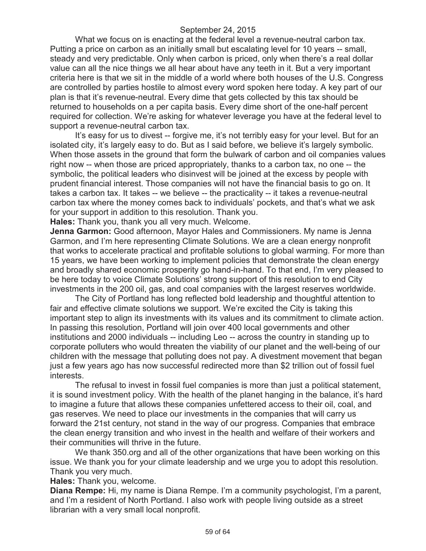What we focus on is enacting at the federal level a revenue-neutral carbon tax. Putting a price on carbon as an initially small but escalating level for 10 years -- small, steady and very predictable. Only when carbon is priced, only when there's a real dollar value can all the nice things we all hear about have any teeth in it. But a very important criteria here is that we sit in the middle of a world where both houses of the U.S. Congress are controlled by parties hostile to almost every word spoken here today. A key part of our plan is that it's revenue-neutral. Every dime that gets collected by this tax should be returned to households on a per capita basis. Every dime short of the one-half percent required for collection. We're asking for whatever leverage you have at the federal level to support a revenue-neutral carbon tax.

It's easy for us to divest -- forgive me, it's not terribly easy for your level. But for an isolated city, it's largely easy to do. But as I said before, we believe it's largely symbolic. When those assets in the ground that form the bulwark of carbon and oil companies values right now -- when those are priced appropriately, thanks to a carbon tax, no one -- the symbolic, the political leaders who disinvest will be joined at the excess by people with prudent financial interest. Those companies will not have the financial basis to go on. It takes a carbon tax. It takes -- we believe -- the practicality -- it takes a revenue-neutral carbon tax where the money comes back to individuals' pockets, and that's what we ask for your support in addition to this resolution. Thank you.

**Hales:** Thank you, thank you all very much. Welcome.

**Jenna Garmon:** Good afternoon, Mayor Hales and Commissioners. My name is Jenna Garmon, and I'm here representing Climate Solutions. We are a clean energy nonprofit that works to accelerate practical and profitable solutions to global warming. For more than 15 years, we have been working to implement policies that demonstrate the clean energy and broadly shared economic prosperity go hand-in-hand. To that end, I'm very pleased to be here today to voice Climate Solutions' strong support of this resolution to end City investments in the 200 oil, gas, and coal companies with the largest reserves worldwide.

The City of Portland has long reflected bold leadership and thoughtful attention to fair and effective climate solutions we support. We're excited the City is taking this important step to align its investments with its values and its commitment to climate action. In passing this resolution, Portland will join over 400 local governments and other institutions and 2000 individuals -- including Leo -- across the country in standing up to corporate polluters who would threaten the viability of our planet and the well-being of our children with the message that polluting does not pay. A divestment movement that began just a few years ago has now successful redirected more than \$2 trillion out of fossil fuel interests.

The refusal to invest in fossil fuel companies is more than just a political statement, it is sound investment policy. With the health of the planet hanging in the balance, it's hard to imagine a future that allows these companies unfettered access to their oil, coal, and gas reserves. We need to place our investments in the companies that will carry us forward the 21st century, not stand in the way of our progress. Companies that embrace the clean energy transition and who invest in the health and welfare of their workers and their communities will thrive in the future.

We thank 350.org and all of the other organizations that have been working on this issue. We thank you for your climate leadership and we urge you to adopt this resolution. Thank you very much.

**Hales:** Thank you, welcome.

**Diana Rempe:** Hi, my name is Diana Rempe. I'm a community psychologist, I'm a parent, and I'm a resident of North Portland. I also work with people living outside as a street librarian with a very small local nonprofit.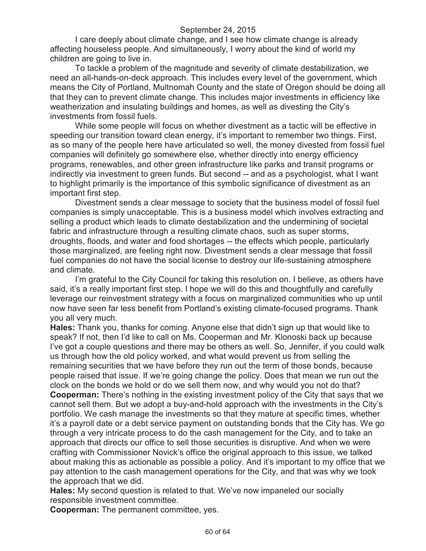I care deeply about climate change, and I see how climate change is already affecting houseless people. And simultaneously, I worry about the kind of world my children are going to live in.

To tackle a problem of the magnitude and severity of climate destabilization, we need an all-hands-on-deck approach. This includes every level of the government, which means the City of Portland, Multnomah County and the state of Oregon should be doing all that they can to prevent climate change. This includes major investments in efficiency like weatherization and insulating buildings and homes, as well as divesting the City's investments from fossil fuels.

While some people will focus on whether divestment as a tactic will be effective in speeding our transition toward clean energy, it's important to remember two things. First, as so many of the people here have articulated so well, the money divested from fossil fuel companies will definitely go somewhere else, whether directly into energy efficiency programs, renewables, and other green infrastructure like parks and transit programs or indirectly via investment to green funds. But second -- and as a psychologist, what I want to highlight primarily is the importance of this symbolic significance of divestment as an important first step.

Divestment sends a clear message to society that the business model of fossil fuel companies is simply unacceptable. This is a business model which involves extracting and selling a product which leads to climate destabilization and the undermining of societal fabric and infrastructure through a resulting climate chaos, such as super storms, droughts, floods, and water and food shortages -- the effects which people, particularly those marginalized, are feeling right now. Divestment sends a clear message that fossil fuel companies do not have the social license to destroy our life-sustaining atmosphere and climate.

I'm grateful to the City Council for taking this resolution on. I believe, as others have said, it's a really important first step. I hope we will do this and thoughtfully and carefully leverage our reinvestment strategy with a focus on marginalized communities who up until now have seen far less benefit from Portland's existing climate-focused programs. Thank you all very much.

**Hales:** Thank you, thanks for coming. Anyone else that didn't sign up that would like to speak? If not, then I'd like to call on Ms. Cooperman and Mr. Klonoski back up because I've got a couple questions and there may be others as well. So, Jennifer, if you could walk us through how the old policy worked, and what would prevent us from selling the remaining securities that we have before they run out the term of those bonds, because people raised that issue. If we're going change the policy. Does that mean we run out the clock on the bonds we hold or do we sell them now, and why would you not do that? **Cooperman:** There's nothing in the existing investment policy of the City that says that we cannot sell them. But we adopt a buy-and-hold approach with the investments in the City's portfolio. We cash manage the investments so that they mature at specific times, whether it's a payroll date or a debt service payment on outstanding bonds that the City has. We go through a very intricate process to do the cash management for the City, and to take an approach that directs our office to sell those securities is disruptive. And when we were crafting with Commissioner Novick's office the original approach to this issue, we talked about making this as actionable as possible a policy. And it's important to my office that we pay attention to the cash management operations for the City, and that was why we took the approach that we did.

**Hales:** My second question is related to that. We've now impaneled our socially responsible investment committee.

**Cooperman:** The permanent committee, yes.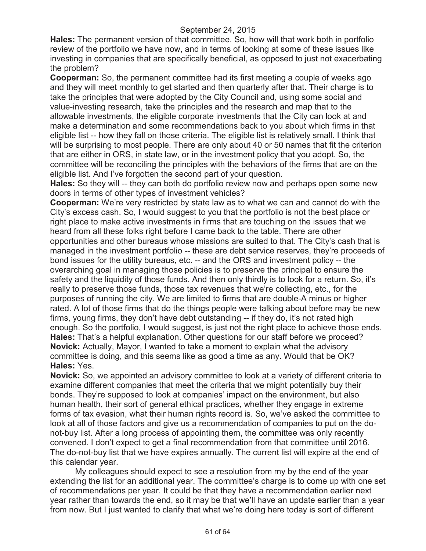**Hales:** The permanent version of that committee. So, how will that work both in portfolio review of the portfolio we have now, and in terms of looking at some of these issues like investing in companies that are specifically beneficial, as opposed to just not exacerbating the problem?

**Cooperman:** So, the permanent committee had its first meeting a couple of weeks ago and they will meet monthly to get started and then quarterly after that. Their charge is to take the principles that were adopted by the City Council and, using some social and value-investing research, take the principles and the research and map that to the allowable investments, the eligible corporate investments that the City can look at and make a determination and some recommendations back to you about which firms in that eligible list -- how they fall on those criteria. The eligible list is relatively small. I think that will be surprising to most people. There are only about 40 or 50 names that fit the criterion that are either in ORS, in state law, or in the investment policy that you adopt. So, the committee will be reconciling the principles with the behaviors of the firms that are on the eligible list. And I've forgotten the second part of your question.

**Hales:** So they will -- they can both do portfolio review now and perhaps open some new doors in terms of other types of investment vehicles?

**Cooperman:** We're very restricted by state law as to what we can and cannot do with the City's excess cash. So, I would suggest to you that the portfolio is not the best place or right place to make active investments in firms that are touching on the issues that we heard from all these folks right before I came back to the table. There are other opportunities and other bureaus whose missions are suited to that. The City's cash that is managed in the investment portfolio -- these are debt service reserves, they're proceeds of bond issues for the utility bureaus, etc. -- and the ORS and investment policy -- the overarching goal in managing those policies is to preserve the principal to ensure the safety and the liquidity of those funds. And then only thirdly is to look for a return. So, it's really to preserve those funds, those tax revenues that we're collecting, etc., for the purposes of running the city. We are limited to firms that are double-A minus or higher rated. A lot of those firms that do the things people were talking about before may be new firms, young firms, they don't have debt outstanding -- if they do, it's not rated high enough. So the portfolio, I would suggest, is just not the right place to achieve those ends. **Hales:** That's a helpful explanation. Other questions for our staff before we proceed? **Novick:** Actually, Mayor, I wanted to take a moment to explain what the advisory committee is doing, and this seems like as good a time as any. Would that be OK? **Hales:** Yes.

**Novick:** So, we appointed an advisory committee to look at a variety of different criteria to examine different companies that meet the criteria that we might potentially buy their bonds. They're supposed to look at companies' impact on the environment, but also human health, their sort of general ethical practices, whether they engage in extreme forms of tax evasion, what their human rights record is. So, we've asked the committee to look at all of those factors and give us a recommendation of companies to put on the donot-buy list. After a long process of appointing them, the committee was only recently convened. I don't expect to get a final recommendation from that committee until 2016. The do-not-buy list that we have expires annually. The current list will expire at the end of this calendar year.

My colleagues should expect to see a resolution from my by the end of the year extending the list for an additional year. The committee's charge is to come up with one set of recommendations per year. It could be that they have a recommendation earlier next year rather than towards the end, so it may be that we'll have an update earlier than a year from now. But I just wanted to clarify that what we're doing here today is sort of different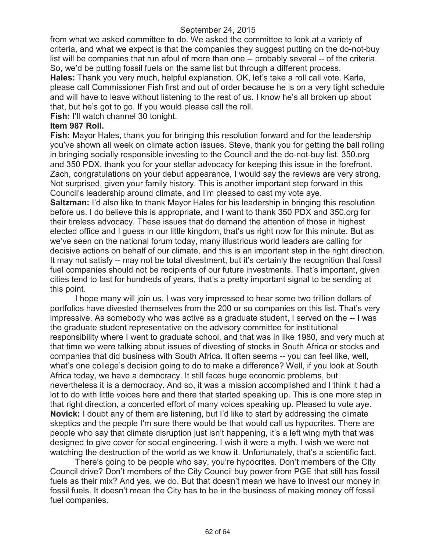from what we asked committee to do. We asked the committee to look at a variety of criteria, and what we expect is that the companies they suggest putting on the do-not-buy list will be companies that run afoul of more than one -- probably several -- of the criteria. So, we'd be putting fossil fuels on the same list but through a different process. **Hales:** Thank you very much, helpful explanation. OK, let's take a roll call vote. Karla, please call Commissioner Fish first and out of order because he is on a very tight schedule and will have to leave without listening to the rest of us. I know he's all broken up about that, but he's got to go. If you would please call the roll.

**Fish:** I'll watch channel 30 tonight.

## **Item 987 Roll.**

**Fish:** Mayor Hales, thank you for bringing this resolution forward and for the leadership you've shown all week on climate action issues. Steve, thank you for getting the ball rolling in bringing socially responsible investing to the Council and the do-not-buy list. 350.org and 350 PDX, thank you for your stellar advocacy for keeping this issue in the forefront. Zach, congratulations on your debut appearance, I would say the reviews are very strong. Not surprised, given your family history. This is another important step forward in this Council's leadership around climate, and I'm pleased to cast my vote aye. **Saltzman:** I'd also like to thank Mayor Hales for his leadership in bringing this resolution before us. I do believe this is appropriate, and I want to thank 350 PDX and 350.org for their tireless advocacy. These issues that do demand the attention of those in highest elected office and I guess in our little kingdom, that's us right now for this minute. But as we've seen on the national forum today, many illustrious world leaders are calling for decisive actions on behalf of our climate, and this is an important step in the right direction. It may not satisfy -- may not be total divestment, but it's certainly the recognition that fossil fuel companies should not be recipients of our future investments. That's important, given cities tend to last for hundreds of years, that's a pretty important signal to be sending at this point.

I hope many will join us. I was very impressed to hear some two trillion dollars of portfolios have divested themselves from the 200 or so companies on this list. That's very impressive. As somebody who was active as a graduate student, I served on the -- I was the graduate student representative on the advisory committee for institutional responsibility where I went to graduate school, and that was in like 1980, and very much at that time we were talking about issues of divesting of stocks in South Africa or stocks and companies that did business with South Africa. It often seems -- you can feel like, well, what's one college's decision going to do to make a difference? Well, if you look at South Africa today, we have a democracy. It still faces huge economic problems, but nevertheless it is a democracy. And so, it was a mission accomplished and I think it had a lot to do with little voices here and there that started speaking up. This is one more step in that right direction, a concerted effort of many voices speaking up. Pleased to vote aye. **Novick:** I doubt any of them are listening, but I'd like to start by addressing the climate skeptics and the people I'm sure there would be that would call us hypocrites. There are people who say that climate disruption just isn't happening, it's a left wing myth that was designed to give cover for social engineering. I wish it were a myth. I wish we were not watching the destruction of the world as we know it. Unfortunately, that's a scientific fact.

There's going to be people who say, you're hypocrites. Don't members of the City Council drive? Don't members of the City Council buy power from PGE that still has fossil fuels as their mix? And yes, we do. But that doesn't mean we have to invest our money in fossil fuels. It doesn't mean the City has to be in the business of making money off fossil fuel companies.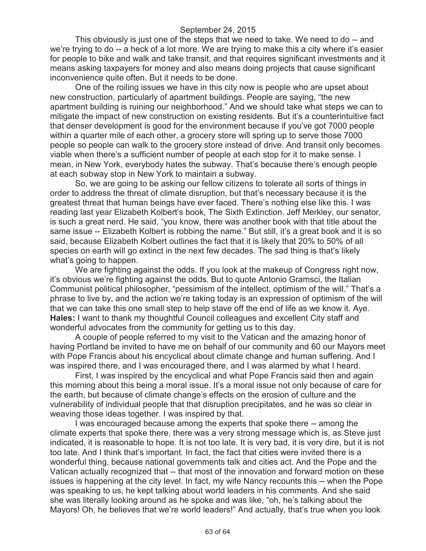This obviously is just one of the steps that we need to take. We need to do -- and we're trying to do -- a heck of a lot more. We are trying to make this a city where it's easier for people to bike and walk and take transit, and that requires significant investments and it means asking taxpayers for money and also means doing projects that cause significant inconvenience quite often. But it needs to be done.

One of the roiling issues we have in this city now is people who are upset about new construction, particularly of apartment buildings. People are saying, "the new apartment building is ruining our neighborhood." And we should take what steps we can to mitigate the impact of new construction on existing residents. But it's a counterintuitive fact that denser development is good for the environment because if you've got 7000 people within a quarter mile of each other, a grocery store will spring up to serve those 7000 people so people can walk to the grocery store instead of drive. And transit only becomes viable when there's a sufficient number of people at each stop for it to make sense. I mean, in New York, everybody hates the subway. That's because there's enough people at each subway stop in New York to maintain a subway.

So, we are going to be asking our fellow citizens to tolerate all sorts of things in order to address the threat of climate disruption, but that's necessary because it is the greatest threat that human beings have ever faced. There's nothing else like this. I was reading last year Elizabeth Kolbert's book, The Sixth Extinction. Jeff Merkley, our senator, is such a great nerd. He said, "you know, there was another book with that title about the same issue -- Elizabeth Kolbert is robbing the name." But still, it's a great book and it is so said, because Elizabeth Kolbert outlines the fact that it is likely that 20% to 50% of all species on earth will go extinct in the next few decades. The sad thing is that's likely what's going to happen.

We are fighting against the odds. If you look at the makeup of Congress right now, it's obvious we're fighting against the odds. But to quote Antonio Gramsci, the Italian Communist political philosopher, "pessimism of the intellect, optimism of the will." That's a phrase to live by, and the action we're taking today is an expression of optimism of the will that we can take this one small step to help stave off the end of life as we know it. Aye. **Hales:** I want to thank my thoughtful Council colleagues and excellent City staff and wonderful advocates from the community for getting us to this day.

A couple of people referred to my visit to the Vatican and the amazing honor of having Portland be invited to have me on behalf of our community and 60 our Mayors meet with Pope Francis about his encyclical about climate change and human suffering. And I was inspired there, and I was encouraged there, and I was alarmed by what I heard.

First, I was inspired by the encyclical and what Pope Francis said then and again this morning about this being a moral issue. It's a moral issue not only because of care for the earth, but because of climate change's effects on the erosion of culture and the vulnerability of individual people that that disruption precipitates, and he was so clear in weaving those ideas together. I was inspired by that.

I was encouraged because among the experts that spoke there -- among the climate experts that spoke there, there was a very strong message which is, as Steve just indicated, it is reasonable to hope. It is not too late. It is very bad, it is very dire, but it is not too late. And I think that's important. In fact, the fact that cities were invited there is a wonderful thing, because national governments talk and cities act. And the Pope and the Vatican actually recognized that -- that most of the innovation and forward motion on these issues is happening at the city level. In fact, my wife Nancy recounts this -- when the Pope was speaking to us, he kept talking about world leaders in his comments. And she said she was literally looking around as he spoke and was like, "oh, he's talking about the Mayors! Oh, he believes that we're world leaders!" And actually, that's true when you look